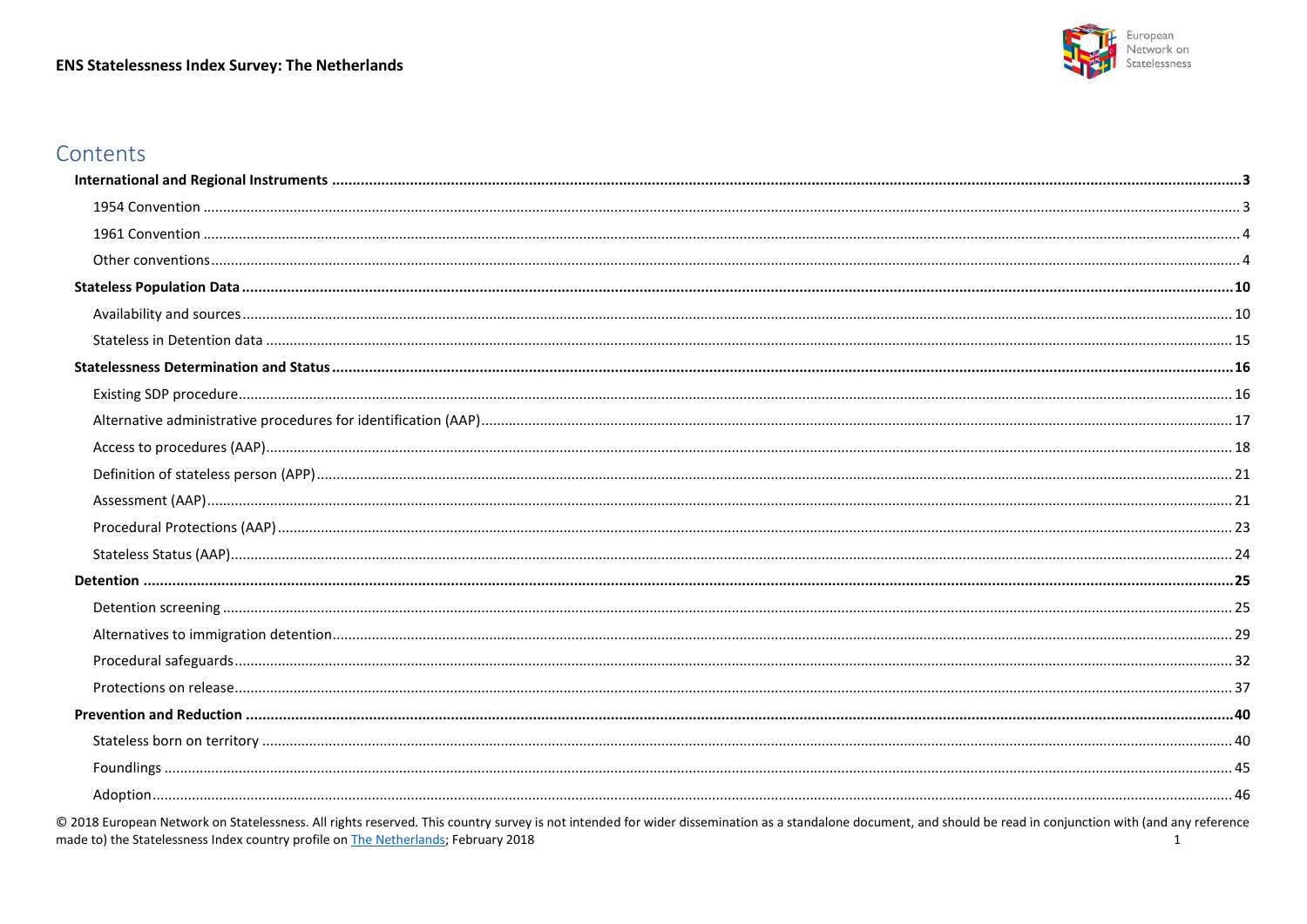#### **ENS Statelessness Index Survey: The Netherlands**



### Contents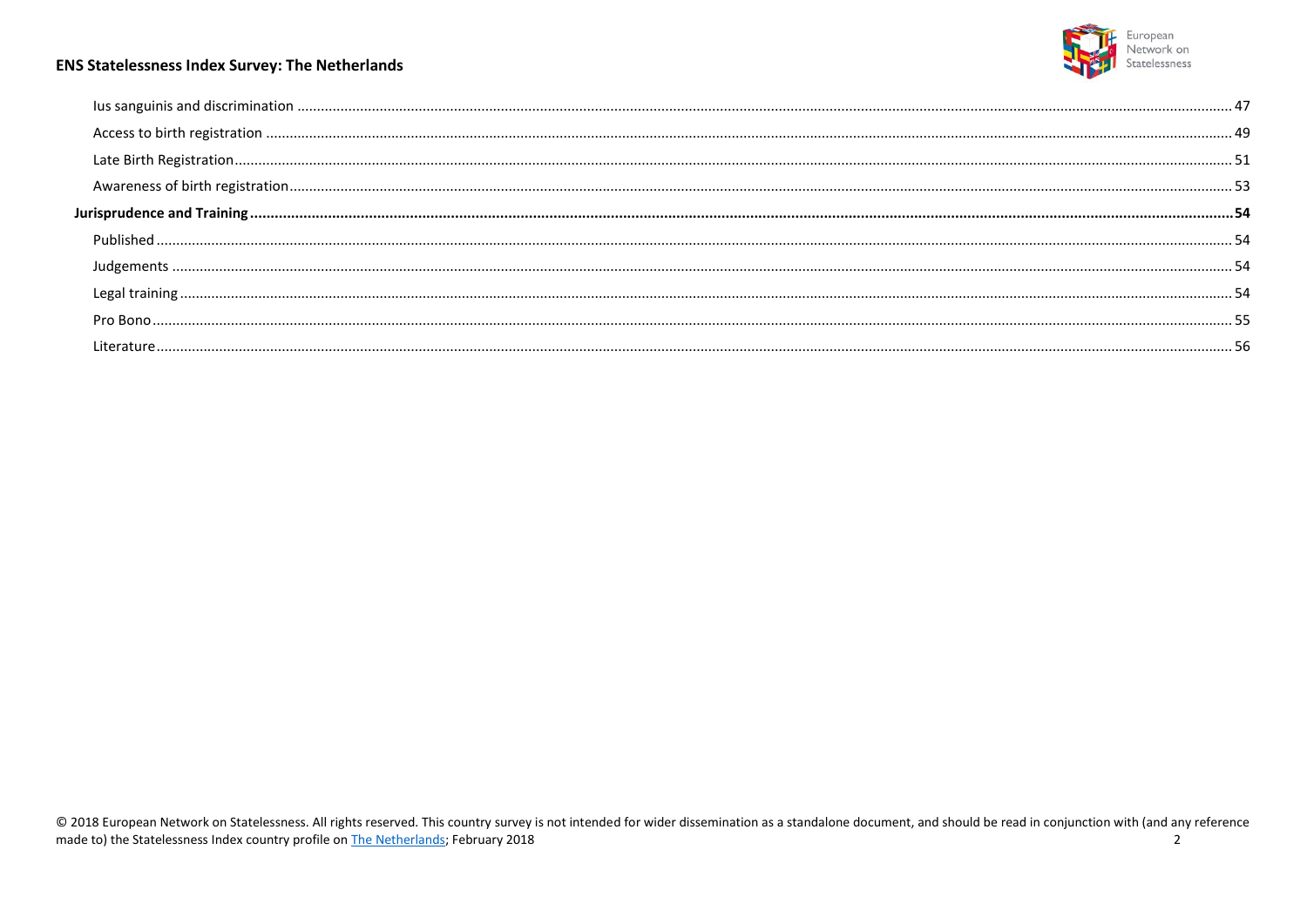

#### **ENS Statelessness Index Survey: The Netherlands**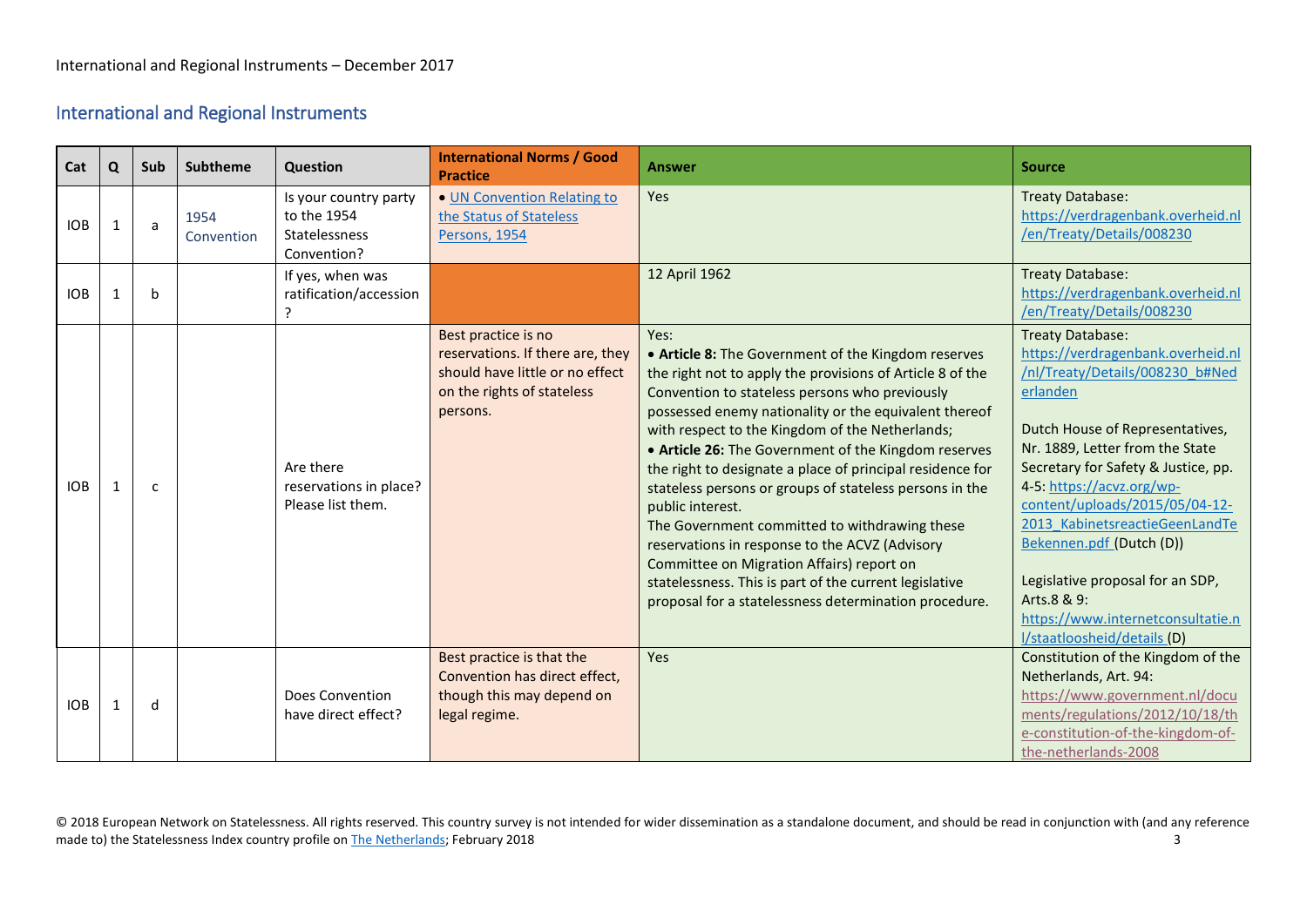### <span id="page-2-0"></span>International and Regional Instruments

<span id="page-2-1"></span>

| Cat        | Q | Sub          | <b>Subtheme</b>    | Question                                                                    | <b>International Norms / Good</b><br><b>Practice</b>                                                                                 | <b>Answer</b>                                                                                                                                                                                                                                                                                                                                                                                                                                                                                                                                                                                                                                                                                                                                                 | <b>Source</b>                                                                                                                                                                                                                                                                                                                                                                                                                                                                |
|------------|---|--------------|--------------------|-----------------------------------------------------------------------------|--------------------------------------------------------------------------------------------------------------------------------------|---------------------------------------------------------------------------------------------------------------------------------------------------------------------------------------------------------------------------------------------------------------------------------------------------------------------------------------------------------------------------------------------------------------------------------------------------------------------------------------------------------------------------------------------------------------------------------------------------------------------------------------------------------------------------------------------------------------------------------------------------------------|------------------------------------------------------------------------------------------------------------------------------------------------------------------------------------------------------------------------------------------------------------------------------------------------------------------------------------------------------------------------------------------------------------------------------------------------------------------------------|
| <b>IOB</b> |   | a            | 1954<br>Convention | Is your country party<br>to the 1954<br><b>Statelessness</b><br>Convention? | • UN Convention Relating to<br>the Status of Stateless<br>Persons, 1954                                                              | Yes                                                                                                                                                                                                                                                                                                                                                                                                                                                                                                                                                                                                                                                                                                                                                           | <b>Treaty Database:</b><br>https://verdragenbank.overheid.nl<br>/en/Treaty/Details/008230                                                                                                                                                                                                                                                                                                                                                                                    |
| <b>IOB</b> |   | b            |                    | If yes, when was<br>ratification/accession                                  |                                                                                                                                      | 12 April 1962                                                                                                                                                                                                                                                                                                                                                                                                                                                                                                                                                                                                                                                                                                                                                 | Treaty Database:<br>https://verdragenbank.overheid.nl<br>/en/Treaty/Details/008230                                                                                                                                                                                                                                                                                                                                                                                           |
| <b>IOB</b> |   | $\mathsf{C}$ |                    | Are there<br>reservations in place?<br>Please list them.                    | Best practice is no<br>reservations. If there are, they<br>should have little or no effect<br>on the rights of stateless<br>persons. | Yes:<br>• Article 8: The Government of the Kingdom reserves<br>the right not to apply the provisions of Article 8 of the<br>Convention to stateless persons who previously<br>possessed enemy nationality or the equivalent thereof<br>with respect to the Kingdom of the Netherlands;<br>• Article 26: The Government of the Kingdom reserves<br>the right to designate a place of principal residence for<br>stateless persons or groups of stateless persons in the<br>public interest.<br>The Government committed to withdrawing these<br>reservations in response to the ACVZ (Advisory<br>Committee on Migration Affairs) report on<br>statelessness. This is part of the current legislative<br>proposal for a statelessness determination procedure. | <b>Treaty Database:</b><br>https://verdragenbank.overheid.nl<br>/nl/Treaty/Details/008230 b#Ned<br>erlanden<br>Dutch House of Representatives,<br>Nr. 1889, Letter from the State<br>Secretary for Safety & Justice, pp.<br>4-5: https://acvz.org/wp-<br>content/uploads/2015/05/04-12-<br>2013 KabinetsreactieGeenLandTe<br>Bekennen.pdf (Dutch (D))<br>Legislative proposal for an SDP,<br>Arts.8 & 9:<br>https://www.internetconsultatie.n<br>l/staatloosheid/details (D) |
| <b>IOB</b> |   | d            |                    | Does Convention<br>have direct effect?                                      | Best practice is that the<br>Convention has direct effect,<br>though this may depend on<br>legal regime.                             | Yes                                                                                                                                                                                                                                                                                                                                                                                                                                                                                                                                                                                                                                                                                                                                                           | Constitution of the Kingdom of the<br>Netherlands, Art. 94:<br>https://www.government.nl/docu<br>ments/regulations/2012/10/18/th<br>e-constitution-of-the-kingdom-of-<br>the-netherlands-2008                                                                                                                                                                                                                                                                                |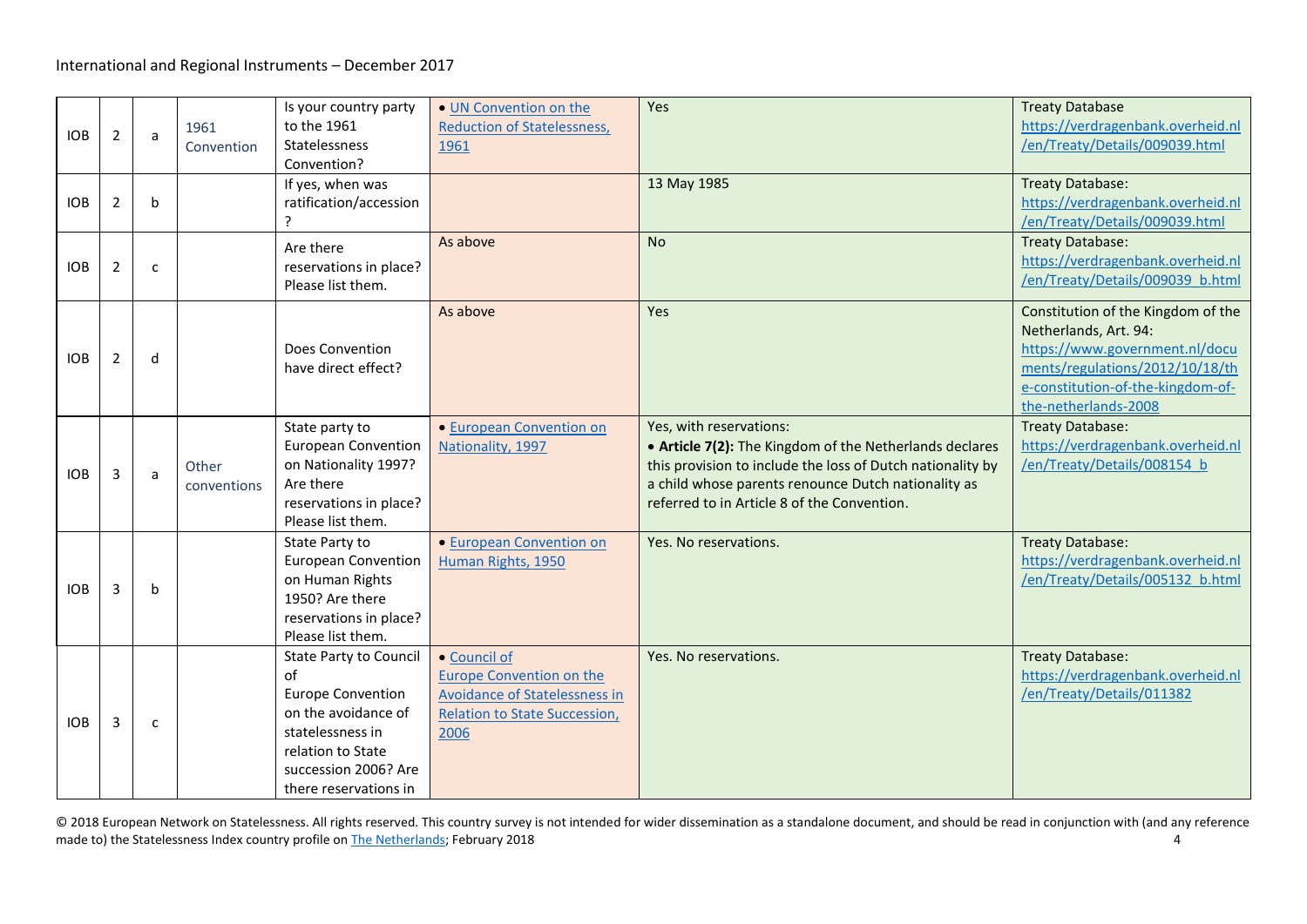<span id="page-3-1"></span><span id="page-3-0"></span>

| <b>IOB</b> | 2              | a            | 1961<br>Convention   | Is your country party<br>to the 1961<br>Statelessness<br>Convention?                                                                                                             | • UN Convention on the<br><b>Reduction of Statelessness,</b><br>1961                                                                    | Yes                                                                                                                                                                                                                                                    | <b>Treaty Database</b><br>https://verdragenbank.overheid.nl<br>/en/Treaty/Details/009039.html                                                                                                 |
|------------|----------------|--------------|----------------------|----------------------------------------------------------------------------------------------------------------------------------------------------------------------------------|-----------------------------------------------------------------------------------------------------------------------------------------|--------------------------------------------------------------------------------------------------------------------------------------------------------------------------------------------------------------------------------------------------------|-----------------------------------------------------------------------------------------------------------------------------------------------------------------------------------------------|
| <b>IOB</b> | $\overline{2}$ | b            |                      | If yes, when was<br>ratification/accession<br>ς                                                                                                                                  |                                                                                                                                         | 13 May 1985                                                                                                                                                                                                                                            | <b>Treaty Database:</b><br>https://verdragenbank.overheid.nl<br>/en/Treaty/Details/009039.html                                                                                                |
| <b>IOB</b> | $\overline{2}$ | C            |                      | Are there<br>reservations in place?<br>Please list them.                                                                                                                         | As above                                                                                                                                | <b>No</b>                                                                                                                                                                                                                                              | <b>Treaty Database:</b><br>https://verdragenbank.overheid.nl<br>/en/Treaty/Details/009039 b.html                                                                                              |
| <b>IOB</b> | 2              | d            |                      | Does Convention<br>have direct effect?                                                                                                                                           | As above                                                                                                                                | Yes                                                                                                                                                                                                                                                    | Constitution of the Kingdom of the<br>Netherlands, Art. 94:<br>https://www.government.nl/docu<br>ments/regulations/2012/10/18/th<br>e-constitution-of-the-kingdom-of-<br>the-netherlands-2008 |
| <b>IOB</b> | 3              | a            | Other<br>conventions | State party to<br><b>European Convention</b><br>on Nationality 1997?<br>Are there<br>reservations in place?<br>Please list them.                                                 | • European Convention on<br>Nationality, 1997                                                                                           | Yes, with reservations:<br>• Article 7(2): The Kingdom of the Netherlands declares<br>this provision to include the loss of Dutch nationality by<br>a child whose parents renounce Dutch nationality as<br>referred to in Article 8 of the Convention. | <b>Treaty Database:</b><br>https://verdragenbank.overheid.nl<br>/en/Treaty/Details/008154 b                                                                                                   |
| <b>IOB</b> | 3              | b            |                      | State Party to<br><b>European Convention</b><br>on Human Rights<br>1950? Are there<br>reservations in place?<br>Please list them.                                                | • European Convention on<br>Human Rights, 1950                                                                                          | Yes. No reservations.                                                                                                                                                                                                                                  | <b>Treaty Database:</b><br>https://verdragenbank.overheid.nl<br>/en/Treaty/Details/005132 b.html                                                                                              |
| <b>IOB</b> | 3              | $\mathsf{C}$ |                      | <b>State Party to Council</b><br>of<br><b>Europe Convention</b><br>on the avoidance of<br>statelessness in<br>relation to State<br>succession 2006? Are<br>there reservations in | • Council of<br><b>Europe Convention on the</b><br><b>Avoidance of Statelessness in</b><br><b>Relation to State Succession,</b><br>2006 | Yes. No reservations.                                                                                                                                                                                                                                  | <b>Treaty Database:</b><br>https://verdragenbank.overheid.nl<br>/en/Treaty/Details/011382                                                                                                     |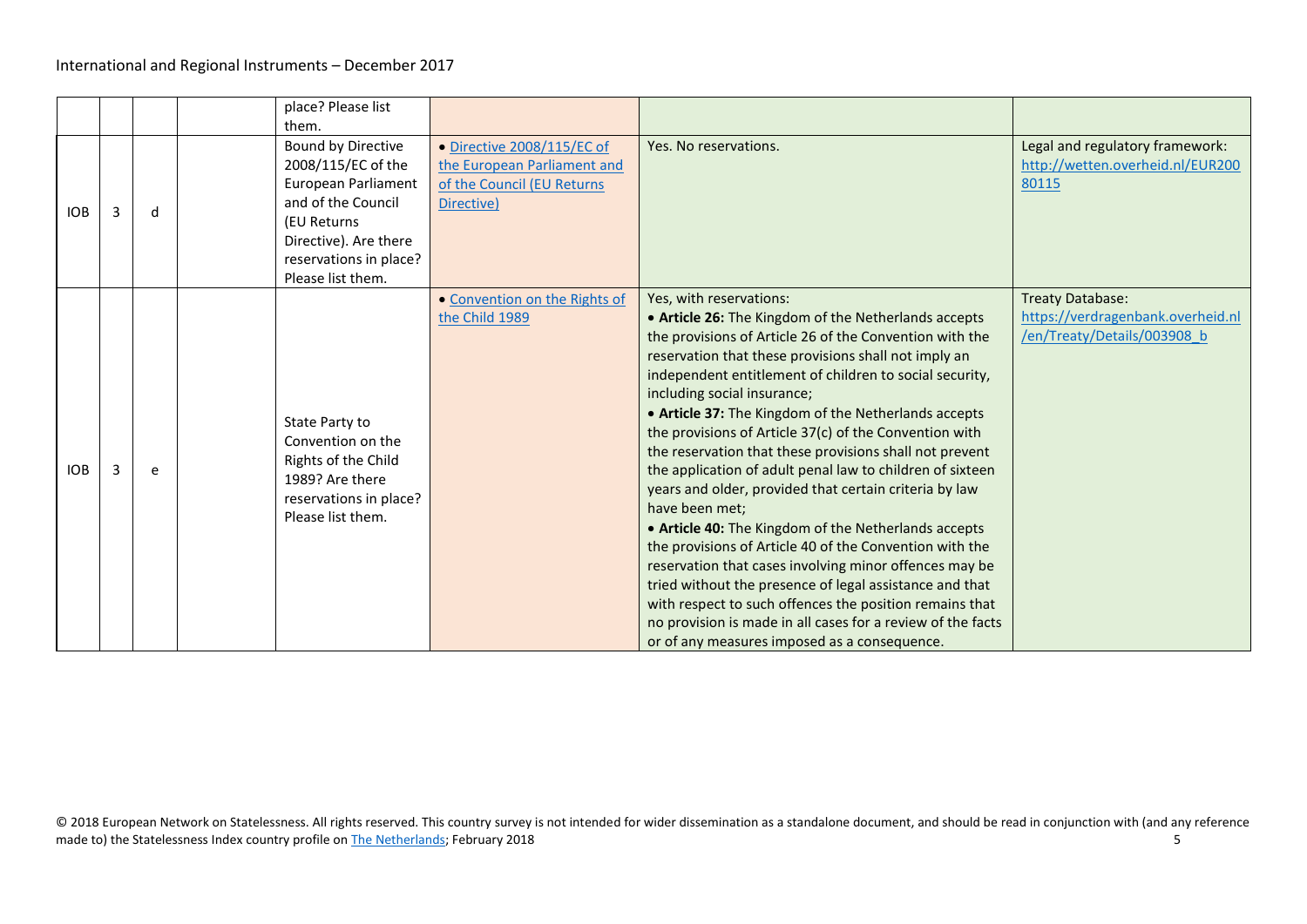|            |   |   | place? Please list<br>them.                                                                                                                                                  |                                                                                                       |                                                                                                                                                                                                                                                                                                                                                                                                                                                                                                                                                                                                                                                                                                                                                                                                                                                                                                                                                                                                                                      |                                                                                             |
|------------|---|---|------------------------------------------------------------------------------------------------------------------------------------------------------------------------------|-------------------------------------------------------------------------------------------------------|--------------------------------------------------------------------------------------------------------------------------------------------------------------------------------------------------------------------------------------------------------------------------------------------------------------------------------------------------------------------------------------------------------------------------------------------------------------------------------------------------------------------------------------------------------------------------------------------------------------------------------------------------------------------------------------------------------------------------------------------------------------------------------------------------------------------------------------------------------------------------------------------------------------------------------------------------------------------------------------------------------------------------------------|---------------------------------------------------------------------------------------------|
| <b>IOB</b> | 3 | d | Bound by Directive<br>2008/115/EC of the<br>European Parliament<br>and of the Council<br>(EU Returns<br>Directive). Are there<br>reservations in place?<br>Please list them. | • Directive 2008/115/EC of<br>the European Parliament and<br>of the Council (EU Returns<br>Directive) | Yes. No reservations.                                                                                                                                                                                                                                                                                                                                                                                                                                                                                                                                                                                                                                                                                                                                                                                                                                                                                                                                                                                                                | Legal and regulatory framework:<br>http://wetten.overheid.nl/EUR200<br>80115                |
| <b>IOB</b> |   | e | State Party to<br>Convention on the<br>Rights of the Child<br>1989? Are there<br>reservations in place?<br>Please list them.                                                 | • Convention on the Rights of<br>the Child 1989                                                       | Yes, with reservations:<br>• Article 26: The Kingdom of the Netherlands accepts<br>the provisions of Article 26 of the Convention with the<br>reservation that these provisions shall not imply an<br>independent entitlement of children to social security,<br>including social insurance;<br>• Article 37: The Kingdom of the Netherlands accepts<br>the provisions of Article 37(c) of the Convention with<br>the reservation that these provisions shall not prevent<br>the application of adult penal law to children of sixteen<br>years and older, provided that certain criteria by law<br>have been met;<br>• Article 40: The Kingdom of the Netherlands accepts<br>the provisions of Article 40 of the Convention with the<br>reservation that cases involving minor offences may be<br>tried without the presence of legal assistance and that<br>with respect to such offences the position remains that<br>no provision is made in all cases for a review of the facts<br>or of any measures imposed as a consequence. | <b>Treaty Database:</b><br>https://verdragenbank.overheid.nl<br>/en/Treaty/Details/003908 b |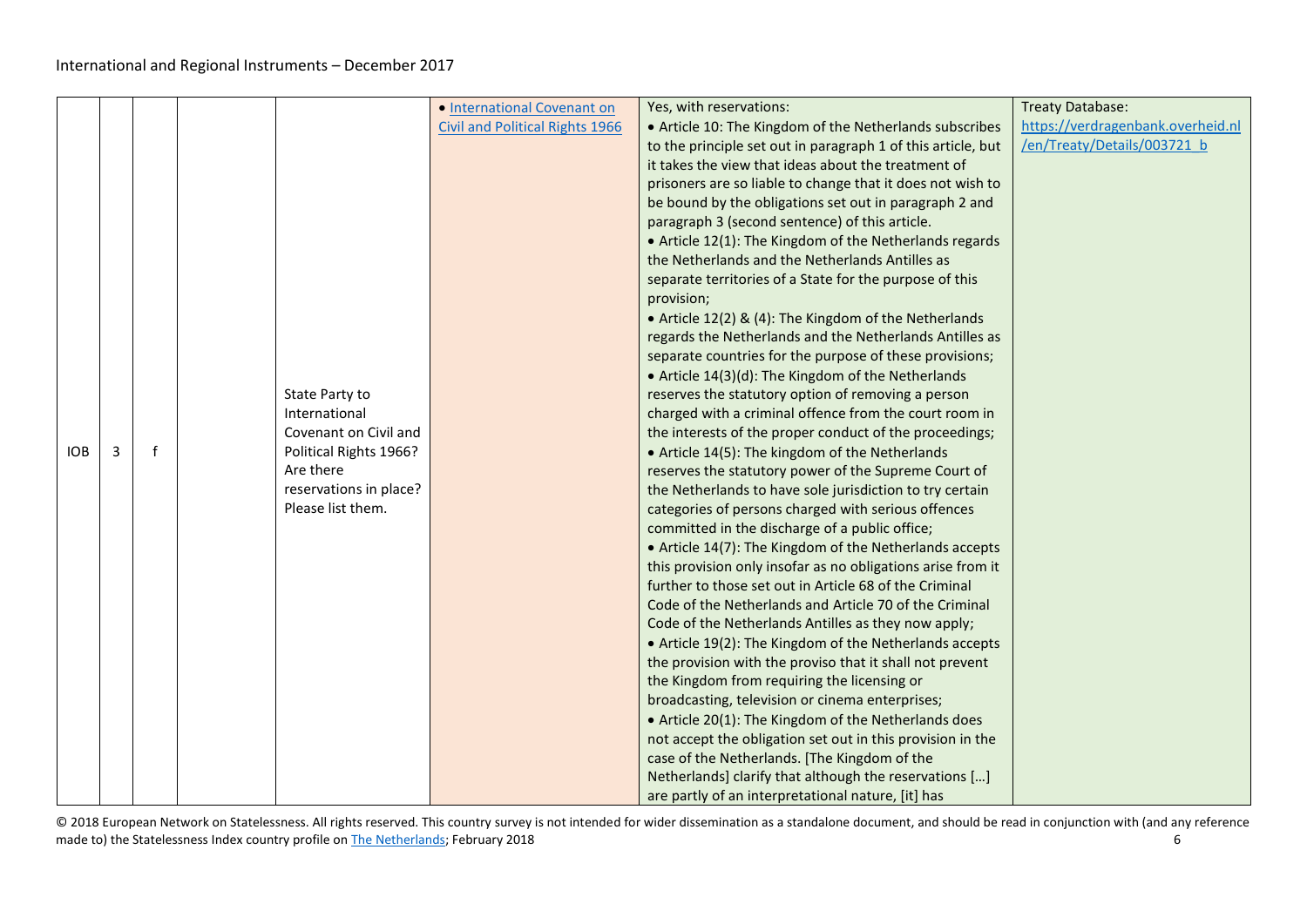|            |   |              |                        | • International Covenant on            | Yes, with reservations:                                      | Treaty Database:                  |
|------------|---|--------------|------------------------|----------------------------------------|--------------------------------------------------------------|-----------------------------------|
|            |   |              |                        | <b>Civil and Political Rights 1966</b> | • Article 10: The Kingdom of the Netherlands subscribes      | https://verdragenbank.overheid.nl |
|            |   |              |                        |                                        | to the principle set out in paragraph 1 of this article, but | /en/Treaty/Details/003721 b       |
|            |   |              |                        |                                        | it takes the view that ideas about the treatment of          |                                   |
|            |   |              |                        |                                        | prisoners are so liable to change that it does not wish to   |                                   |
|            |   |              |                        |                                        | be bound by the obligations set out in paragraph 2 and       |                                   |
|            |   |              |                        |                                        | paragraph 3 (second sentence) of this article.               |                                   |
|            |   |              |                        |                                        | • Article 12(1): The Kingdom of the Netherlands regards      |                                   |
|            |   |              |                        |                                        | the Netherlands and the Netherlands Antilles as              |                                   |
|            |   |              |                        |                                        | separate territories of a State for the purpose of this      |                                   |
|            |   |              |                        |                                        | provision;                                                   |                                   |
|            |   |              |                        |                                        | • Article 12(2) & (4): The Kingdom of the Netherlands        |                                   |
|            |   |              |                        |                                        | regards the Netherlands and the Netherlands Antilles as      |                                   |
|            |   |              |                        |                                        | separate countries for the purpose of these provisions;      |                                   |
|            |   |              |                        |                                        | • Article 14(3)(d): The Kingdom of the Netherlands           |                                   |
|            |   |              | State Party to         |                                        | reserves the statutory option of removing a person           |                                   |
|            |   |              | International          |                                        | charged with a criminal offence from the court room in       |                                   |
|            |   |              | Covenant on Civil and  |                                        | the interests of the proper conduct of the proceedings;      |                                   |
| <b>IOB</b> | 3 | $\mathbf{f}$ | Political Rights 1966? |                                        | • Article 14(5): The kingdom of the Netherlands              |                                   |
|            |   |              | Are there              |                                        | reserves the statutory power of the Supreme Court of         |                                   |
|            |   |              | reservations in place? |                                        | the Netherlands to have sole jurisdiction to try certain     |                                   |
|            |   |              | Please list them.      |                                        | categories of persons charged with serious offences          |                                   |
|            |   |              |                        |                                        | committed in the discharge of a public office;               |                                   |
|            |   |              |                        |                                        | • Article 14(7): The Kingdom of the Netherlands accepts      |                                   |
|            |   |              |                        |                                        | this provision only insofar as no obligations arise from it  |                                   |
|            |   |              |                        |                                        | further to those set out in Article 68 of the Criminal       |                                   |
|            |   |              |                        |                                        | Code of the Netherlands and Article 70 of the Criminal       |                                   |
|            |   |              |                        |                                        | Code of the Netherlands Antilles as they now apply;          |                                   |
|            |   |              |                        |                                        | • Article 19(2): The Kingdom of the Netherlands accepts      |                                   |
|            |   |              |                        |                                        | the provision with the proviso that it shall not prevent     |                                   |
|            |   |              |                        |                                        | the Kingdom from requiring the licensing or                  |                                   |
|            |   |              |                        |                                        | broadcasting, television or cinema enterprises;              |                                   |
|            |   |              |                        |                                        | • Article 20(1): The Kingdom of the Netherlands does         |                                   |
|            |   |              |                        |                                        | not accept the obligation set out in this provision in the   |                                   |
|            |   |              |                        |                                        | case of the Netherlands. [The Kingdom of the                 |                                   |
|            |   |              |                        |                                        | Netherlands] clarify that although the reservations []       |                                   |
|            |   |              |                        |                                        | are partly of an interpretational nature, [it] has           |                                   |

© 2018 European Network on Statelessness. All rights reserved. This country survey is not intended for wider dissemination as a standalone document, and should be read in conjunction with (and any reference made to) the Statelessness Index country profile o[n The Netherlands;](https://index.statelessness.eu/country/netherlands) February 2018 6 (Eq. 1991) 6 (Eq. 1991) 6 (Eq. 1991) 6 (Eq. 1991) 6 (Eq. 1991) 6 (Eq. 1991) 7 (Eq. 1991) 6 (Eq. 1991) 7 (Eq. 1991) 7 (Eq. 1991) 7 (Eq. 19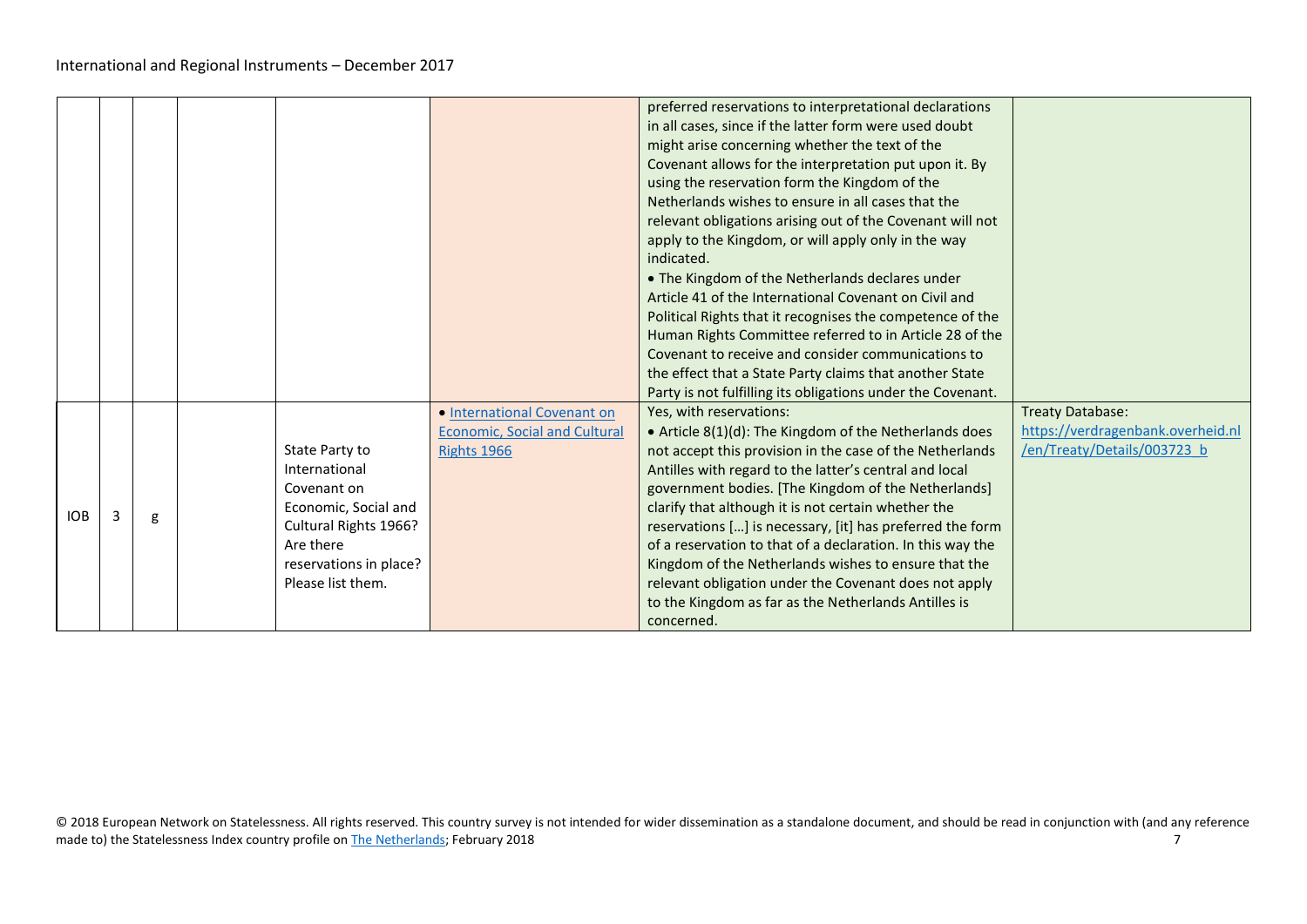|            |   |   |                                                                                                                                                             |                                                                                           | preferred reservations to interpretational declarations<br>in all cases, since if the latter form were used doubt<br>might arise concerning whether the text of the<br>Covenant allows for the interpretation put upon it. By<br>using the reservation form the Kingdom of the<br>Netherlands wishes to ensure in all cases that the<br>relevant obligations arising out of the Covenant will not<br>apply to the Kingdom, or will apply only in the way<br>indicated.<br>• The Kingdom of the Netherlands declares under<br>Article 41 of the International Covenant on Civil and<br>Political Rights that it recognises the competence of the<br>Human Rights Committee referred to in Article 28 of the<br>Covenant to receive and consider communications to<br>the effect that a State Party claims that another State<br>Party is not fulfilling its obligations under the Covenant. |                                                                                      |
|------------|---|---|-------------------------------------------------------------------------------------------------------------------------------------------------------------|-------------------------------------------------------------------------------------------|--------------------------------------------------------------------------------------------------------------------------------------------------------------------------------------------------------------------------------------------------------------------------------------------------------------------------------------------------------------------------------------------------------------------------------------------------------------------------------------------------------------------------------------------------------------------------------------------------------------------------------------------------------------------------------------------------------------------------------------------------------------------------------------------------------------------------------------------------------------------------------------------|--------------------------------------------------------------------------------------|
| <b>IOB</b> | 3 | g | State Party to<br>International<br>Covenant on<br>Economic, Social and<br>Cultural Rights 1966?<br>Are there<br>reservations in place?<br>Please list them. | · International Covenant on<br><b>Economic. Social and Cultural</b><br><b>Rights 1966</b> | Yes, with reservations:<br>• Article 8(1)(d): The Kingdom of the Netherlands does<br>not accept this provision in the case of the Netherlands<br>Antilles with regard to the latter's central and local<br>government bodies. [The Kingdom of the Netherlands]<br>clarify that although it is not certain whether the<br>reservations [] is necessary, [it] has preferred the form<br>of a reservation to that of a declaration. In this way the<br>Kingdom of the Netherlands wishes to ensure that the<br>relevant obligation under the Covenant does not apply<br>to the Kingdom as far as the Netherlands Antilles is<br>concerned.                                                                                                                                                                                                                                                    | Treaty Database:<br>https://verdragenbank.overheid.nl<br>/en/Treaty/Details/003723 b |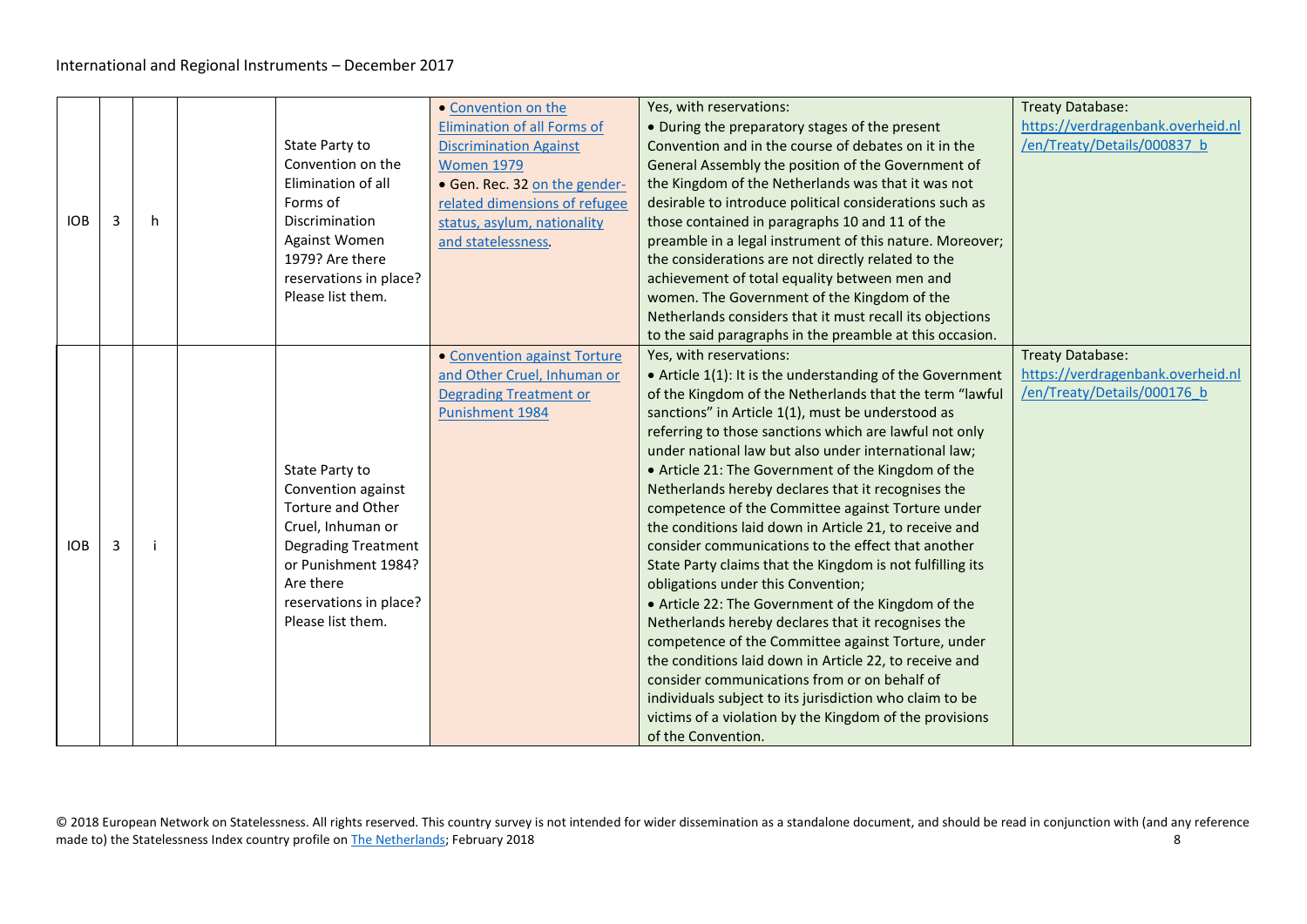| <b>IOB</b> | 3 | h | State Party to<br>Convention on the<br>Elimination of all<br>Forms of<br>Discrimination<br><b>Against Women</b><br>1979? Are there<br>reservations in place?<br>Please list them.                      | • Convention on the<br><b>Elimination of all Forms of</b><br><b>Discrimination Against</b><br><b>Women 1979</b><br>· Gen. Rec. 32 on the gender-<br>related dimensions of refugee<br>status, asylum, nationality<br>and statelessness. | Yes, with reservations:<br>• During the preparatory stages of the present<br>Convention and in the course of debates on it in the<br>General Assembly the position of the Government of<br>the Kingdom of the Netherlands was that it was not<br>desirable to introduce political considerations such as<br>those contained in paragraphs 10 and 11 of the<br>preamble in a legal instrument of this nature. Moreover;<br>the considerations are not directly related to the<br>achievement of total equality between men and<br>women. The Government of the Kingdom of the<br>Netherlands considers that it must recall its objections<br>to the said paragraphs in the preamble at this occasion.                                                                                                                                                                                                                                                                                                                                                                                                                               | <b>Treaty Database:</b><br>https://verdragenbank.overheid.nl<br>/en/Treaty/Details/000837 b |
|------------|---|---|--------------------------------------------------------------------------------------------------------------------------------------------------------------------------------------------------------|----------------------------------------------------------------------------------------------------------------------------------------------------------------------------------------------------------------------------------------|------------------------------------------------------------------------------------------------------------------------------------------------------------------------------------------------------------------------------------------------------------------------------------------------------------------------------------------------------------------------------------------------------------------------------------------------------------------------------------------------------------------------------------------------------------------------------------------------------------------------------------------------------------------------------------------------------------------------------------------------------------------------------------------------------------------------------------------------------------------------------------------------------------------------------------------------------------------------------------------------------------------------------------------------------------------------------------------------------------------------------------|---------------------------------------------------------------------------------------------|
| <b>IOB</b> | 3 |   | State Party to<br>Convention against<br><b>Torture and Other</b><br>Cruel, Inhuman or<br><b>Degrading Treatment</b><br>or Punishment 1984?<br>Are there<br>reservations in place?<br>Please list them. | • Convention against Torture<br>and Other Cruel, Inhuman or<br><b>Degrading Treatment or</b><br>Punishment 1984                                                                                                                        | Yes, with reservations:<br>• Article 1(1): It is the understanding of the Government<br>of the Kingdom of the Netherlands that the term "lawful<br>sanctions" in Article 1(1), must be understood as<br>referring to those sanctions which are lawful not only<br>under national law but also under international law;<br>• Article 21: The Government of the Kingdom of the<br>Netherlands hereby declares that it recognises the<br>competence of the Committee against Torture under<br>the conditions laid down in Article 21, to receive and<br>consider communications to the effect that another<br>State Party claims that the Kingdom is not fulfilling its<br>obligations under this Convention;<br>• Article 22: The Government of the Kingdom of the<br>Netherlands hereby declares that it recognises the<br>competence of the Committee against Torture, under<br>the conditions laid down in Article 22, to receive and<br>consider communications from or on behalf of<br>individuals subject to its jurisdiction who claim to be<br>victims of a violation by the Kingdom of the provisions<br>of the Convention. | Treaty Database:<br>https://verdragenbank.overheid.nl<br>/en/Treaty/Details/000176 b        |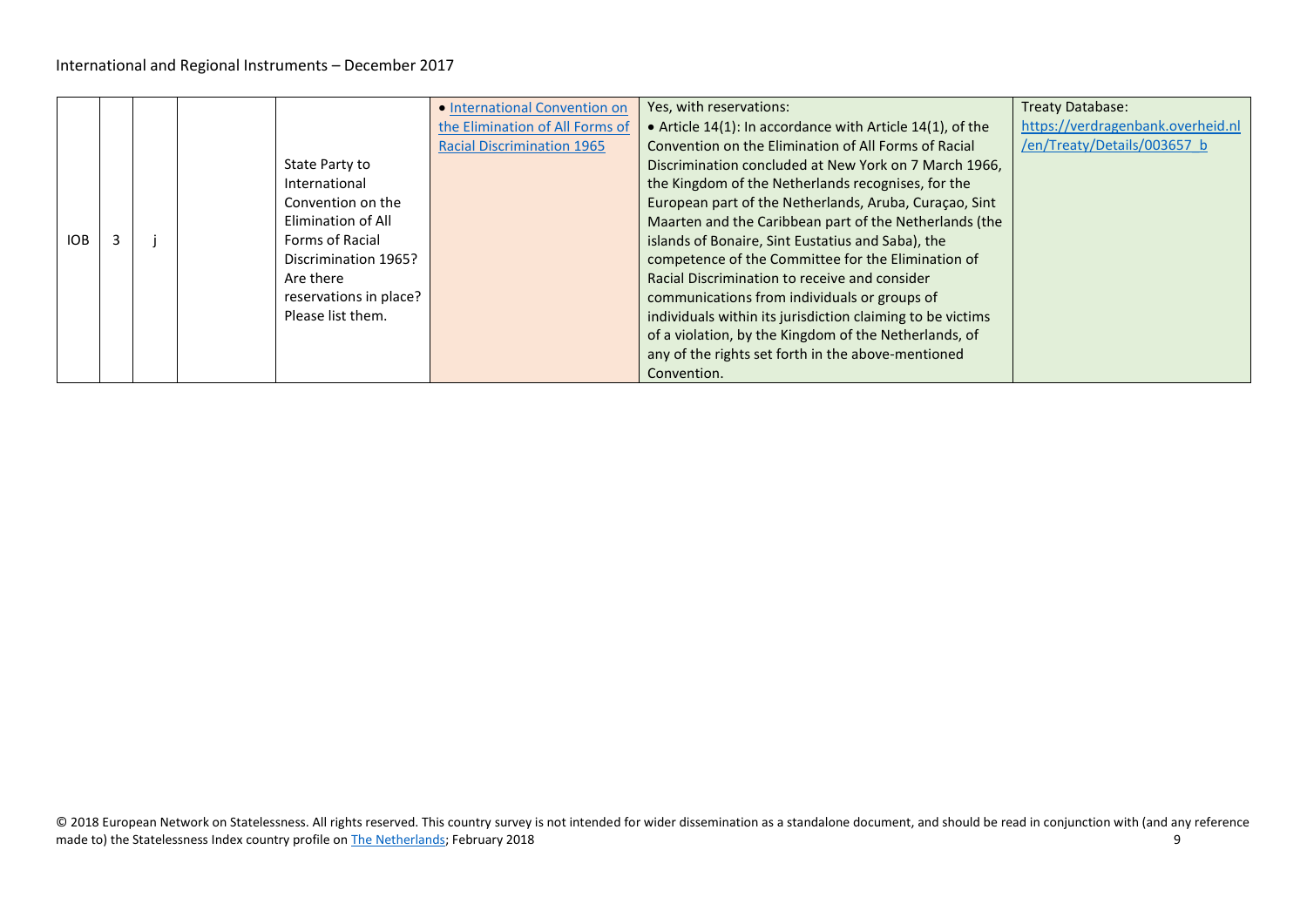|     |  |                        | • International Convention on     | Yes, with reservations:                                    | <b>Treaty Database:</b>           |
|-----|--|------------------------|-----------------------------------|------------------------------------------------------------|-----------------------------------|
|     |  |                        | the Elimination of All Forms of   | • Article 14(1): In accordance with Article 14(1), of the  | https://verdragenbank.overheid.nl |
|     |  |                        | <b>Racial Discrimination 1965</b> | Convention on the Elimination of All Forms of Racial       | /en/Treaty/Details/003657 b       |
|     |  | State Party to         |                                   | Discrimination concluded at New York on 7 March 1966,      |                                   |
|     |  | International          |                                   | the Kingdom of the Netherlands recognises, for the         |                                   |
|     |  | Convention on the      |                                   | European part of the Netherlands, Aruba, Curaçao, Sint     |                                   |
|     |  | Elimination of All     |                                   | Maarten and the Caribbean part of the Netherlands (the     |                                   |
| IOB |  | Forms of Racial        |                                   | islands of Bonaire, Sint Eustatius and Saba), the          |                                   |
|     |  | Discrimination 1965?   |                                   | competence of the Committee for the Elimination of         |                                   |
|     |  | Are there              |                                   | Racial Discrimination to receive and consider              |                                   |
|     |  | reservations in place? |                                   | communications from individuals or groups of               |                                   |
|     |  | Please list them.      |                                   | individuals within its jurisdiction claiming to be victims |                                   |
|     |  |                        |                                   | of a violation, by the Kingdom of the Netherlands, of      |                                   |
|     |  |                        |                                   | any of the rights set forth in the above-mentioned         |                                   |
|     |  |                        |                                   | Convention.                                                |                                   |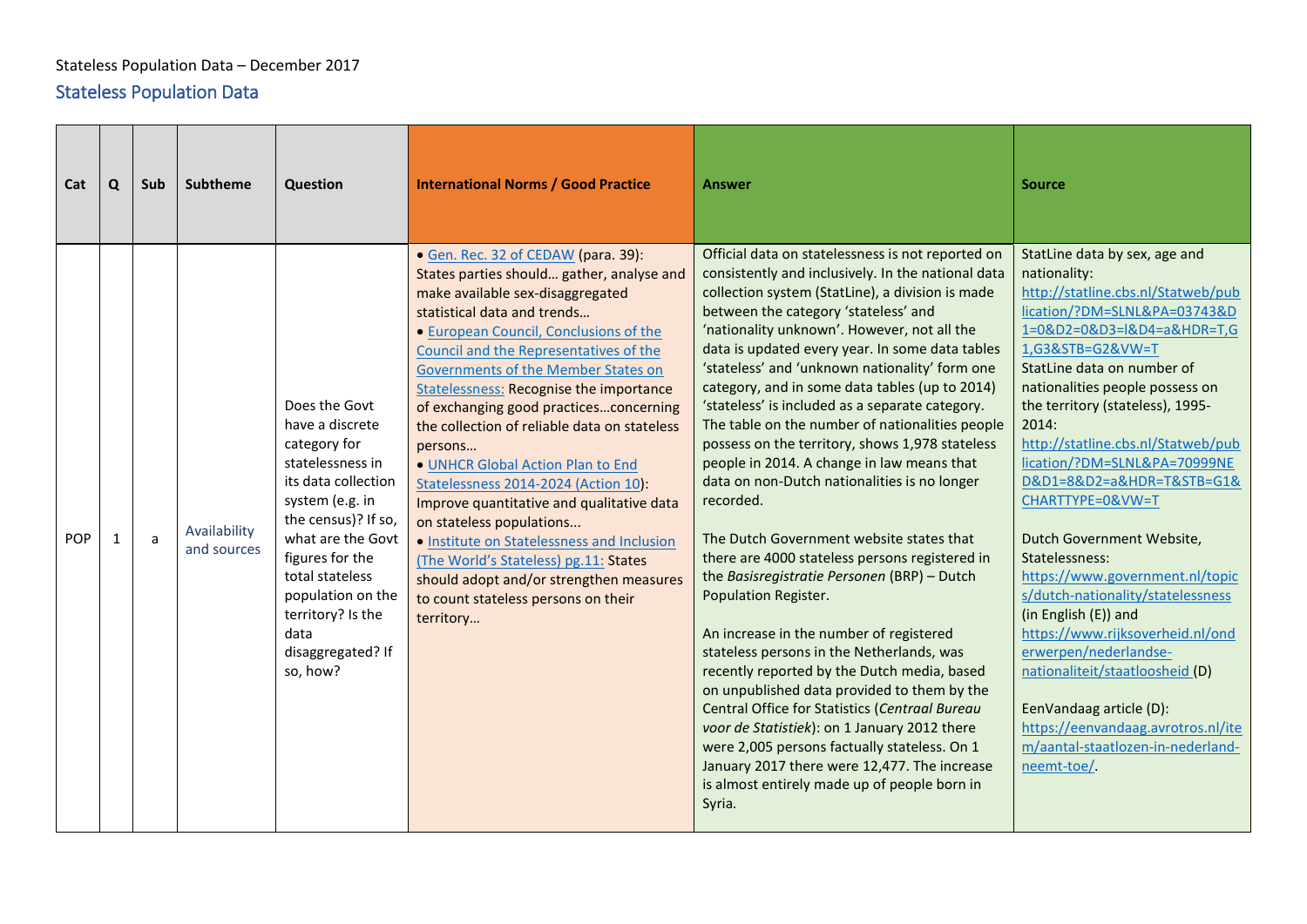### Stateless Population Data – December 2017

# <span id="page-9-0"></span>Stateless Population Data

<span id="page-9-1"></span>

| Cat        | Q            | Sub | <b>Subtheme</b>             | Question                                                                                                                                                                                                                                                                            | <b>International Norms / Good Practice</b>                                                                                                                                                                                                                                                                                                                                                                                                                                                                                                                                                                                                                                                                                                                                        | <b>Answer</b>                                                                                                                                                                                                                                                                                                                                                                                                                                                                                                                                                                                                                                                                                                                                                                                                                                                                                                                                                                                                                                                                                                                                                                                                                                                                                        | <b>Source</b>                                                                                                                                                                                                                                                                                                                                                                                                                                                                                                                                                                                                                                                                                                                                                                  |
|------------|--------------|-----|-----------------------------|-------------------------------------------------------------------------------------------------------------------------------------------------------------------------------------------------------------------------------------------------------------------------------------|-----------------------------------------------------------------------------------------------------------------------------------------------------------------------------------------------------------------------------------------------------------------------------------------------------------------------------------------------------------------------------------------------------------------------------------------------------------------------------------------------------------------------------------------------------------------------------------------------------------------------------------------------------------------------------------------------------------------------------------------------------------------------------------|------------------------------------------------------------------------------------------------------------------------------------------------------------------------------------------------------------------------------------------------------------------------------------------------------------------------------------------------------------------------------------------------------------------------------------------------------------------------------------------------------------------------------------------------------------------------------------------------------------------------------------------------------------------------------------------------------------------------------------------------------------------------------------------------------------------------------------------------------------------------------------------------------------------------------------------------------------------------------------------------------------------------------------------------------------------------------------------------------------------------------------------------------------------------------------------------------------------------------------------------------------------------------------------------------|--------------------------------------------------------------------------------------------------------------------------------------------------------------------------------------------------------------------------------------------------------------------------------------------------------------------------------------------------------------------------------------------------------------------------------------------------------------------------------------------------------------------------------------------------------------------------------------------------------------------------------------------------------------------------------------------------------------------------------------------------------------------------------|
| <b>POP</b> | $\mathbf{1}$ | a   | Availability<br>and sources | Does the Govt<br>have a discrete<br>category for<br>statelessness in<br>its data collection<br>system (e.g. in<br>the census)? If so,<br>what are the Govt<br>figures for the<br>total stateless<br>population on the<br>territory? Is the<br>data<br>disaggregated? If<br>so, how? | • Gen. Rec. 32 of CEDAW (para. 39):<br>States parties should gather, analyse and<br>make available sex-disaggregated<br>statistical data and trends<br>• European Council, Conclusions of the<br>Council and the Representatives of the<br>Governments of the Member States on<br><b>Statelessness: Recognise the importance</b><br>of exchanging good practicesconcerning<br>the collection of reliable data on stateless<br>persons<br>. UNHCR Global Action Plan to End<br>Statelessness 2014-2024 (Action 10):<br>Improve quantitative and qualitative data<br>on stateless populations<br>· Institute on Statelessness and Inclusion<br>(The World's Stateless) pg.11: States<br>should adopt and/or strengthen measures<br>to count stateless persons on their<br>territory | Official data on statelessness is not reported on<br>consistently and inclusively. In the national data<br>collection system (StatLine), a division is made<br>between the category 'stateless' and<br>'nationality unknown'. However, not all the<br>data is updated every year. In some data tables<br>'stateless' and 'unknown nationality' form one<br>category, and in some data tables (up to 2014)<br>'stateless' is included as a separate category.<br>The table on the number of nationalities people<br>possess on the territory, shows 1,978 stateless<br>people in 2014. A change in law means that<br>data on non-Dutch nationalities is no longer<br>recorded.<br>The Dutch Government website states that<br>there are 4000 stateless persons registered in<br>the Basisregistratie Personen (BRP) - Dutch<br>Population Register.<br>An increase in the number of registered<br>stateless persons in the Netherlands, was<br>recently reported by the Dutch media, based<br>on unpublished data provided to them by the<br>Central Office for Statistics (Centraal Bureau<br>voor de Statistiek): on 1 January 2012 there<br>were 2,005 persons factually stateless. On 1<br>January 2017 there were 12,477. The increase<br>is almost entirely made up of people born in<br>Syria. | StatLine data by sex, age and<br>nationality:<br>http://statline.cbs.nl/Statweb/pub<br>lication/?DM=SLNL&PA=03743&D<br>1=0&D2=0&D3=I&D4=a&HDR=T,G<br>1,G3&STB=G2&VW=T<br>StatLine data on number of<br>nationalities people possess on<br>the territory (stateless), 1995-<br>2014:<br>http://statline.cbs.nl/Statweb/pub<br>lication/?DM=SLNL&PA=70999NE<br>D&D1=8&D2=a&HDR=T&STB=G1&<br>CHARTTYPE=0&VW=T<br>Dutch Government Website,<br>Statelessness:<br>https://www.government.nl/topic<br>s/dutch-nationality/statelessness<br>(in English (E)) and<br>https://www.rijksoverheid.nl/ond<br>erwerpen/nederlandse-<br>nationaliteit/staatloosheid (D)<br>EenVandaag article (D):<br>https://eenvandaag.avrotros.nl/ite<br>m/aantal-staatlozen-in-nederland-<br>neemt-toe/. |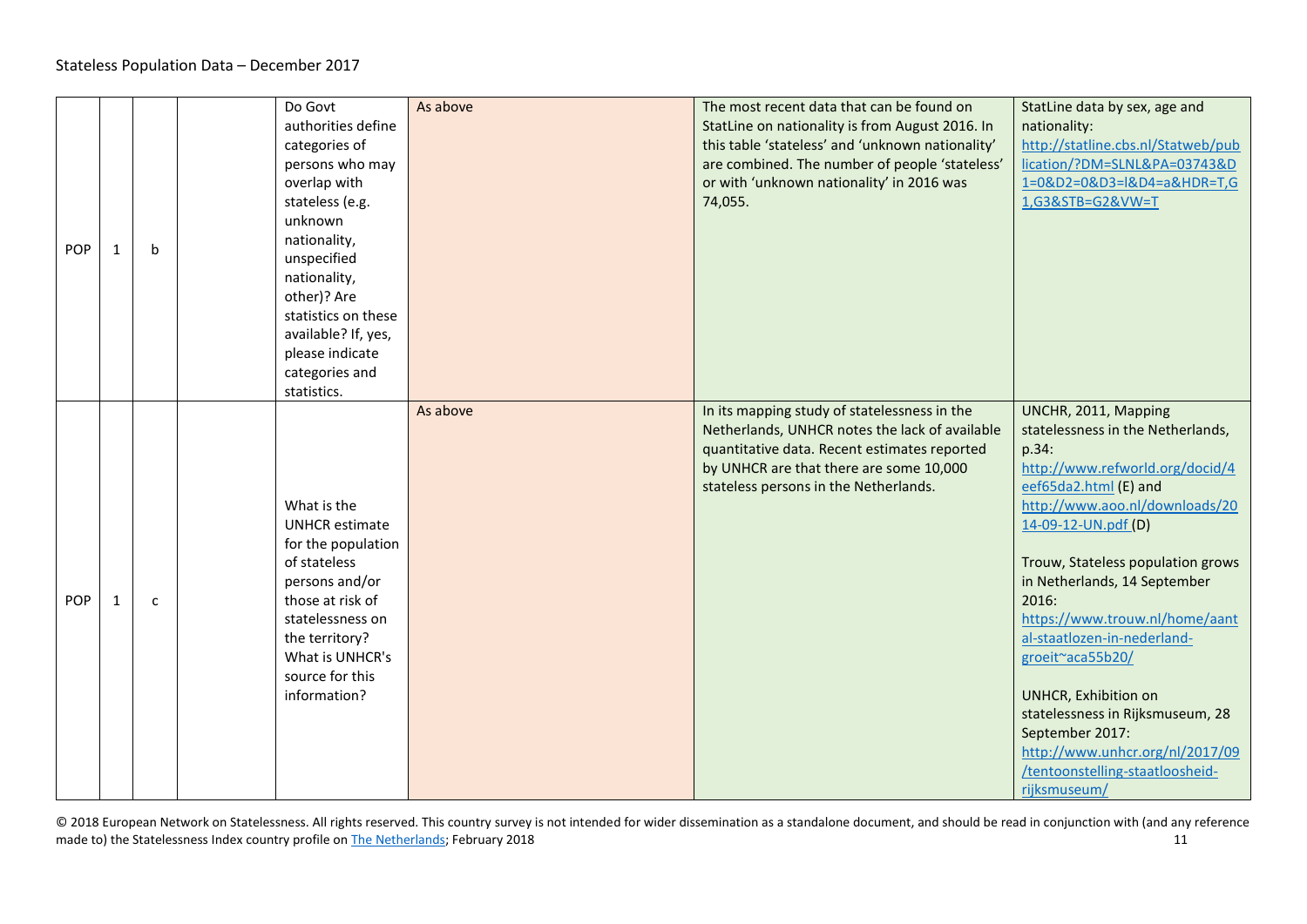| POP | 1            | $\mathbf b$  | Do Govt<br>authorities define<br>categories of<br>persons who may<br>overlap with<br>stateless (e.g.<br>unknown<br>nationality,<br>unspecified<br>nationality,<br>other)? Are<br>statistics on these<br>available? If, yes,<br>please indicate<br>categories and<br>statistics. | As above | The most recent data that can be found on<br>StatLine on nationality is from August 2016. In<br>this table 'stateless' and 'unknown nationality'<br>are combined. The number of people 'stateless'<br>or with 'unknown nationality' in 2016 was<br>74,055. | StatLine data by sex, age and<br>nationality:<br>http://statline.cbs.nl/Statweb/pub<br>lication/?DM=SLNL&PA=03743&D<br>1=0&D2=0&D3=l&D4=a&HDR=T,G<br>1,G3&STB=G2&VW=T                                                                                                                                                                                                                                                                                                                                                                  |
|-----|--------------|--------------|---------------------------------------------------------------------------------------------------------------------------------------------------------------------------------------------------------------------------------------------------------------------------------|----------|------------------------------------------------------------------------------------------------------------------------------------------------------------------------------------------------------------------------------------------------------------|----------------------------------------------------------------------------------------------------------------------------------------------------------------------------------------------------------------------------------------------------------------------------------------------------------------------------------------------------------------------------------------------------------------------------------------------------------------------------------------------------------------------------------------|
| POP | $\mathbf{1}$ | $\mathsf{C}$ | What is the<br><b>UNHCR</b> estimate<br>for the population<br>of stateless<br>persons and/or<br>those at risk of<br>statelessness on<br>the territory?<br>What is UNHCR's<br>source for this<br>information?                                                                    | As above | In its mapping study of statelessness in the<br>Netherlands, UNHCR notes the lack of available<br>quantitative data. Recent estimates reported<br>by UNHCR are that there are some 10,000<br>stateless persons in the Netherlands.                         | UNCHR, 2011, Mapping<br>statelessness in the Netherlands,<br>p.34:<br>http://www.refworld.org/docid/4<br>eef65da2.html (E) and<br>http://www.aoo.nl/downloads/20<br>14-09-12-UN.pdf (D)<br>Trouw, Stateless population grows<br>in Netherlands, 14 September<br>2016:<br>https://www.trouw.nl/home/aant<br>al-staatlozen-in-nederland-<br>groeit~aca55b20/<br><b>UNHCR, Exhibition on</b><br>statelessness in Rijksmuseum, 28<br>September 2017:<br>http://www.unhcr.org/nl/2017/09<br>/tentoonstelling-staatloosheid-<br>rijksmuseum/ |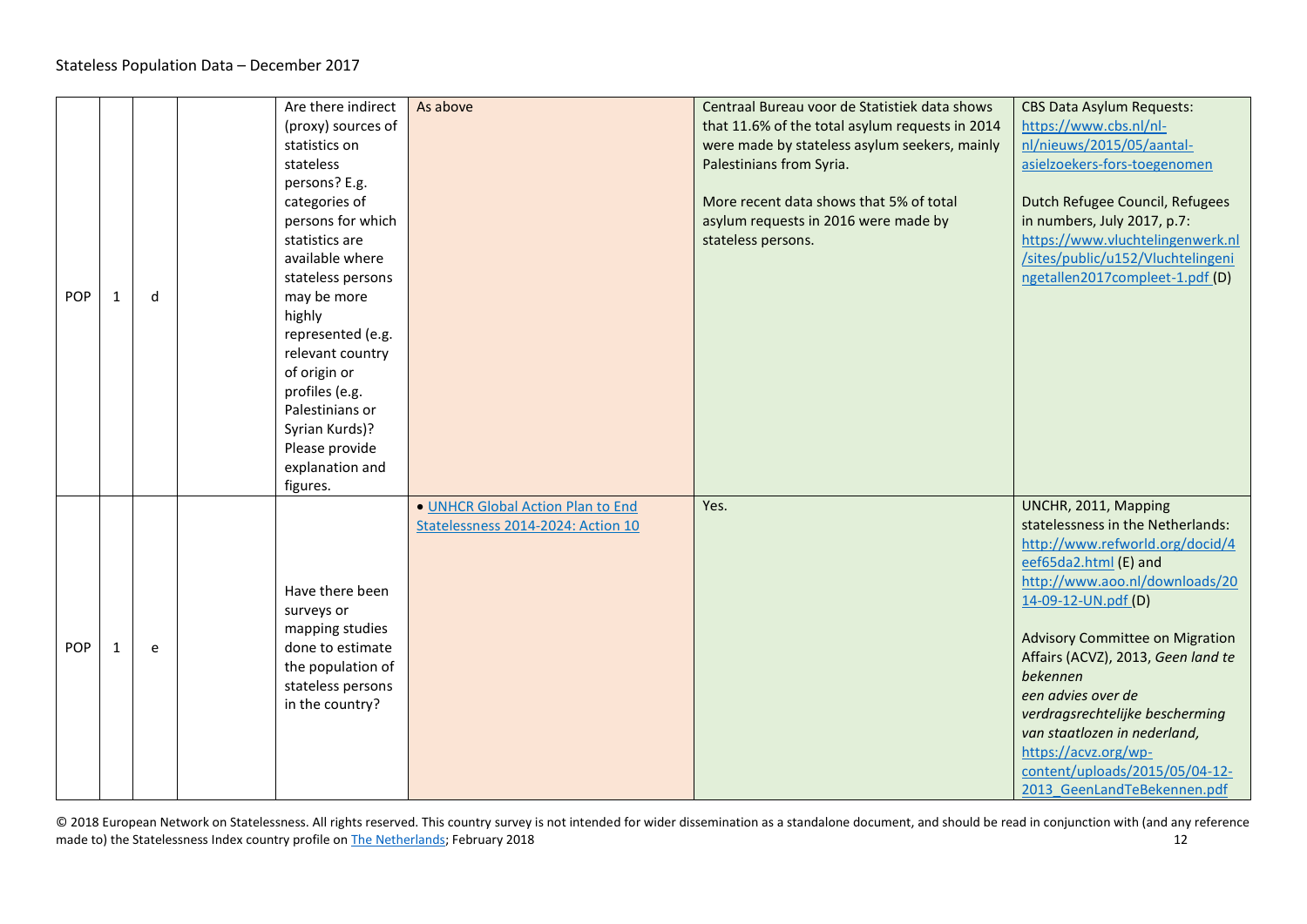| <b>POP</b> | 1 | d | Are there indirect<br>(proxy) sources of<br>statistics on<br>stateless<br>persons? E.g.<br>categories of<br>persons for which<br>statistics are<br>available where<br>stateless persons<br>may be more<br>highly<br>represented (e.g.<br>relevant country<br>of origin or<br>profiles (e.g.<br>Palestinians or<br>Syrian Kurds)? | As above                                                                | Centraal Bureau voor de Statistiek data shows<br>that 11.6% of the total asylum requests in 2014<br>were made by stateless asylum seekers, mainly<br>Palestinians from Syria.<br>More recent data shows that 5% of total<br>asylum requests in 2016 were made by<br>stateless persons. | <b>CBS Data Asylum Requests:</b><br>https://www.cbs.nl/nl-<br>nl/nieuws/2015/05/aantal-<br>asielzoekers-fors-toegenomen<br>Dutch Refugee Council, Refugees<br>in numbers, July 2017, p.7:<br>https://www.vluchtelingenwerk.nl<br>/sites/public/u152/Vluchtelingeni<br>ngetallen2017compleet-1.pdf (D)                                                        |
|------------|---|---|----------------------------------------------------------------------------------------------------------------------------------------------------------------------------------------------------------------------------------------------------------------------------------------------------------------------------------|-------------------------------------------------------------------------|----------------------------------------------------------------------------------------------------------------------------------------------------------------------------------------------------------------------------------------------------------------------------------------|--------------------------------------------------------------------------------------------------------------------------------------------------------------------------------------------------------------------------------------------------------------------------------------------------------------------------------------------------------------|
|            |   |   | Please provide<br>explanation and<br>figures.                                                                                                                                                                                                                                                                                    | . UNHCR Global Action Plan to End<br>Statelessness 2014-2024: Action 10 | Yes.                                                                                                                                                                                                                                                                                   | UNCHR, 2011, Mapping<br>statelessness in the Netherlands:<br>http://www.refworld.org/docid/4                                                                                                                                                                                                                                                                 |
| <b>POP</b> | 1 | e | Have there been<br>surveys or<br>mapping studies<br>done to estimate<br>the population of<br>stateless persons<br>in the country?                                                                                                                                                                                                |                                                                         |                                                                                                                                                                                                                                                                                        | eef65da2.html (E) and<br>http://www.aoo.nl/downloads/20<br>14-09-12-UN.pdf (D)<br><b>Advisory Committee on Migration</b><br>Affairs (ACVZ), 2013, Geen land te<br>bekennen<br>een advies over de<br>verdragsrechtelijke bescherming<br>van staatlozen in nederland,<br>https://acvz.org/wp-<br>content/uploads/2015/05/04-12-<br>2013 GeenLandTeBekennen.pdf |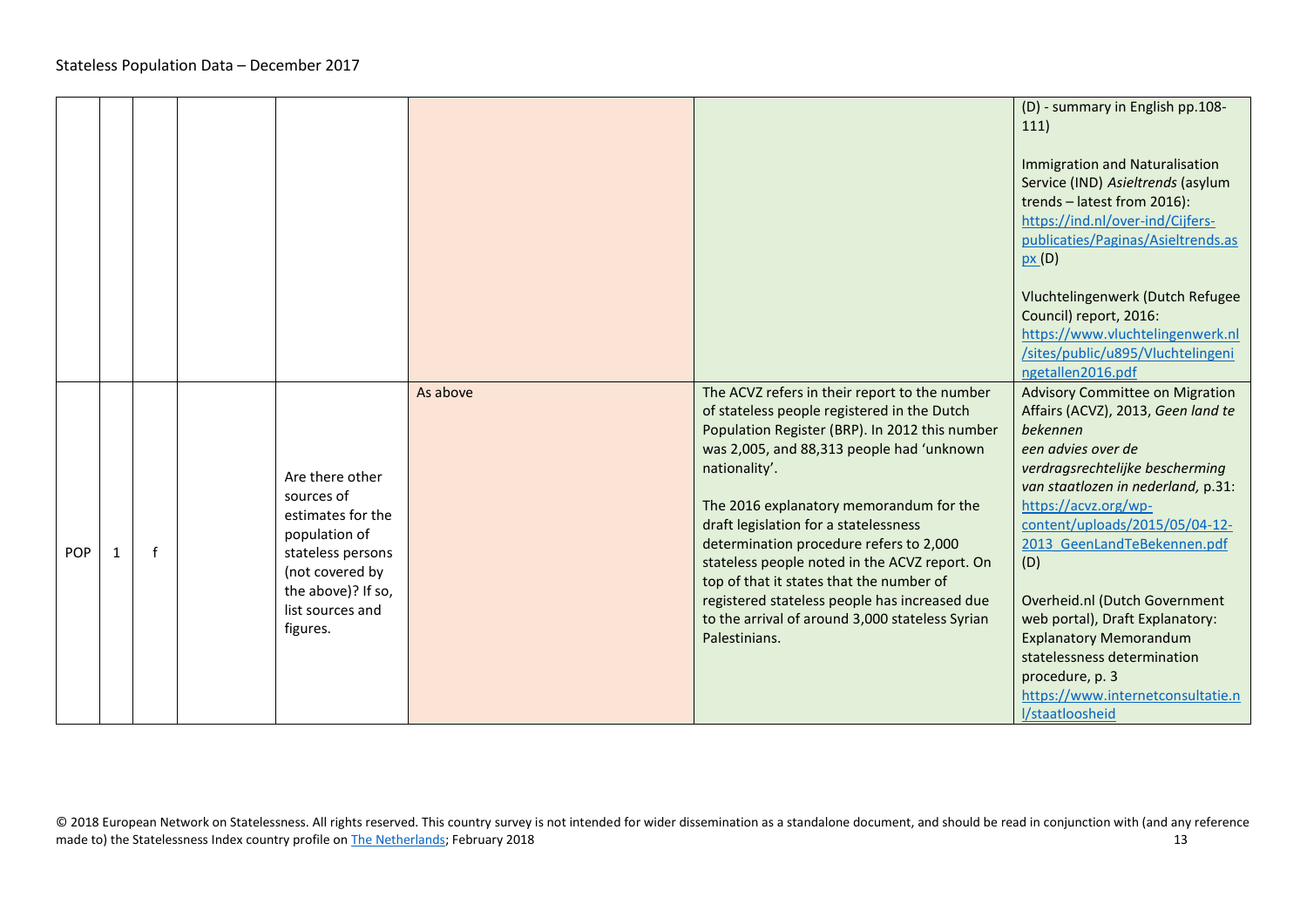|     |   |              |                                                                                                                                                                   |          |                                                                                                                                                                                                                                                                                                                                                                                                                                                                                                                                                               | (D) - summary in English pp.108-<br>111)<br>Immigration and Naturalisation<br>Service (IND) Asieltrends (asylum<br>trends - latest from 2016):<br>https://ind.nl/over-ind/Cijfers-<br>publicaties/Paginas/Asieltrends.as<br>px(D)<br>Vluchtelingenwerk (Dutch Refugee<br>Council) report, 2016:<br>https://www.vluchtelingenwerk.nl<br>/sites/public/u895/Vluchtelingeni<br>ngetallen2016.pdf                                                                                                          |
|-----|---|--------------|-------------------------------------------------------------------------------------------------------------------------------------------------------------------|----------|---------------------------------------------------------------------------------------------------------------------------------------------------------------------------------------------------------------------------------------------------------------------------------------------------------------------------------------------------------------------------------------------------------------------------------------------------------------------------------------------------------------------------------------------------------------|--------------------------------------------------------------------------------------------------------------------------------------------------------------------------------------------------------------------------------------------------------------------------------------------------------------------------------------------------------------------------------------------------------------------------------------------------------------------------------------------------------|
| POP | 1 | $\mathsf{f}$ | Are there other<br>sources of<br>estimates for the<br>population of<br>stateless persons<br>(not covered by<br>the above)? If so,<br>list sources and<br>figures. | As above | The ACVZ refers in their report to the number<br>of stateless people registered in the Dutch<br>Population Register (BRP). In 2012 this number<br>was 2,005, and 88,313 people had 'unknown<br>nationality'.<br>The 2016 explanatory memorandum for the<br>draft legislation for a statelessness<br>determination procedure refers to 2,000<br>stateless people noted in the ACVZ report. On<br>top of that it states that the number of<br>registered stateless people has increased due<br>to the arrival of around 3,000 stateless Syrian<br>Palestinians. | <b>Advisory Committee on Migration</b><br>Affairs (ACVZ), 2013, Geen land te<br>bekennen<br>een advies over de<br>verdragsrechtelijke bescherming<br>van staatlozen in nederland, p.31:<br>https://acvz.org/wp-<br>content/uploads/2015/05/04-12-<br>2013 GeenLandTeBekennen.pdf<br>(D)<br>Overheid.nl (Dutch Government<br>web portal), Draft Explanatory:<br><b>Explanatory Memorandum</b><br>statelessness determination<br>procedure, p. 3<br>https://www.internetconsultatie.n<br>l/staatloosheid |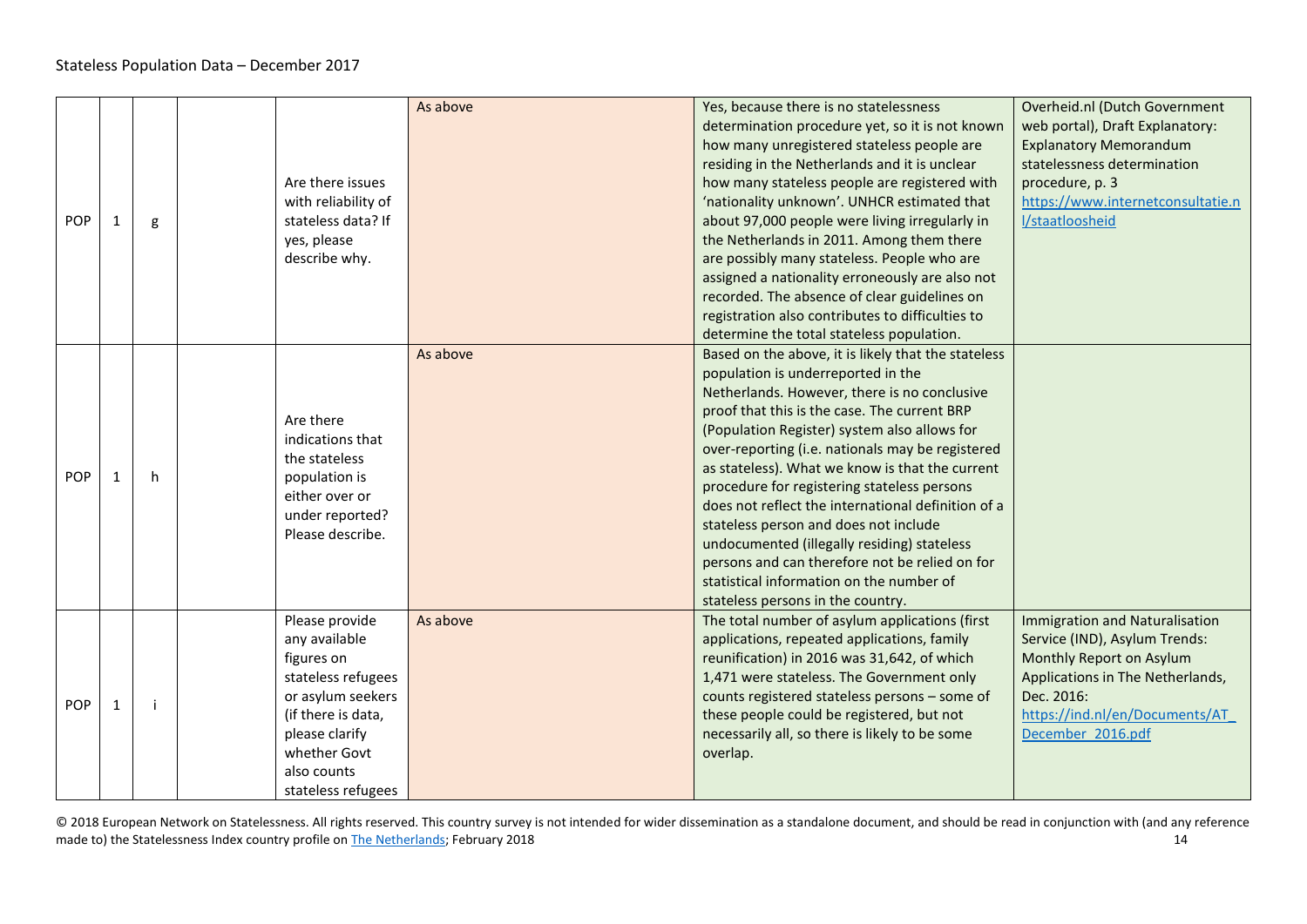| POP        | 1            | g | Are there issues<br>with reliability of<br>stateless data? If<br>yes, please<br>describe why.                                                                                         | As above | Yes, because there is no statelessness<br>determination procedure yet, so it is not known<br>how many unregistered stateless people are<br>residing in the Netherlands and it is unclear<br>how many stateless people are registered with<br>'nationality unknown'. UNHCR estimated that<br>about 97,000 people were living irregularly in<br>the Netherlands in 2011. Among them there<br>are possibly many stateless. People who are<br>assigned a nationality erroneously are also not<br>recorded. The absence of clear guidelines on<br>registration also contributes to difficulties to<br>determine the total stateless population.                                       | Overheid.nl (Dutch Government<br>web portal), Draft Explanatory:<br><b>Explanatory Memorandum</b><br>statelessness determination<br>procedure, p. 3<br>https://www.internetconsultatie.n<br>l/staatloosheid |
|------------|--------------|---|---------------------------------------------------------------------------------------------------------------------------------------------------------------------------------------|----------|----------------------------------------------------------------------------------------------------------------------------------------------------------------------------------------------------------------------------------------------------------------------------------------------------------------------------------------------------------------------------------------------------------------------------------------------------------------------------------------------------------------------------------------------------------------------------------------------------------------------------------------------------------------------------------|-------------------------------------------------------------------------------------------------------------------------------------------------------------------------------------------------------------|
| POP        | 1            | h | Are there<br>indications that<br>the stateless<br>population is<br>either over or<br>under reported?<br>Please describe.                                                              | As above | Based on the above, it is likely that the stateless<br>population is underreported in the<br>Netherlands. However, there is no conclusive<br>proof that this is the case. The current BRP<br>(Population Register) system also allows for<br>over-reporting (i.e. nationals may be registered<br>as stateless). What we know is that the current<br>procedure for registering stateless persons<br>does not reflect the international definition of a<br>stateless person and does not include<br>undocumented (illegally residing) stateless<br>persons and can therefore not be relied on for<br>statistical information on the number of<br>stateless persons in the country. |                                                                                                                                                                                                             |
| <b>POP</b> | $\mathbf{1}$ | ÷ | Please provide<br>any available<br>figures on<br>stateless refugees<br>or asylum seekers<br>(if there is data,<br>please clarify<br>whether Govt<br>also counts<br>stateless refugees | As above | The total number of asylum applications (first<br>applications, repeated applications, family<br>reunification) in 2016 was 31,642, of which<br>1,471 were stateless. The Government only<br>counts registered stateless persons - some of<br>these people could be registered, but not<br>necessarily all, so there is likely to be some<br>overlap.                                                                                                                                                                                                                                                                                                                            | <b>Immigration and Naturalisation</b><br>Service (IND), Asylum Trends:<br>Monthly Report on Asylum<br>Applications in The Netherlands,<br>Dec. 2016:<br>https://ind.nl/en/Documents/AT<br>December 2016.pdf |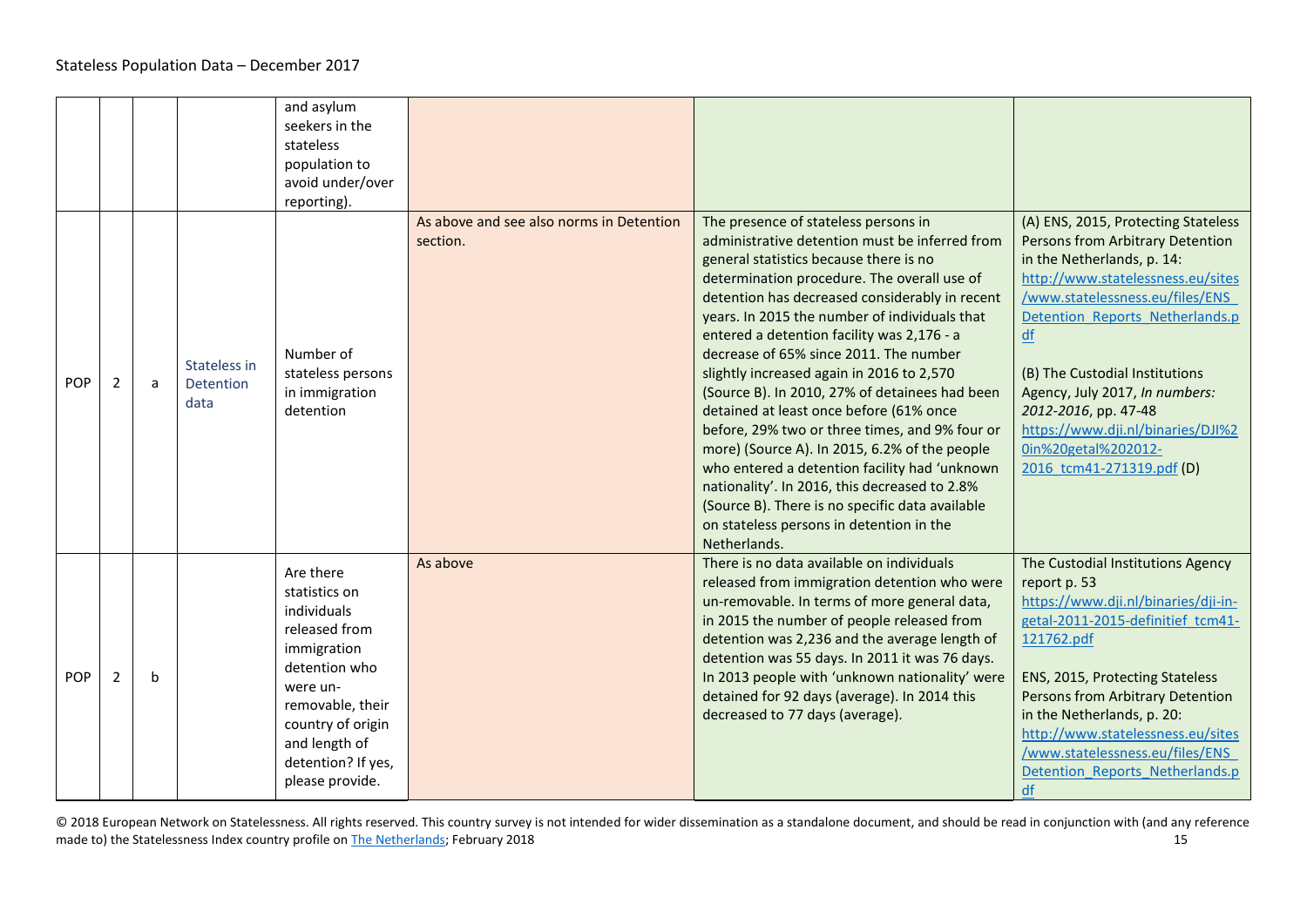<span id="page-14-0"></span>

|            |                |             |                                   | and asylum<br>seekers in the<br>stateless<br>population to<br>avoid under/over<br>reporting).                                                                                                             |                                                      |                                                                                                                                                                                                                                                                                                                                                                                                                                                                                                                                                                                                                                                                                                                                                                                                                                          |                                                                                                                                                                                                                                                                                                                                                                                                                    |
|------------|----------------|-------------|-----------------------------------|-----------------------------------------------------------------------------------------------------------------------------------------------------------------------------------------------------------|------------------------------------------------------|------------------------------------------------------------------------------------------------------------------------------------------------------------------------------------------------------------------------------------------------------------------------------------------------------------------------------------------------------------------------------------------------------------------------------------------------------------------------------------------------------------------------------------------------------------------------------------------------------------------------------------------------------------------------------------------------------------------------------------------------------------------------------------------------------------------------------------------|--------------------------------------------------------------------------------------------------------------------------------------------------------------------------------------------------------------------------------------------------------------------------------------------------------------------------------------------------------------------------------------------------------------------|
| <b>POP</b> | $\mathbf{2}$   | a           | Stateless in<br>Detention<br>data | Number of<br>stateless persons<br>in immigration<br>detention                                                                                                                                             | As above and see also norms in Detention<br>section. | The presence of stateless persons in<br>administrative detention must be inferred from<br>general statistics because there is no<br>determination procedure. The overall use of<br>detention has decreased considerably in recent<br>years. In 2015 the number of individuals that<br>entered a detention facility was 2,176 - a<br>decrease of 65% since 2011. The number<br>slightly increased again in 2016 to 2,570<br>(Source B). In 2010, 27% of detainees had been<br>detained at least once before (61% once<br>before, 29% two or three times, and 9% four or<br>more) (Source A). In 2015, 6.2% of the people<br>who entered a detention facility had 'unknown<br>nationality'. In 2016, this decreased to 2.8%<br>(Source B). There is no specific data available<br>on stateless persons in detention in the<br>Netherlands. | (A) ENS, 2015, Protecting Stateless<br>Persons from Arbitrary Detention<br>in the Netherlands, p. 14:<br>http://www.statelessness.eu/sites<br>/www.statelessness.eu/files/ENS<br>Detention Reports Netherlands.p<br>df<br>(B) The Custodial Institutions<br>Agency, July 2017, In numbers:<br>2012-2016, pp. 47-48<br>https://www.dji.nl/binaries/DJI%2<br><u>0in%20getal%202012-</u><br>2016 tcm41-271319.pdf (D) |
| <b>POP</b> | $\overline{2}$ | $\mathbf b$ |                                   | Are there<br>statistics on<br>individuals<br>released from<br>immigration<br>detention who<br>were un-<br>removable, their<br>country of origin<br>and length of<br>detention? If yes,<br>please provide. | As above                                             | There is no data available on individuals<br>released from immigration detention who were<br>un-removable. In terms of more general data,<br>in 2015 the number of people released from<br>detention was 2,236 and the average length of<br>detention was 55 days. In 2011 it was 76 days.<br>In 2013 people with 'unknown nationality' were<br>detained for 92 days (average). In 2014 this<br>decreased to 77 days (average).                                                                                                                                                                                                                                                                                                                                                                                                          | The Custodial Institutions Agency<br>report p. 53<br>https://www.dji.nl/binaries/dji-in-<br>getal-2011-2015-definitief tcm41-<br>121762.pdf<br>ENS, 2015, Protecting Stateless<br>Persons from Arbitrary Detention<br>in the Netherlands, p. 20:<br>http://www.statelessness.eu/sites<br>/www.statelessness.eu/files/ENS<br>Detention Reports Netherlands.p<br>df                                                  |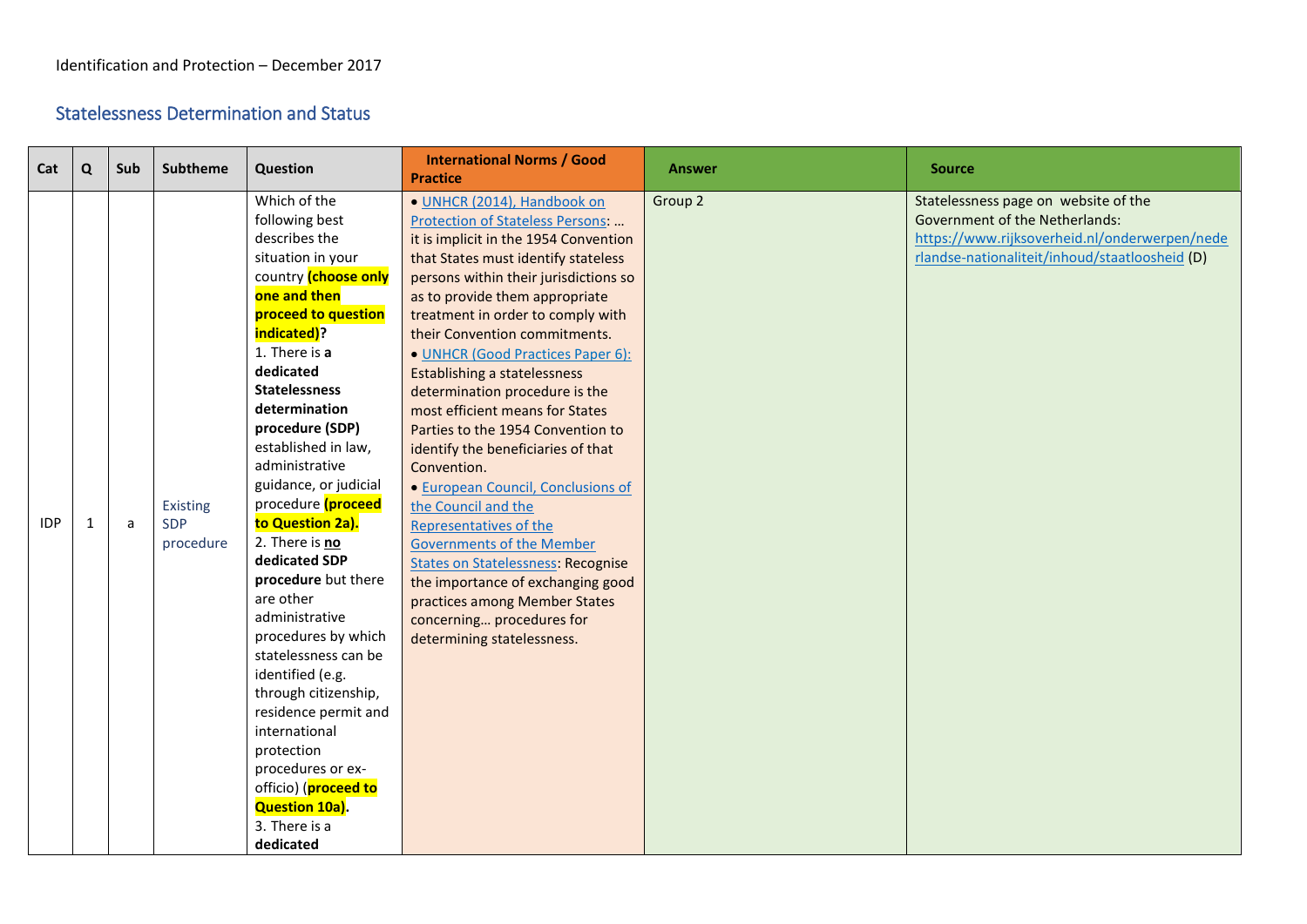## <span id="page-15-0"></span>Statelessness Determination and Status

<span id="page-15-1"></span>

| Cat        | $\Omega$ | Sub | <b>Subtheme</b> | Question              | <b>International Norms / Good</b><br><b>Practice</b> | <b>Answer</b> | <b>Source</b>                                  |
|------------|----------|-----|-----------------|-----------------------|------------------------------------------------------|---------------|------------------------------------------------|
|            |          |     |                 | Which of the          | · UNHCR (2014), Handbook on                          | Group 2       | Statelessness page on website of the           |
|            |          |     |                 | following best        | Protection of Stateless Persons:                     |               | <b>Government of the Netherlands:</b>          |
|            |          |     |                 | describes the         | it is implicit in the 1954 Convention                |               | https://www.rijksoverheid.nl/onderwerpen/nede  |
|            |          |     |                 | situation in your     | that States must identify stateless                  |               | rlandse-nationaliteit/inhoud/staatloosheid (D) |
|            |          |     |                 | country (choose only  | persons within their jurisdictions so                |               |                                                |
|            |          |     |                 | one and then          | as to provide them appropriate                       |               |                                                |
|            |          |     |                 | proceed to question   | treatment in order to comply with                    |               |                                                |
|            |          |     |                 | indicated)?           | their Convention commitments.                        |               |                                                |
|            |          |     |                 | 1. There is a         | · UNHCR (Good Practices Paper 6):                    |               |                                                |
|            |          |     |                 | dedicated             | Establishing a statelessness                         |               |                                                |
|            |          |     |                 | <b>Statelessness</b>  | determination procedure is the                       |               |                                                |
|            |          |     |                 | determination         | most efficient means for States                      |               |                                                |
|            |          |     |                 | procedure (SDP)       | Parties to the 1954 Convention to                    |               |                                                |
|            |          |     |                 | established in law,   | identify the beneficiaries of that                   |               |                                                |
|            |          |     |                 | administrative        | Convention.                                          |               |                                                |
|            |          |     |                 | guidance, or judicial | · European Council, Conclusions of                   |               |                                                |
|            |          |     | Existing        | procedure (proceed    | the Council and the                                  |               |                                                |
| <b>IDP</b> | 1        | a   | <b>SDP</b>      | to Question 2a).      | Representatives of the                               |               |                                                |
|            |          |     | procedure       | 2. There is no        | <b>Governments of the Member</b>                     |               |                                                |
|            |          |     |                 | dedicated SDP         | <b>States on Statelessness: Recognise</b>            |               |                                                |
|            |          |     |                 | procedure but there   | the importance of exchanging good                    |               |                                                |
|            |          |     |                 | are other             | practices among Member States                        |               |                                                |
|            |          |     |                 | administrative        | concerning procedures for                            |               |                                                |
|            |          |     |                 | procedures by which   | determining statelessness.                           |               |                                                |
|            |          |     |                 | statelessness can be  |                                                      |               |                                                |
|            |          |     |                 | identified (e.g.      |                                                      |               |                                                |
|            |          |     |                 | through citizenship,  |                                                      |               |                                                |
|            |          |     |                 | residence permit and  |                                                      |               |                                                |
|            |          |     |                 | international         |                                                      |               |                                                |
|            |          |     |                 | protection            |                                                      |               |                                                |
|            |          |     |                 | procedures or ex-     |                                                      |               |                                                |
|            |          |     |                 | officio) (proceed to  |                                                      |               |                                                |
|            |          |     |                 | <b>Question 10a).</b> |                                                      |               |                                                |
|            |          |     |                 | 3. There is a         |                                                      |               |                                                |
|            |          |     |                 | dedicated             |                                                      |               |                                                |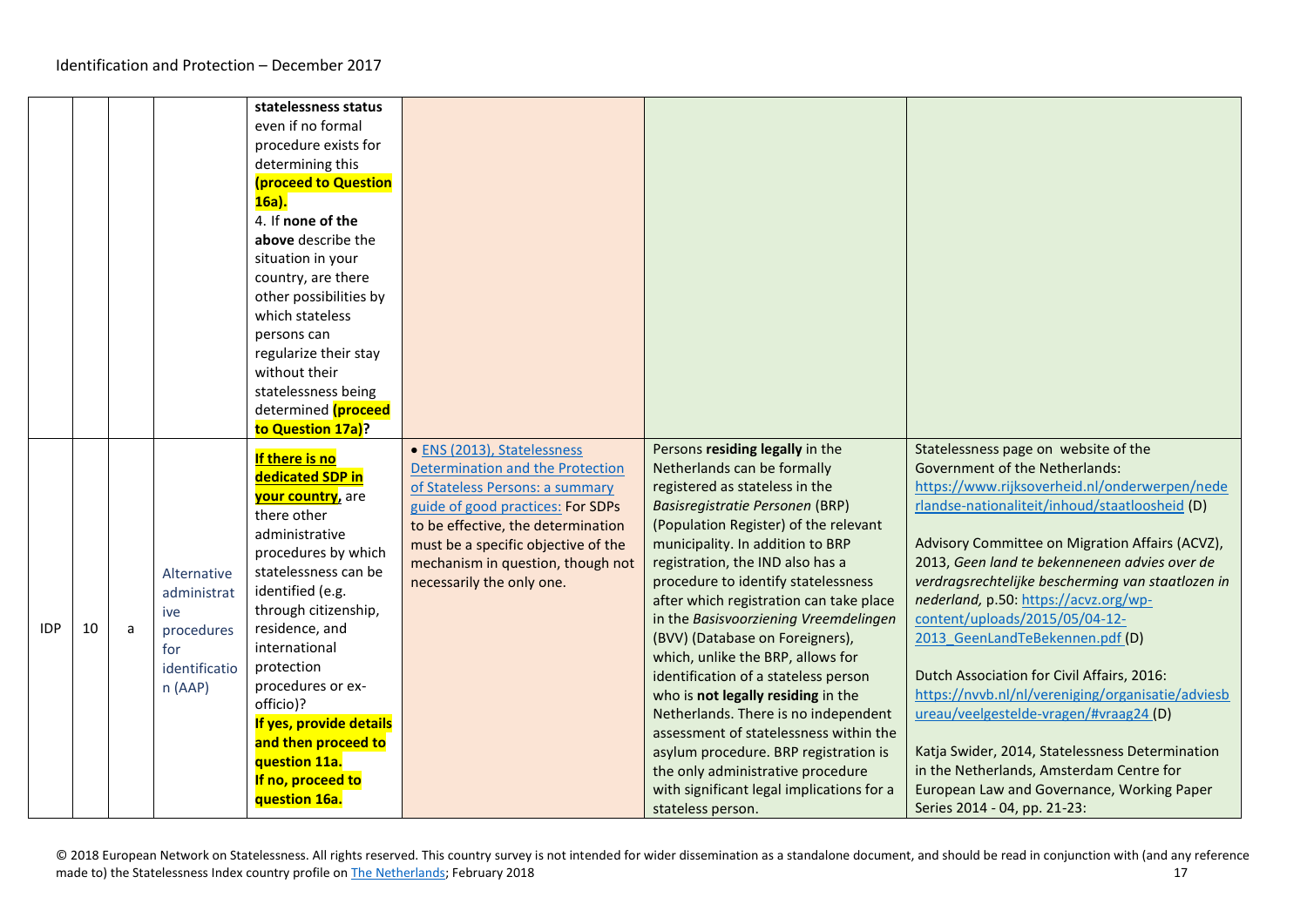<span id="page-16-0"></span>

|            |    |   |                                                                                   | statelessness status<br>even if no formal<br>procedure exists for<br>determining this<br>(proceed to Question<br>$16a$ ).<br>4. If none of the<br>above describe the<br>situation in your<br>country, are there<br>other possibilities by<br>which stateless<br>persons can<br>regularize their stay<br>without their<br>statelessness being<br>determined (proceed<br>to Question 17a)? |                                                                                                                                                                                                                                                                                        |                                                                                                                                                                                                                                                                                                                                                                                                                                                                                                                                                                                                                                                                                                                                                                         |                                                                                                                                                                                                                                                                                                                                                                                                                                                                                                                                                                                                                                                                                                                                                                                   |
|------------|----|---|-----------------------------------------------------------------------------------|------------------------------------------------------------------------------------------------------------------------------------------------------------------------------------------------------------------------------------------------------------------------------------------------------------------------------------------------------------------------------------------|----------------------------------------------------------------------------------------------------------------------------------------------------------------------------------------------------------------------------------------------------------------------------------------|-------------------------------------------------------------------------------------------------------------------------------------------------------------------------------------------------------------------------------------------------------------------------------------------------------------------------------------------------------------------------------------------------------------------------------------------------------------------------------------------------------------------------------------------------------------------------------------------------------------------------------------------------------------------------------------------------------------------------------------------------------------------------|-----------------------------------------------------------------------------------------------------------------------------------------------------------------------------------------------------------------------------------------------------------------------------------------------------------------------------------------------------------------------------------------------------------------------------------------------------------------------------------------------------------------------------------------------------------------------------------------------------------------------------------------------------------------------------------------------------------------------------------------------------------------------------------|
| <b>IDP</b> | 10 | a | Alternative<br>administrat<br>ive<br>procedures<br>for<br>identificatio<br>n(AAP) | If there is no<br>dedicated SDP in<br><b>your country</b> , are<br>there other<br>administrative<br>procedures by which<br>statelessness can be<br>identified (e.g.<br>through citizenship,<br>residence, and<br>international<br>protection<br>procedures or ex-<br>officio)?<br>If yes, provide details<br>and then proceed to<br>question 11a.<br>If no, proceed to<br>question 16a.  | • ENS (2013), Statelessness<br>Determination and the Protection<br>of Stateless Persons: a summary<br>guide of good practices: For SDPs<br>to be effective, the determination<br>must be a specific objective of the<br>mechanism in question, though not<br>necessarily the only one. | Persons residing legally in the<br>Netherlands can be formally<br>registered as stateless in the<br>Basisregistratie Personen (BRP)<br>(Population Register) of the relevant<br>municipality. In addition to BRP<br>registration, the IND also has a<br>procedure to identify statelessness<br>after which registration can take place<br>in the Basisvoorziening Vreemdelingen<br>(BVV) (Database on Foreigners),<br>which, unlike the BRP, allows for<br>identification of a stateless person<br>who is not legally residing in the<br>Netherlands. There is no independent<br>assessment of statelessness within the<br>asylum procedure. BRP registration is<br>the only administrative procedure<br>with significant legal implications for a<br>stateless person. | Statelessness page on website of the<br><b>Government of the Netherlands:</b><br>https://www.rijksoverheid.nl/onderwerpen/nede<br>rlandse-nationaliteit/inhoud/staatloosheid (D)<br>Advisory Committee on Migration Affairs (ACVZ),<br>2013, Geen land te bekenneneen advies over de<br>verdragsrechtelijke bescherming van staatlozen in<br>nederland, p.50: https://acvz.org/wp-<br>content/uploads/2015/05/04-12-<br>2013 GeenLandTeBekennen.pdf (D)<br>Dutch Association for Civil Affairs, 2016:<br>https://nvvb.nl/nl/vereniging/organisatie/adviesb<br>ureau/veelgestelde-vragen/#vraag24 (D)<br>Katja Swider, 2014, Statelessness Determination<br>in the Netherlands, Amsterdam Centre for<br>European Law and Governance, Working Paper<br>Series 2014 - 04, pp. 21-23: |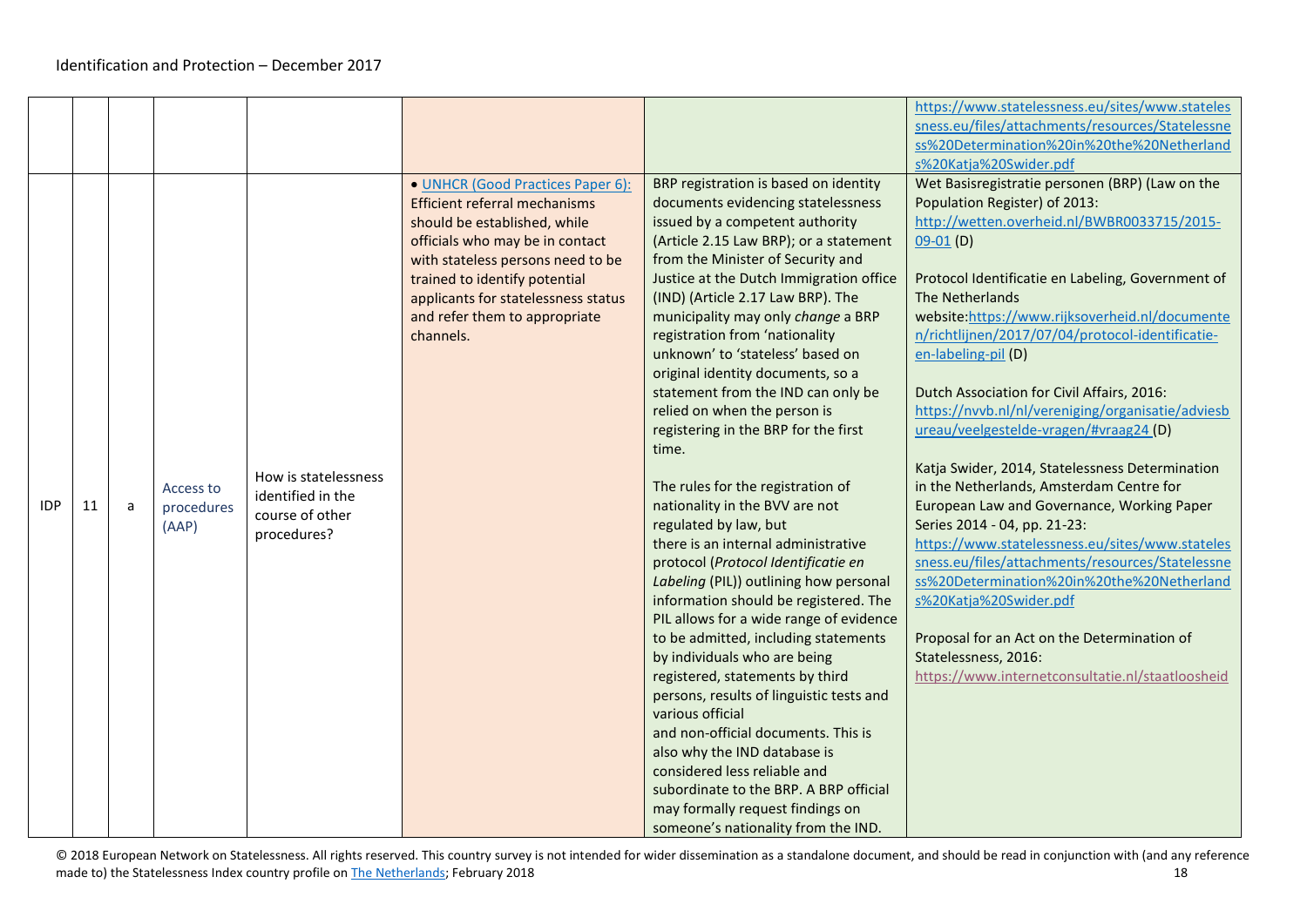<span id="page-17-0"></span>

|            |    |   |                                  |                                                                             |                                                                                                                                                                                                                                                                                                         |                                                                                                                                                                                                                                                                                                                                                                                                                                                                                                                                                                                                                                                                                                                                                                                                                                                                                                                                                                                                                                                                                                                                                                                                                                                                          | https://www.statelessness.eu/sites/www.stateles<br>sness.eu/files/attachments/resources/Statelessne<br>ss%20Determination%20in%20the%20Netherland                                                                                                                                                                                                                                                                                                                                                                                                                                                                                                                                                                                                                                                                                                                                                                                                                                                                 |
|------------|----|---|----------------------------------|-----------------------------------------------------------------------------|---------------------------------------------------------------------------------------------------------------------------------------------------------------------------------------------------------------------------------------------------------------------------------------------------------|--------------------------------------------------------------------------------------------------------------------------------------------------------------------------------------------------------------------------------------------------------------------------------------------------------------------------------------------------------------------------------------------------------------------------------------------------------------------------------------------------------------------------------------------------------------------------------------------------------------------------------------------------------------------------------------------------------------------------------------------------------------------------------------------------------------------------------------------------------------------------------------------------------------------------------------------------------------------------------------------------------------------------------------------------------------------------------------------------------------------------------------------------------------------------------------------------------------------------------------------------------------------------|-------------------------------------------------------------------------------------------------------------------------------------------------------------------------------------------------------------------------------------------------------------------------------------------------------------------------------------------------------------------------------------------------------------------------------------------------------------------------------------------------------------------------------------------------------------------------------------------------------------------------------------------------------------------------------------------------------------------------------------------------------------------------------------------------------------------------------------------------------------------------------------------------------------------------------------------------------------------------------------------------------------------|
| <b>IDP</b> | 11 | a | Access to<br>procedures<br>(AAP) | How is statelessness<br>identified in the<br>course of other<br>procedures? | • UNHCR (Good Practices Paper 6):<br><b>Efficient referral mechanisms</b><br>should be established, while<br>officials who may be in contact<br>with stateless persons need to be<br>trained to identify potential<br>applicants for statelessness status<br>and refer them to appropriate<br>channels. | BRP registration is based on identity<br>documents evidencing statelessness<br>issued by a competent authority<br>(Article 2.15 Law BRP); or a statement<br>from the Minister of Security and<br>Justice at the Dutch Immigration office<br>(IND) (Article 2.17 Law BRP). The<br>municipality may only change a BRP<br>registration from 'nationality<br>unknown' to 'stateless' based on<br>original identity documents, so a<br>statement from the IND can only be<br>relied on when the person is<br>registering in the BRP for the first<br>time.<br>The rules for the registration of<br>nationality in the BVV are not<br>regulated by law, but<br>there is an internal administrative<br>protocol (Protocol Identificatie en<br>Labeling (PIL)) outlining how personal<br>information should be registered. The<br>PIL allows for a wide range of evidence<br>to be admitted, including statements<br>by individuals who are being<br>registered, statements by third<br>persons, results of linguistic tests and<br>various official<br>and non-official documents. This is<br>also why the IND database is<br>considered less reliable and<br>subordinate to the BRP. A BRP official<br>may formally request findings on<br>someone's nationality from the IND. | s%20Katja%20Swider.pdf<br>Wet Basisregistratie personen (BRP) (Law on the<br>Population Register) of 2013:<br>http://wetten.overheid.nl/BWBR0033715/2015-<br>$09-01$ (D)<br>Protocol Identificatie en Labeling, Government of<br>The Netherlands<br>website:https://www.rijksoverheid.nl/documente<br>n/richtlijnen/2017/07/04/protocol-identificatie-<br>en-labeling-pil (D)<br>Dutch Association for Civil Affairs, 2016:<br>https://nvvb.nl/nl/vereniging/organisatie/adviesb<br>ureau/veelgestelde-vragen/#vraag24 (D)<br>Katja Swider, 2014, Statelessness Determination<br>in the Netherlands, Amsterdam Centre for<br>European Law and Governance, Working Paper<br>Series 2014 - 04, pp. 21-23:<br>https://www.statelessness.eu/sites/www.stateles<br>sness.eu/files/attachments/resources/Statelessne<br>ss%20Determination%20in%20the%20Netherland<br>s%20Katja%20Swider.pdf<br>Proposal for an Act on the Determination of<br>Statelessness, 2016:<br>https://www.internetconsultatie.nl/staatloosheid |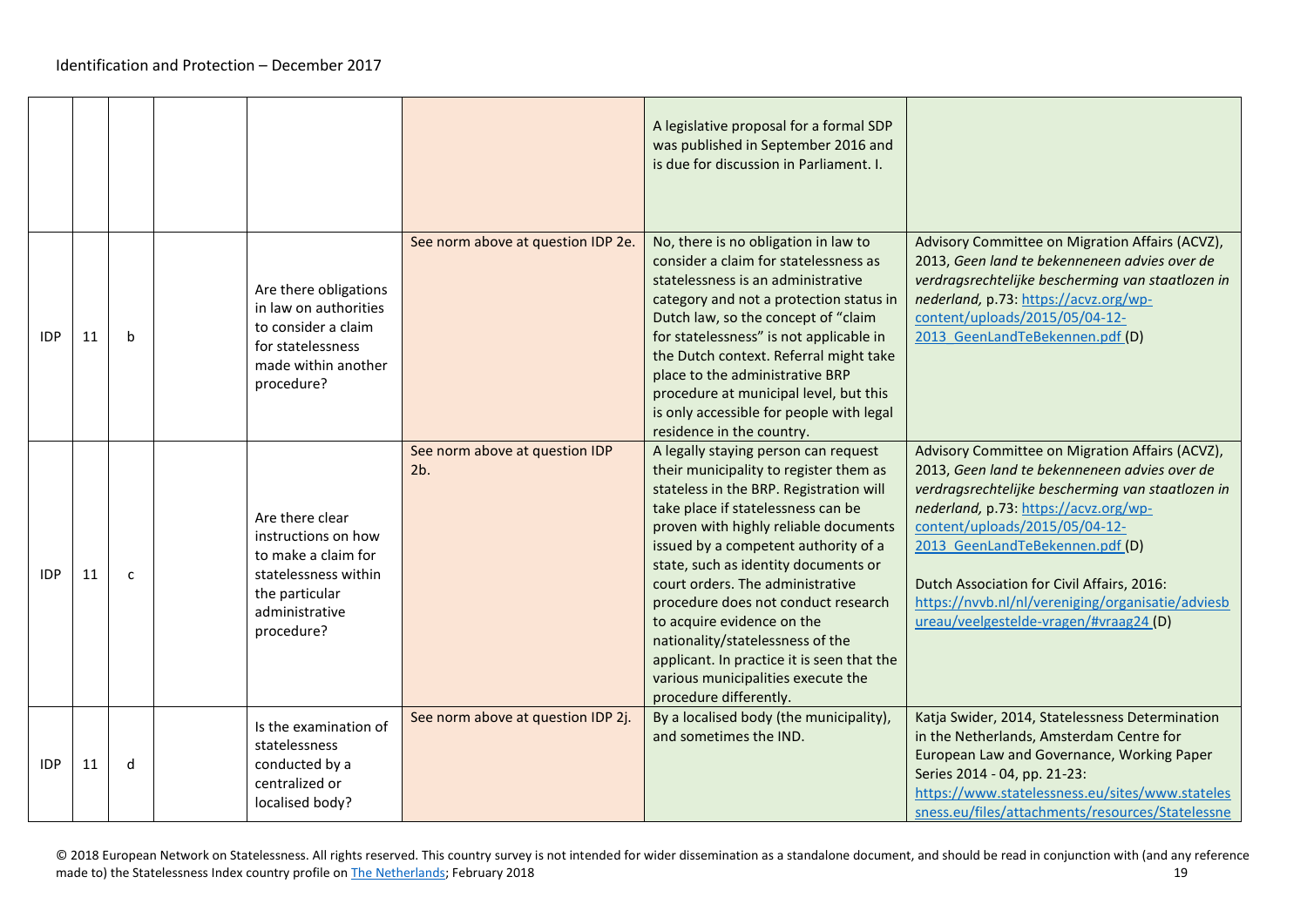|            |    |              |                                                                                                                                         |                                       | A legislative proposal for a formal SDP<br>was published in September 2016 and<br>is due for discussion in Parliament. I.                                                                                                                                                                                                                                                                                                                                                                                                                           |                                                                                                                                                                                                                                                                                                                                                                                                                  |
|------------|----|--------------|-----------------------------------------------------------------------------------------------------------------------------------------|---------------------------------------|-----------------------------------------------------------------------------------------------------------------------------------------------------------------------------------------------------------------------------------------------------------------------------------------------------------------------------------------------------------------------------------------------------------------------------------------------------------------------------------------------------------------------------------------------------|------------------------------------------------------------------------------------------------------------------------------------------------------------------------------------------------------------------------------------------------------------------------------------------------------------------------------------------------------------------------------------------------------------------|
| <b>IDP</b> | 11 | b            | Are there obligations<br>in law on authorities<br>to consider a claim<br>for statelessness<br>made within another<br>procedure?         | See norm above at question IDP 2e.    | No, there is no obligation in law to<br>consider a claim for statelessness as<br>statelessness is an administrative<br>category and not a protection status in<br>Dutch law, so the concept of "claim<br>for statelessness" is not applicable in<br>the Dutch context. Referral might take<br>place to the administrative BRP<br>procedure at municipal level, but this<br>is only accessible for people with legal<br>residence in the country.                                                                                                    | Advisory Committee on Migration Affairs (ACVZ),<br>2013, Geen land te bekenneneen advies over de<br>verdragsrechtelijke bescherming van staatlozen in<br>nederland, p.73: https://acvz.org/wp-<br>content/uploads/2015/05/04-12-<br>2013 GeenLandTeBekennen.pdf (D)                                                                                                                                              |
| <b>IDP</b> | 11 | $\mathsf{C}$ | Are there clear<br>instructions on how<br>to make a claim for<br>statelessness within<br>the particular<br>administrative<br>procedure? | See norm above at question IDP<br>2b. | A legally staying person can request<br>their municipality to register them as<br>stateless in the BRP. Registration will<br>take place if statelessness can be<br>proven with highly reliable documents<br>issued by a competent authority of a<br>state, such as identity documents or<br>court orders. The administrative<br>procedure does not conduct research<br>to acquire evidence on the<br>nationality/statelessness of the<br>applicant. In practice it is seen that the<br>various municipalities execute the<br>procedure differently. | Advisory Committee on Migration Affairs (ACVZ),<br>2013, Geen land te bekenneneen advies over de<br>verdragsrechtelijke bescherming van staatlozen in<br>nederland, p.73: https://acvz.org/wp-<br>content/uploads/2015/05/04-12-<br>2013 GeenLandTeBekennen.pdf (D)<br>Dutch Association for Civil Affairs, 2016:<br>https://nvvb.nl/nl/vereniging/organisatie/adviesb<br>ureau/veelgestelde-vragen/#vraag24 (D) |
| <b>IDP</b> | 11 | d            | Is the examination of<br>statelessness<br>conducted by a<br>centralized or<br>localised body?                                           | See norm above at question IDP 2j.    | By a localised body (the municipality),<br>and sometimes the IND.                                                                                                                                                                                                                                                                                                                                                                                                                                                                                   | Katja Swider, 2014, Statelessness Determination<br>in the Netherlands, Amsterdam Centre for<br>European Law and Governance, Working Paper<br>Series 2014 - 04, pp. 21-23:<br>https://www.statelessness.eu/sites/www.stateles<br>sness.eu/files/attachments/resources/Statelessne                                                                                                                                 |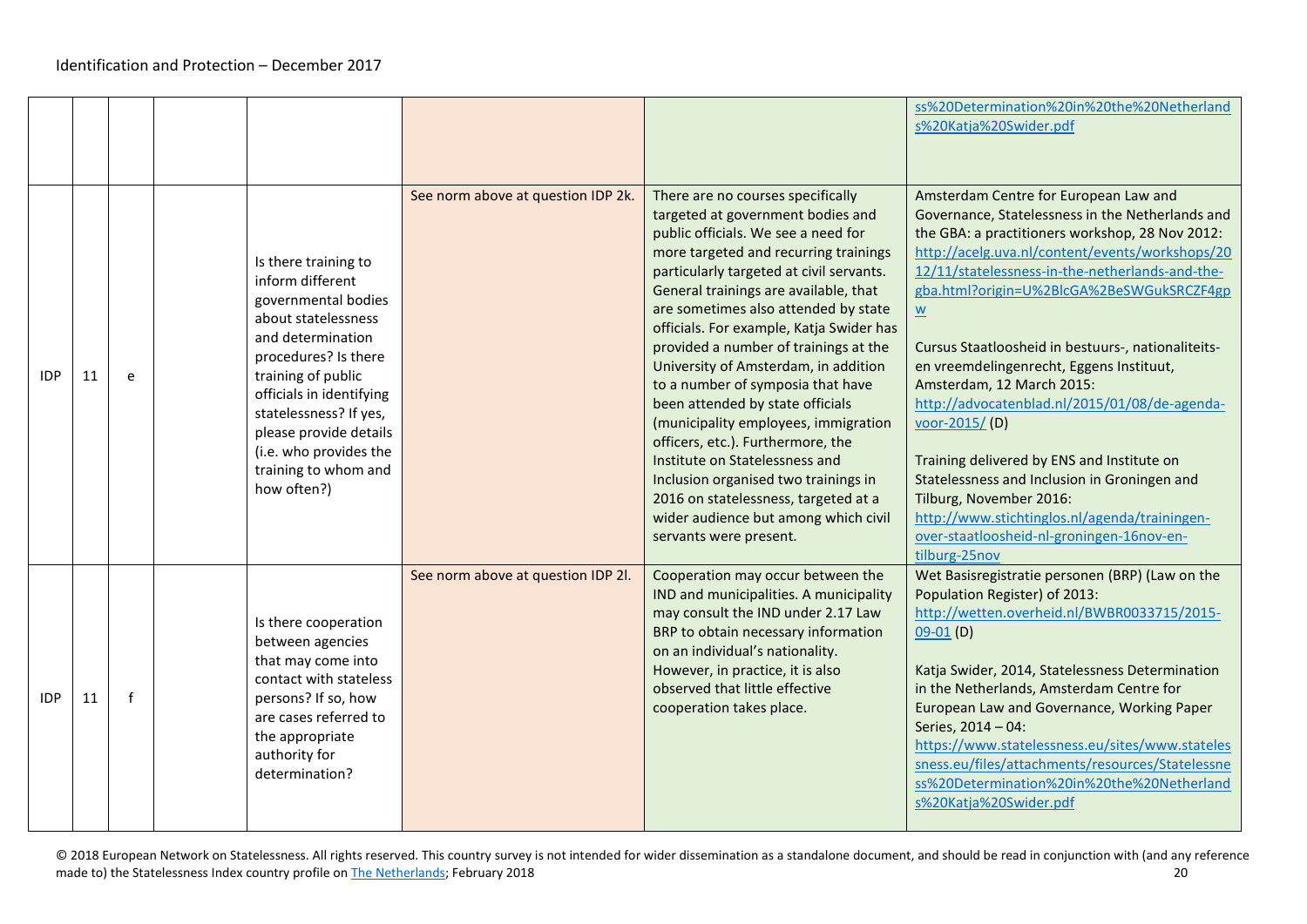|            |    |             |                                                                                                                                                                                                                                                                                                            |                                    |                                                                                                                                                                                                                                                                                                                                                                                                                                                                                                                                                                                                                                                                                                                                                            | ss%20Determination%20in%20the%20Netherland<br>s%20Katja%20Swider.pdf                                                                                                                                                                                                                                                                                                                                                                                                                                                                                                                                                                                                                                                                                                             |
|------------|----|-------------|------------------------------------------------------------------------------------------------------------------------------------------------------------------------------------------------------------------------------------------------------------------------------------------------------------|------------------------------------|------------------------------------------------------------------------------------------------------------------------------------------------------------------------------------------------------------------------------------------------------------------------------------------------------------------------------------------------------------------------------------------------------------------------------------------------------------------------------------------------------------------------------------------------------------------------------------------------------------------------------------------------------------------------------------------------------------------------------------------------------------|----------------------------------------------------------------------------------------------------------------------------------------------------------------------------------------------------------------------------------------------------------------------------------------------------------------------------------------------------------------------------------------------------------------------------------------------------------------------------------------------------------------------------------------------------------------------------------------------------------------------------------------------------------------------------------------------------------------------------------------------------------------------------------|
| <b>IDP</b> | 11 | e           | Is there training to<br>inform different<br>governmental bodies<br>about statelessness<br>and determination<br>procedures? Is there<br>training of public<br>officials in identifying<br>statelessness? If yes,<br>please provide details<br>(i.e. who provides the<br>training to whom and<br>how often?) | See norm above at question IDP 2k. | There are no courses specifically<br>targeted at government bodies and<br>public officials. We see a need for<br>more targeted and recurring trainings<br>particularly targeted at civil servants.<br>General trainings are available, that<br>are sometimes also attended by state<br>officials. For example, Katja Swider has<br>provided a number of trainings at the<br>University of Amsterdam, in addition<br>to a number of symposia that have<br>been attended by state officials<br>(municipality employees, immigration<br>officers, etc.). Furthermore, the<br>Institute on Statelessness and<br>Inclusion organised two trainings in<br>2016 on statelessness, targeted at a<br>wider audience but among which civil<br>servants were present. | Amsterdam Centre for European Law and<br>Governance, Statelessness in the Netherlands and<br>the GBA: a practitioners workshop, 28 Nov 2012:<br>http://acelg.uva.nl/content/events/workshops/20<br>12/11/statelessness-in-the-netherlands-and-the-<br>gba.html?origin=U%2BlcGA%2BeSWGukSRCZF4gp<br>$\underline{\underline{\mathsf{w}}}$<br>Cursus Staatloosheid in bestuurs-, nationaliteits-<br>en vreemdelingenrecht, Eggens Instituut,<br>Amsterdam, 12 March 2015:<br>http://advocatenblad.nl/2015/01/08/de-agenda-<br>voor-2015/(D)<br>Training delivered by ENS and Institute on<br>Statelessness and Inclusion in Groningen and<br>Tilburg, November 2016:<br>http://www.stichtinglos.nl/agenda/trainingen-<br>over-staatloosheid-nl-groningen-16nov-en-<br>tilburg-25nov |
| <b>IDP</b> | 11 | $\mathbf f$ | Is there cooperation<br>between agencies<br>that may come into<br>contact with stateless<br>persons? If so, how<br>are cases referred to<br>the appropriate<br>authority for<br>determination?                                                                                                             | See norm above at question IDP 2l. | Cooperation may occur between the<br>IND and municipalities. A municipality<br>may consult the IND under 2.17 Law<br>BRP to obtain necessary information<br>on an individual's nationality.<br>However, in practice, it is also<br>observed that little effective<br>cooperation takes place.                                                                                                                                                                                                                                                                                                                                                                                                                                                              | Wet Basisregistratie personen (BRP) (Law on the<br>Population Register) of 2013:<br>http://wetten.overheid.nl/BWBR0033715/2015-<br>$09-01(D)$<br>Katja Swider, 2014, Statelessness Determination<br>in the Netherlands, Amsterdam Centre for<br>European Law and Governance, Working Paper<br>Series, 2014 - 04:<br>https://www.statelessness.eu/sites/www.stateles<br>sness.eu/files/attachments/resources/Statelessne<br>ss%20Determination%20in%20the%20Netherland<br>s%20Katja%20Swider.pdf                                                                                                                                                                                                                                                                                  |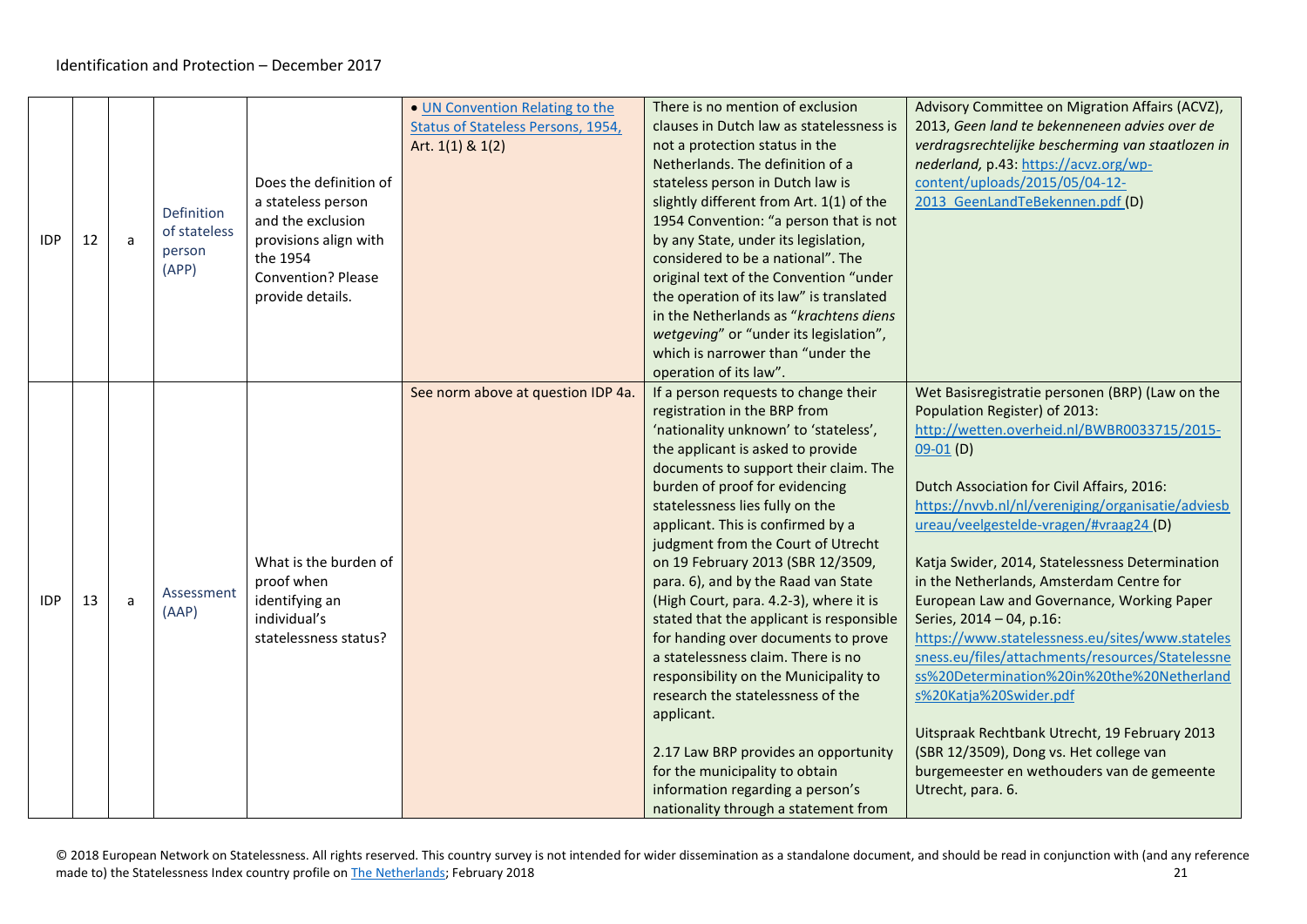<span id="page-20-1"></span><span id="page-20-0"></span>

| <b>IDP</b> | 12 | a | Definition<br>of stateless<br>person<br>(APP) | Does the definition of<br>a stateless person<br>and the exclusion<br>provisions align with<br>the 1954<br><b>Convention? Please</b><br>provide details. | • UN Convention Relating to the<br>Status of Stateless Persons, 1954,<br>Art. 1(1) & 1(2) | There is no mention of exclusion<br>clauses in Dutch law as statelessness is<br>not a protection status in the<br>Netherlands. The definition of a<br>stateless person in Dutch law is<br>slightly different from Art. 1(1) of the<br>1954 Convention: "a person that is not<br>by any State, under its legislation,<br>considered to be a national". The<br>original text of the Convention "under<br>the operation of its law" is translated<br>in the Netherlands as "krachtens diens<br>wetgeving" or "under its legislation",<br>which is narrower than "under the<br>operation of its law".                                                                                                                                                                                                                                            | Advisory Committee on Migration Affairs (ACVZ),<br>2013, Geen land te bekenneneen advies over de<br>verdragsrechtelijke bescherming van staatlozen in<br>nederland, p.43: https://acvz.org/wp-<br>content/uploads/2015/05/04-12-<br>2013 GeenLandTeBekennen.pdf (D)                                                                                                                                                                                                                                                                                                                                                                                                                                                                                                                                                |
|------------|----|---|-----------------------------------------------|---------------------------------------------------------------------------------------------------------------------------------------------------------|-------------------------------------------------------------------------------------------|----------------------------------------------------------------------------------------------------------------------------------------------------------------------------------------------------------------------------------------------------------------------------------------------------------------------------------------------------------------------------------------------------------------------------------------------------------------------------------------------------------------------------------------------------------------------------------------------------------------------------------------------------------------------------------------------------------------------------------------------------------------------------------------------------------------------------------------------|--------------------------------------------------------------------------------------------------------------------------------------------------------------------------------------------------------------------------------------------------------------------------------------------------------------------------------------------------------------------------------------------------------------------------------------------------------------------------------------------------------------------------------------------------------------------------------------------------------------------------------------------------------------------------------------------------------------------------------------------------------------------------------------------------------------------|
| <b>IDP</b> | 13 | a | Assessment<br>(AAP)                           | What is the burden of<br>proof when<br>identifying an<br>individual's<br>statelessness status?                                                          | See norm above at question IDP 4a.                                                        | If a person requests to change their<br>registration in the BRP from<br>'nationality unknown' to 'stateless',<br>the applicant is asked to provide<br>documents to support their claim. The<br>burden of proof for evidencing<br>statelessness lies fully on the<br>applicant. This is confirmed by a<br>judgment from the Court of Utrecht<br>on 19 February 2013 (SBR 12/3509,<br>para. 6), and by the Raad van State<br>(High Court, para. 4.2-3), where it is<br>stated that the applicant is responsible<br>for handing over documents to prove<br>a statelessness claim. There is no<br>responsibility on the Municipality to<br>research the statelessness of the<br>applicant.<br>2.17 Law BRP provides an opportunity<br>for the municipality to obtain<br>information regarding a person's<br>nationality through a statement from | Wet Basisregistratie personen (BRP) (Law on the<br>Population Register) of 2013:<br>http://wetten.overheid.nl/BWBR0033715/2015-<br>$09-01$ (D)<br>Dutch Association for Civil Affairs, 2016:<br>https://nvvb.nl/nl/vereniging/organisatie/adviesb<br>ureau/veelgestelde-vragen/#vraag24 (D)<br>Katja Swider, 2014, Statelessness Determination<br>in the Netherlands, Amsterdam Centre for<br>European Law and Governance, Working Paper<br>Series, 2014 - 04, p.16:<br>https://www.statelessness.eu/sites/www.stateles<br>sness.eu/files/attachments/resources/Statelessne<br>ss%20Determination%20in%20the%20Netherland<br>s%20Katja%20Swider.pdf<br>Uitspraak Rechtbank Utrecht, 19 February 2013<br>(SBR 12/3509), Dong vs. Het college van<br>burgemeester en wethouders van de gemeente<br>Utrecht, para. 6. |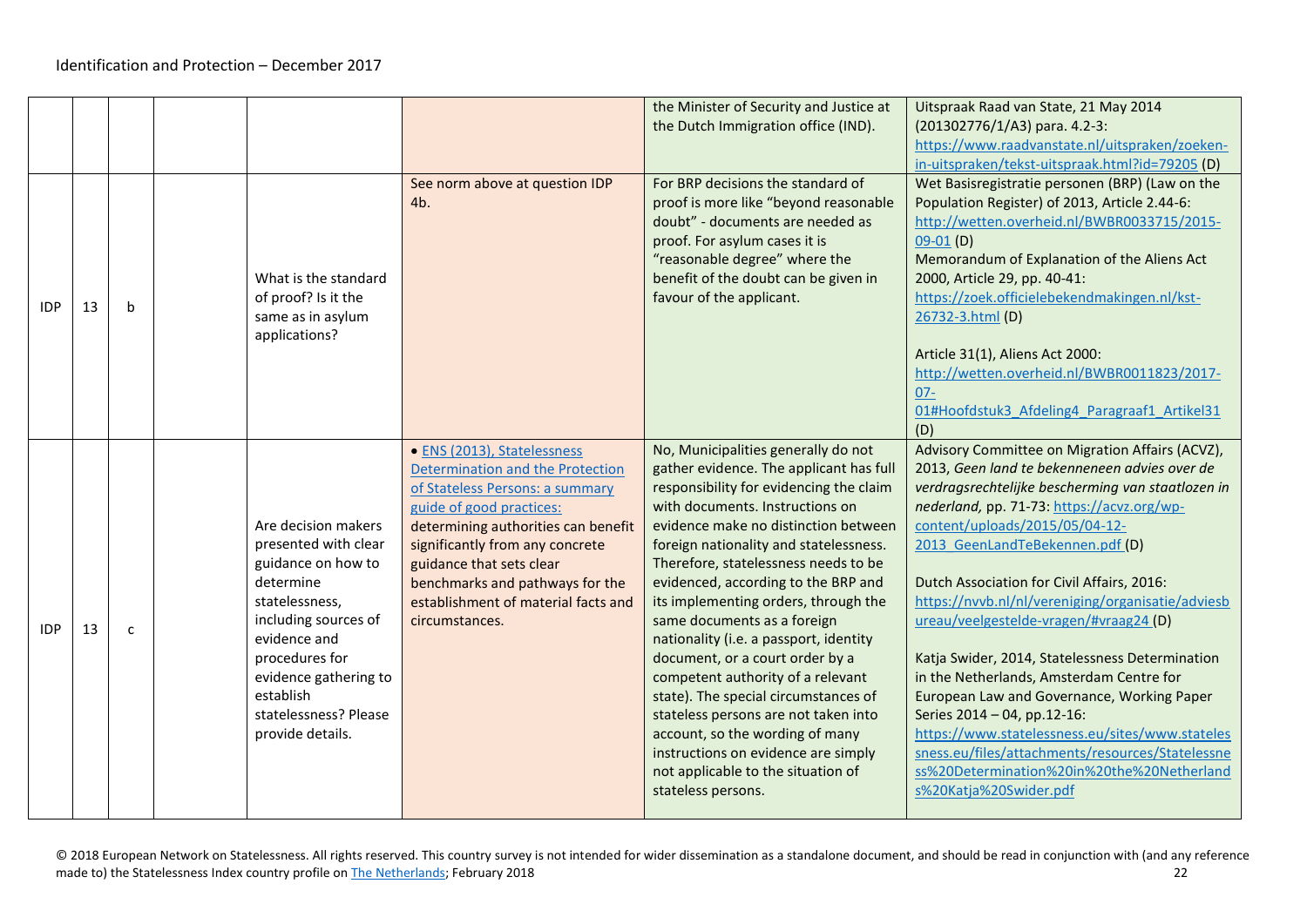|            |    |   |                                                                                                                                                                                                                                               |                                                                                                                                                                                                                                                                                                                                  | the Minister of Security and Justice at<br>the Dutch Immigration office (IND).                                                                                                                                                                                                                                                                                                                                                                                                                                                                                                                                                                                                                                                               | Uitspraak Raad van State, 21 May 2014<br>(201302776/1/A3) para. 4.2-3:<br>https://www.raadvanstate.nl/uitspraken/zoeken-<br>in-uitspraken/tekst-uitspraak.html?id=79205 (D)                                                                                                                                                                                                                                                                                                                                                                                                                                                                                                                                                                                                      |
|------------|----|---|-----------------------------------------------------------------------------------------------------------------------------------------------------------------------------------------------------------------------------------------------|----------------------------------------------------------------------------------------------------------------------------------------------------------------------------------------------------------------------------------------------------------------------------------------------------------------------------------|----------------------------------------------------------------------------------------------------------------------------------------------------------------------------------------------------------------------------------------------------------------------------------------------------------------------------------------------------------------------------------------------------------------------------------------------------------------------------------------------------------------------------------------------------------------------------------------------------------------------------------------------------------------------------------------------------------------------------------------------|----------------------------------------------------------------------------------------------------------------------------------------------------------------------------------------------------------------------------------------------------------------------------------------------------------------------------------------------------------------------------------------------------------------------------------------------------------------------------------------------------------------------------------------------------------------------------------------------------------------------------------------------------------------------------------------------------------------------------------------------------------------------------------|
| <b>IDP</b> | 13 | b | What is the standard<br>of proof? Is it the<br>same as in asylum<br>applications?                                                                                                                                                             | See norm above at question IDP<br>4b.                                                                                                                                                                                                                                                                                            | For BRP decisions the standard of<br>proof is more like "beyond reasonable<br>doubt" - documents are needed as<br>proof. For asylum cases it is<br>"reasonable degree" where the<br>benefit of the doubt can be given in<br>favour of the applicant.                                                                                                                                                                                                                                                                                                                                                                                                                                                                                         | Wet Basisregistratie personen (BRP) (Law on the<br>Population Register) of 2013, Article 2.44-6:<br>http://wetten.overheid.nl/BWBR0033715/2015-<br>$09-01(D)$<br>Memorandum of Explanation of the Aliens Act<br>2000, Article 29, pp. 40-41:<br>https://zoek.officielebekendmakingen.nl/kst-<br>26732-3.html (D)<br>Article 31(1), Aliens Act 2000:<br>http://wetten.overheid.nl/BWBR0011823/2017-<br>$07 -$<br>01#Hoofdstuk3 Afdeling4 Paragraaf1 Artikel31<br>(D)                                                                                                                                                                                                                                                                                                              |
| <b>IDP</b> | 13 | C | Are decision makers<br>presented with clear<br>guidance on how to<br>determine<br>statelessness,<br>including sources of<br>evidence and<br>procedures for<br>evidence gathering to<br>establish<br>statelessness? Please<br>provide details. | · ENS (2013), Statelessness<br>Determination and the Protection<br>of Stateless Persons: a summary<br>guide of good practices:<br>determining authorities can benefit<br>significantly from any concrete<br>guidance that sets clear<br>benchmarks and pathways for the<br>establishment of material facts and<br>circumstances. | No, Municipalities generally do not<br>gather evidence. The applicant has full<br>responsibility for evidencing the claim<br>with documents. Instructions on<br>evidence make no distinction between<br>foreign nationality and statelessness.<br>Therefore, statelessness needs to be<br>evidenced, according to the BRP and<br>its implementing orders, through the<br>same documents as a foreign<br>nationality (i.e. a passport, identity<br>document, or a court order by a<br>competent authority of a relevant<br>state). The special circumstances of<br>stateless persons are not taken into<br>account, so the wording of many<br>instructions on evidence are simply<br>not applicable to the situation of<br>stateless persons. | Advisory Committee on Migration Affairs (ACVZ),<br>2013, Geen land te bekenneneen advies over de<br>verdragsrechtelijke bescherming van staatlozen in<br>nederland, pp. 71-73: https://acvz.org/wp-<br>content/uploads/2015/05/04-12-<br>2013 GeenLandTeBekennen.pdf (D)<br>Dutch Association for Civil Affairs, 2016:<br>https://nvvb.nl/nl/vereniging/organisatie/adviesb<br>ureau/veelgestelde-vragen/#vraag24 (D)<br>Katja Swider, 2014, Statelessness Determination<br>in the Netherlands, Amsterdam Centre for<br>European Law and Governance, Working Paper<br>Series 2014 - 04, pp.12-16:<br>https://www.statelessness.eu/sites/www.stateles<br>sness.eu/files/attachments/resources/Statelessne<br>ss%20Determination%20in%20the%20Netherland<br>s%20Katja%20Swider.pdf |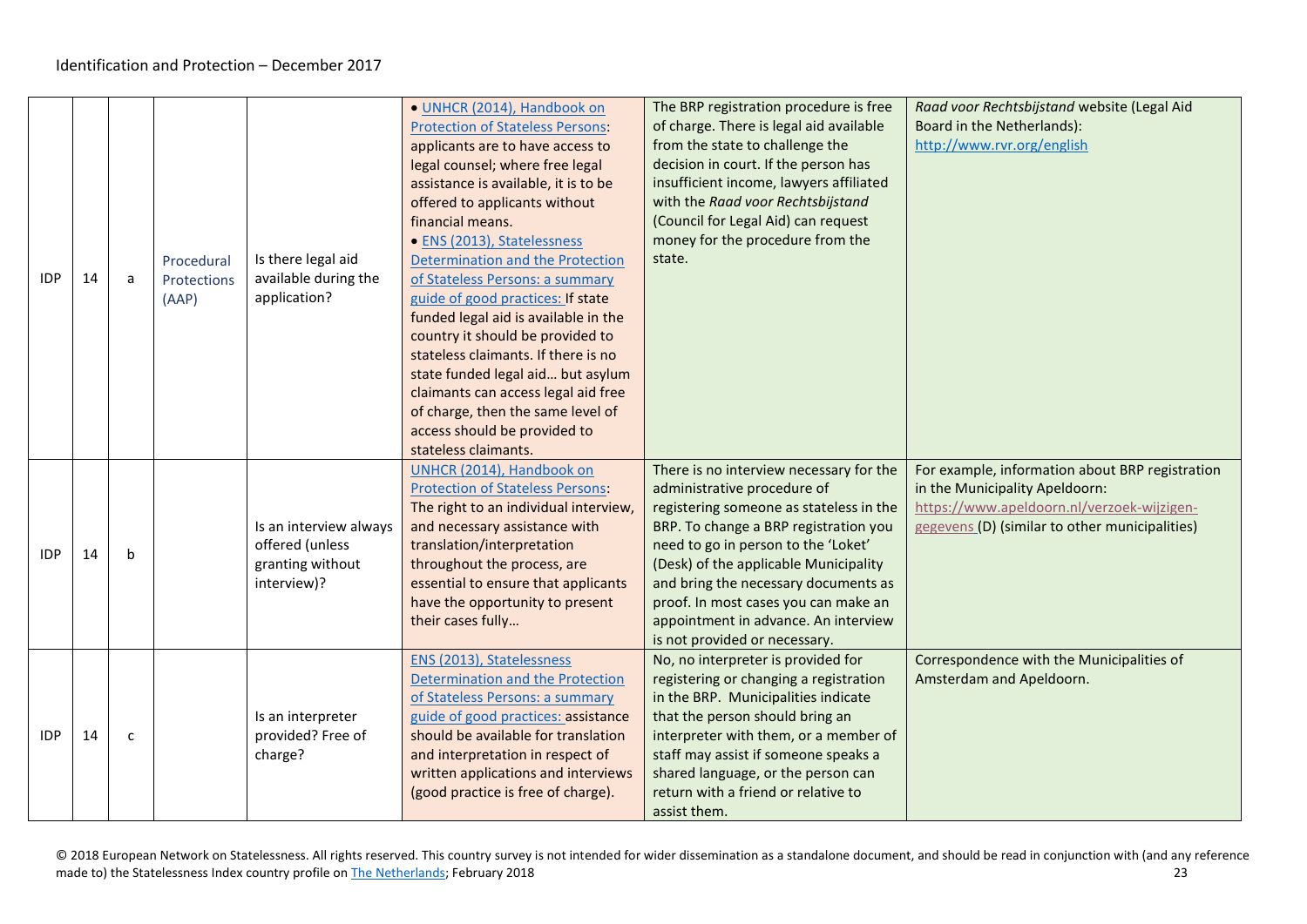<span id="page-22-0"></span>

| <b>IDP</b> | 14 | a            | Procedural<br>Protections<br>(AAP) | Is there legal aid<br>available during the<br>application?                   | · UNHCR (2014), Handbook on<br><b>Protection of Stateless Persons:</b><br>applicants are to have access to<br>legal counsel; where free legal<br>assistance is available, it is to be<br>offered to applicants without<br>financial means.<br>· ENS (2013), Statelessness<br>Determination and the Protection<br>of Stateless Persons: a summary<br>guide of good practices: If state<br>funded legal aid is available in the<br>country it should be provided to<br>stateless claimants. If there is no<br>state funded legal aid but asylum<br>claimants can access legal aid free<br>of charge, then the same level of<br>access should be provided to<br>stateless claimants. | The BRP registration procedure is free<br>of charge. There is legal aid available<br>from the state to challenge the<br>decision in court. If the person has<br>insufficient income, lawyers affiliated<br>with the Raad voor Rechtsbijstand<br>(Council for Legal Aid) can request<br>money for the procedure from the<br>state.                                                                   | Raad voor Rechtsbijstand website (Legal Aid<br>Board in the Netherlands):<br>http://www.rvr.org/english                                                                           |
|------------|----|--------------|------------------------------------|------------------------------------------------------------------------------|-----------------------------------------------------------------------------------------------------------------------------------------------------------------------------------------------------------------------------------------------------------------------------------------------------------------------------------------------------------------------------------------------------------------------------------------------------------------------------------------------------------------------------------------------------------------------------------------------------------------------------------------------------------------------------------|-----------------------------------------------------------------------------------------------------------------------------------------------------------------------------------------------------------------------------------------------------------------------------------------------------------------------------------------------------------------------------------------------------|-----------------------------------------------------------------------------------------------------------------------------------------------------------------------------------|
| <b>IDP</b> | 14 | b            |                                    | Is an interview always<br>offered (unless<br>granting without<br>interview)? | UNHCR (2014), Handbook on<br><b>Protection of Stateless Persons:</b><br>The right to an individual interview,<br>and necessary assistance with<br>translation/interpretation<br>throughout the process, are<br>essential to ensure that applicants<br>have the opportunity to present<br>their cases fully                                                                                                                                                                                                                                                                                                                                                                        | There is no interview necessary for the<br>administrative procedure of<br>registering someone as stateless in the<br>BRP. To change a BRP registration you<br>need to go in person to the 'Loket'<br>(Desk) of the applicable Municipality<br>and bring the necessary documents as<br>proof. In most cases you can make an<br>appointment in advance. An interview<br>is not provided or necessary. | For example, information about BRP registration<br>in the Municipality Apeldoorn:<br>https://www.apeldoorn.nl/verzoek-wijzigen-<br>gegevens (D) (similar to other municipalities) |
| <b>IDP</b> | 14 | $\mathsf{C}$ |                                    | Is an interpreter<br>provided? Free of<br>charge?                            | ENS (2013), Statelessness<br>Determination and the Protection<br>of Stateless Persons: a summary<br>guide of good practices: assistance<br>should be available for translation<br>and interpretation in respect of<br>written applications and interviews<br>(good practice is free of charge).                                                                                                                                                                                                                                                                                                                                                                                   | No, no interpreter is provided for<br>registering or changing a registration<br>in the BRP. Municipalities indicate<br>that the person should bring an<br>interpreter with them, or a member of<br>staff may assist if someone speaks a<br>shared language, or the person can<br>return with a friend or relative to<br>assist them.                                                                | Correspondence with the Municipalities of<br>Amsterdam and Apeldoorn.                                                                                                             |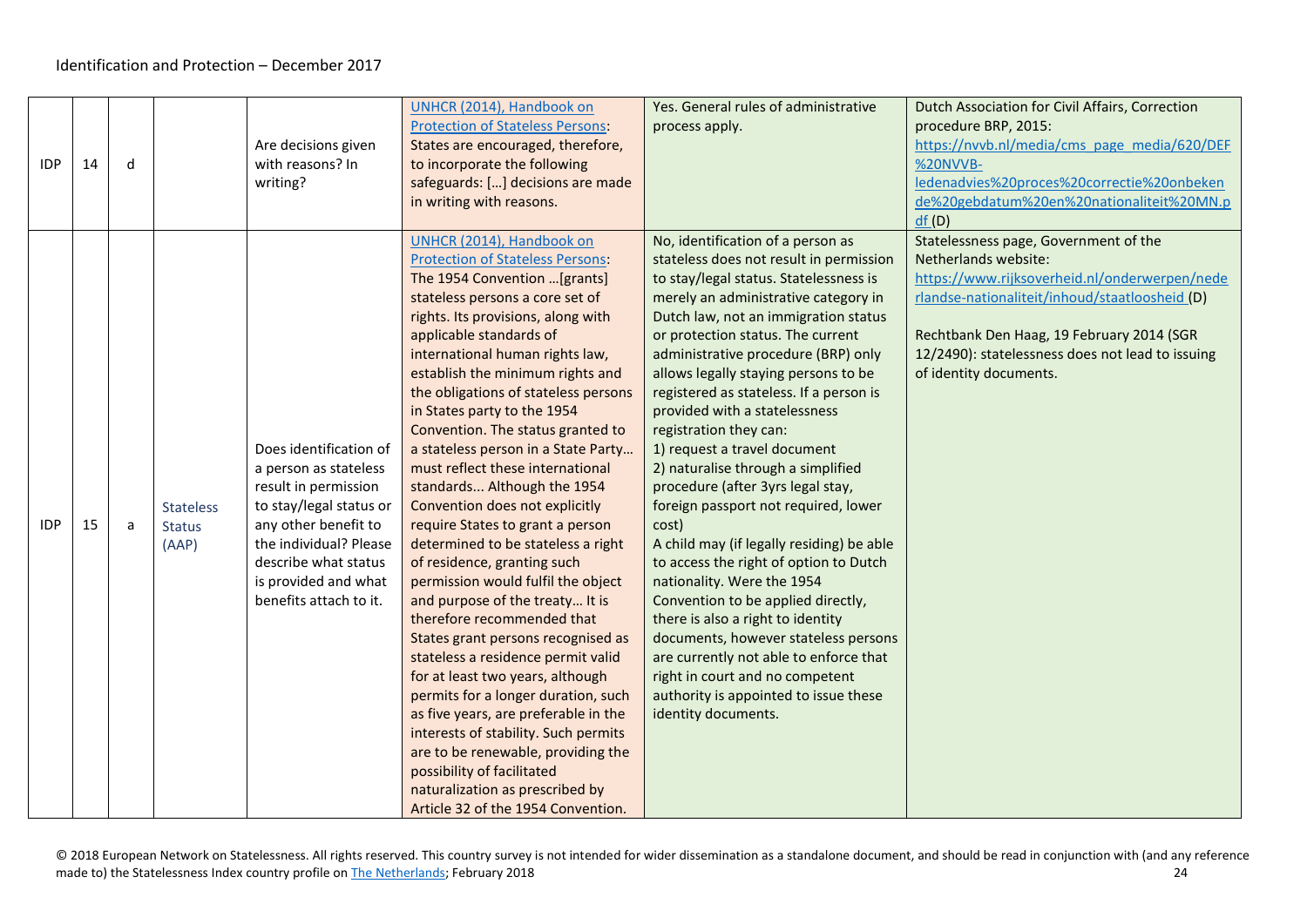<span id="page-23-0"></span>

|            |    |   |                  |                         | UNHCR (2014), Handbook on               | Yes. General rules of administrative      | Dutch Association for Civil Affairs, Correction  |
|------------|----|---|------------------|-------------------------|-----------------------------------------|-------------------------------------------|--------------------------------------------------|
|            |    |   |                  |                         | <b>Protection of Stateless Persons:</b> | process apply.                            | procedure BRP, 2015:                             |
|            |    |   |                  | Are decisions given     | States are encouraged, therefore,       |                                           | https://nvvb.nl/media/cms_page_media/620/DEF     |
| <b>IDP</b> | 14 | d |                  | with reasons? In        | to incorporate the following            |                                           | %20NVVB-                                         |
|            |    |   |                  | writing?                | safeguards: [] decisions are made       |                                           | ledenadvies%20proces%20correctie%20onbeken       |
|            |    |   |                  |                         | in writing with reasons.                |                                           | de%20gebdatum%20en%20nationaliteit%20MN.p        |
|            |    |   |                  |                         |                                         |                                           | df(D)                                            |
|            |    |   |                  |                         | UNHCR (2014), Handbook on               | No, identification of a person as         | Statelessness page, Government of the            |
|            |    |   |                  |                         | <b>Protection of Stateless Persons:</b> | stateless does not result in permission   | Netherlands website:                             |
|            |    |   |                  |                         | The 1954 Convention  [grants]           | to stay/legal status. Statelessness is    | https://www.rijksoverheid.nl/onderwerpen/nede    |
|            |    |   |                  |                         | stateless persons a core set of         | merely an administrative category in      | rlandse-nationaliteit/inhoud/staatloosheid (D)   |
|            |    |   |                  |                         | rights. Its provisions, along with      | Dutch law, not an immigration status      |                                                  |
|            |    |   |                  |                         | applicable standards of                 | or protection status. The current         | Rechtbank Den Haag, 19 February 2014 (SGR        |
|            |    |   |                  |                         | international human rights law,         | administrative procedure (BRP) only       | 12/2490): statelessness does not lead to issuing |
|            |    |   |                  |                         | establish the minimum rights and        | allows legally staying persons to be      | of identity documents.                           |
|            |    |   |                  |                         | the obligations of stateless persons    | registered as stateless. If a person is   |                                                  |
|            |    |   |                  |                         | in States party to the 1954             | provided with a statelessness             |                                                  |
|            |    |   |                  |                         | Convention. The status granted to       | registration they can:                    |                                                  |
|            |    |   |                  | Does identification of  | a stateless person in a State Party     | 1) request a travel document              |                                                  |
|            |    |   |                  | a person as stateless   | must reflect these international        | 2) naturalise through a simplified        |                                                  |
|            |    |   |                  | result in permission    | standards Although the 1954             | procedure (after 3yrs legal stay,         |                                                  |
|            |    |   | <b>Stateless</b> | to stay/legal status or | Convention does not explicitly          | foreign passport not required, lower      |                                                  |
| <b>IDP</b> | 15 | a | <b>Status</b>    | any other benefit to    | require States to grant a person        | cost)                                     |                                                  |
|            |    |   | (AAP)            | the individual? Please  | determined to be stateless a right      | A child may (if legally residing) be able |                                                  |
|            |    |   |                  | describe what status    | of residence, granting such             | to access the right of option to Dutch    |                                                  |
|            |    |   |                  | is provided and what    | permission would fulfil the object      | nationality. Were the 1954                |                                                  |
|            |    |   |                  | benefits attach to it.  | and purpose of the treaty It is         | Convention to be applied directly,        |                                                  |
|            |    |   |                  |                         | therefore recommended that              | there is also a right to identity         |                                                  |
|            |    |   |                  |                         | States grant persons recognised as      | documents, however stateless persons      |                                                  |
|            |    |   |                  |                         | stateless a residence permit valid      | are currently not able to enforce that    |                                                  |
|            |    |   |                  |                         | for at least two years, although        | right in court and no competent           |                                                  |
|            |    |   |                  |                         | permits for a longer duration, such     | authority is appointed to issue these     |                                                  |
|            |    |   |                  |                         | as five years, are preferable in the    | identity documents.                       |                                                  |
|            |    |   |                  |                         | interests of stability. Such permits    |                                           |                                                  |
|            |    |   |                  |                         | are to be renewable, providing the      |                                           |                                                  |
|            |    |   |                  |                         | possibility of facilitated              |                                           |                                                  |
|            |    |   |                  |                         | naturalization as prescribed by         |                                           |                                                  |
|            |    |   |                  |                         | Article 32 of the 1954 Convention.      |                                           |                                                  |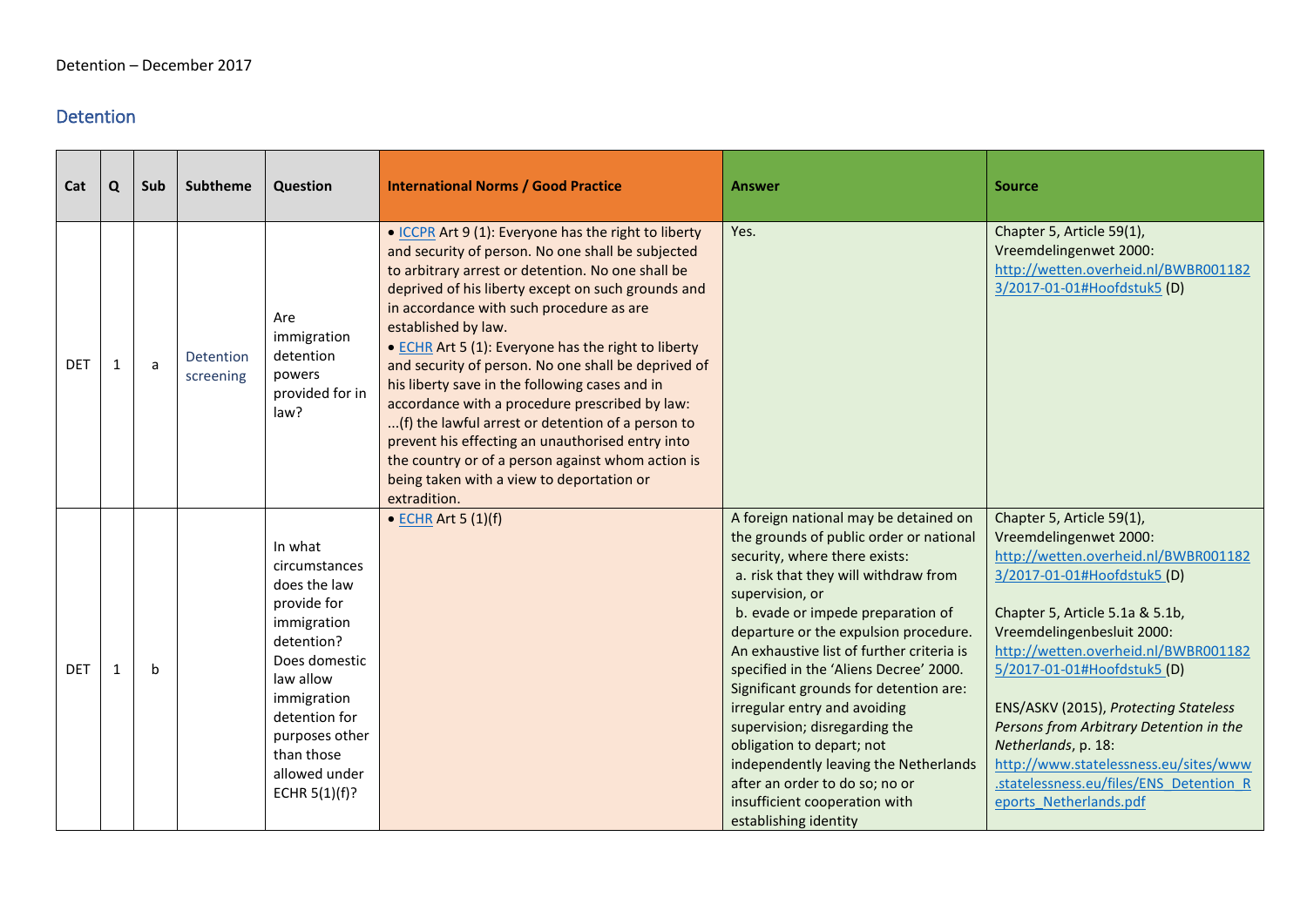### <span id="page-24-0"></span>Detention

<span id="page-24-1"></span>

| Cat        | Q  | Sub | <b>Subtheme</b>        | Question                                                                                                                                                                                                                | <b>International Norms / Good Practice</b>                                                                                                                                                                                                                                                                                                                                                                                                                                                                                                                                                                                                                                                                                           | <b>Answer</b>                                                                                                                                                                                                                                                                                                                                                                                                                                                                                                                                                                                                                  | <b>Source</b>                                                                                                                                                                                                                                                                                                                                                                                                                                                                               |
|------------|----|-----|------------------------|-------------------------------------------------------------------------------------------------------------------------------------------------------------------------------------------------------------------------|--------------------------------------------------------------------------------------------------------------------------------------------------------------------------------------------------------------------------------------------------------------------------------------------------------------------------------------------------------------------------------------------------------------------------------------------------------------------------------------------------------------------------------------------------------------------------------------------------------------------------------------------------------------------------------------------------------------------------------------|--------------------------------------------------------------------------------------------------------------------------------------------------------------------------------------------------------------------------------------------------------------------------------------------------------------------------------------------------------------------------------------------------------------------------------------------------------------------------------------------------------------------------------------------------------------------------------------------------------------------------------|---------------------------------------------------------------------------------------------------------------------------------------------------------------------------------------------------------------------------------------------------------------------------------------------------------------------------------------------------------------------------------------------------------------------------------------------------------------------------------------------|
| <b>DET</b> | 1  | a   | Detention<br>screening | Are<br>immigration<br>detention<br>powers<br>provided for in<br>law?                                                                                                                                                    | • ICCPR Art 9 (1): Everyone has the right to liberty<br>and security of person. No one shall be subjected<br>to arbitrary arrest or detention. No one shall be<br>deprived of his liberty except on such grounds and<br>in accordance with such procedure as are<br>established by law.<br>• ECHR Art 5 (1): Everyone has the right to liberty<br>and security of person. No one shall be deprived of<br>his liberty save in the following cases and in<br>accordance with a procedure prescribed by law:<br>(f) the lawful arrest or detention of a person to<br>prevent his effecting an unauthorised entry into<br>the country or of a person against whom action is<br>being taken with a view to deportation or<br>extradition. | Yes.                                                                                                                                                                                                                                                                                                                                                                                                                                                                                                                                                                                                                           | Chapter 5, Article 59(1),<br>Vreemdelingenwet 2000:<br>http://wetten.overheid.nl/BWBR001182<br>3/2017-01-01#Hoofdstuk5 (D)                                                                                                                                                                                                                                                                                                                                                                  |
| <b>DET</b> | -1 | b   |                        | In what<br>circumstances<br>does the law<br>provide for<br>immigration<br>detention?<br>Does domestic<br>law allow<br>immigration<br>detention for<br>purposes other<br>than those<br>allowed under<br>ECHR $5(1)(f)$ ? | $\bullet$ ECHR Art 5 (1)(f)                                                                                                                                                                                                                                                                                                                                                                                                                                                                                                                                                                                                                                                                                                          | A foreign national may be detained on<br>the grounds of public order or national<br>security, where there exists:<br>a. risk that they will withdraw from<br>supervision, or<br>b. evade or impede preparation of<br>departure or the expulsion procedure.<br>An exhaustive list of further criteria is<br>specified in the 'Aliens Decree' 2000.<br>Significant grounds for detention are:<br>irregular entry and avoiding<br>supervision; disregarding the<br>obligation to depart; not<br>independently leaving the Netherlands<br>after an order to do so; no or<br>insufficient cooperation with<br>establishing identity | Chapter 5, Article 59(1),<br>Vreemdelingenwet 2000:<br>http://wetten.overheid.nl/BWBR001182<br>3/2017-01-01#Hoofdstuk5 (D)<br>Chapter 5, Article 5.1a & 5.1b,<br>Vreemdelingenbesluit 2000:<br>http://wetten.overheid.nl/BWBR001182<br>5/2017-01-01#Hoofdstuk5 (D)<br>ENS/ASKV (2015), Protecting Stateless<br>Persons from Arbitrary Detention in the<br>Netherlands, p. 18:<br>http://www.statelessness.eu/sites/www<br>.statelessness.eu/files/ENS Detention R<br>eports Netherlands.pdf |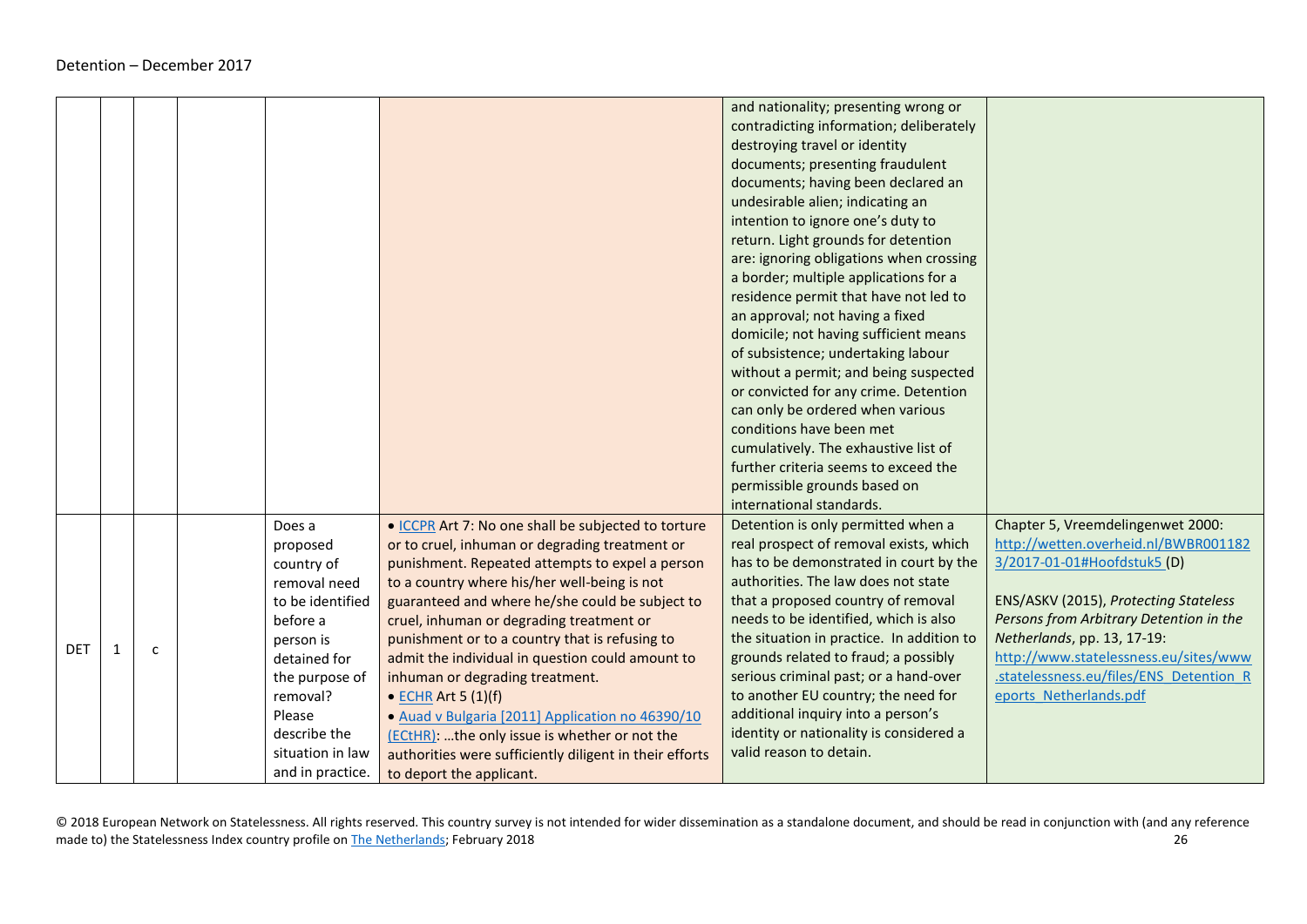|            |   |                  |                                                         | and nationality; presenting wrong or      |                                         |
|------------|---|------------------|---------------------------------------------------------|-------------------------------------------|-----------------------------------------|
|            |   |                  |                                                         | contradicting information; deliberately   |                                         |
|            |   |                  |                                                         | destroying travel or identity             |                                         |
|            |   |                  |                                                         | documents; presenting fraudulent          |                                         |
|            |   |                  |                                                         | documents; having been declared an        |                                         |
|            |   |                  |                                                         | undesirable alien; indicating an          |                                         |
|            |   |                  |                                                         | intention to ignore one's duty to         |                                         |
|            |   |                  |                                                         | return. Light grounds for detention       |                                         |
|            |   |                  |                                                         |                                           |                                         |
|            |   |                  |                                                         | are: ignoring obligations when crossing   |                                         |
|            |   |                  |                                                         | a border; multiple applications for a     |                                         |
|            |   |                  |                                                         | residence permit that have not led to     |                                         |
|            |   |                  |                                                         | an approval; not having a fixed           |                                         |
|            |   |                  |                                                         | domicile; not having sufficient means     |                                         |
|            |   |                  |                                                         | of subsistence; undertaking labour        |                                         |
|            |   |                  |                                                         | without a permit; and being suspected     |                                         |
|            |   |                  |                                                         | or convicted for any crime. Detention     |                                         |
|            |   |                  |                                                         | can only be ordered when various          |                                         |
|            |   |                  |                                                         | conditions have been met                  |                                         |
|            |   |                  |                                                         | cumulatively. The exhaustive list of      |                                         |
|            |   |                  |                                                         | further criteria seems to exceed the      |                                         |
|            |   |                  |                                                         | permissible grounds based on              |                                         |
|            |   |                  |                                                         | international standards.                  |                                         |
|            |   | Does a           | . ICCPR Art 7: No one shall be subjected to torture     | Detention is only permitted when a        | Chapter 5, Vreemdelingenwet 2000:       |
|            |   | proposed         | or to cruel, inhuman or degrading treatment or          | real prospect of removal exists, which    | http://wetten.overheid.nl/BWBR001182    |
|            |   | country of       | punishment. Repeated attempts to expel a person         | has to be demonstrated in court by the    | 3/2017-01-01#Hoofdstuk5 (D)             |
|            |   | removal need     | to a country where his/her well-being is not            | authorities. The law does not state       |                                         |
|            |   | to be identified | guaranteed and where he/she could be subject to         | that a proposed country of removal        | ENS/ASKV (2015), Protecting Stateless   |
|            |   | before a         | cruel, inhuman or degrading treatment or                | needs to be identified, which is also     | Persons from Arbitrary Detention in the |
| <b>DET</b> |   | person is        | punishment or to a country that is refusing to          | the situation in practice. In addition to | Netherlands, pp. 13, 17-19:             |
|            | c | detained for     | admit the individual in question could amount to        | grounds related to fraud; a possibly      | http://www.statelessness.eu/sites/www   |
|            |   | the purpose of   | inhuman or degrading treatment.                         | serious criminal past; or a hand-over     | statelessness.eu/files/ENS Detention R  |
|            |   | removal?         | • ECHR Art 5 (1)(f)                                     | to another EU country; the need for       | eports Netherlands.pdf                  |
|            |   | Please           | · Auad v Bulgaria [2011] Application no 46390/10        | additional inquiry into a person's        |                                         |
|            |   | describe the     | (ECtHR):  the only issue is whether or not the          | identity or nationality is considered a   |                                         |
|            |   | situation in law | authorities were sufficiently diligent in their efforts | valid reason to detain.                   |                                         |
|            |   | and in practice. | to deport the applicant.                                |                                           |                                         |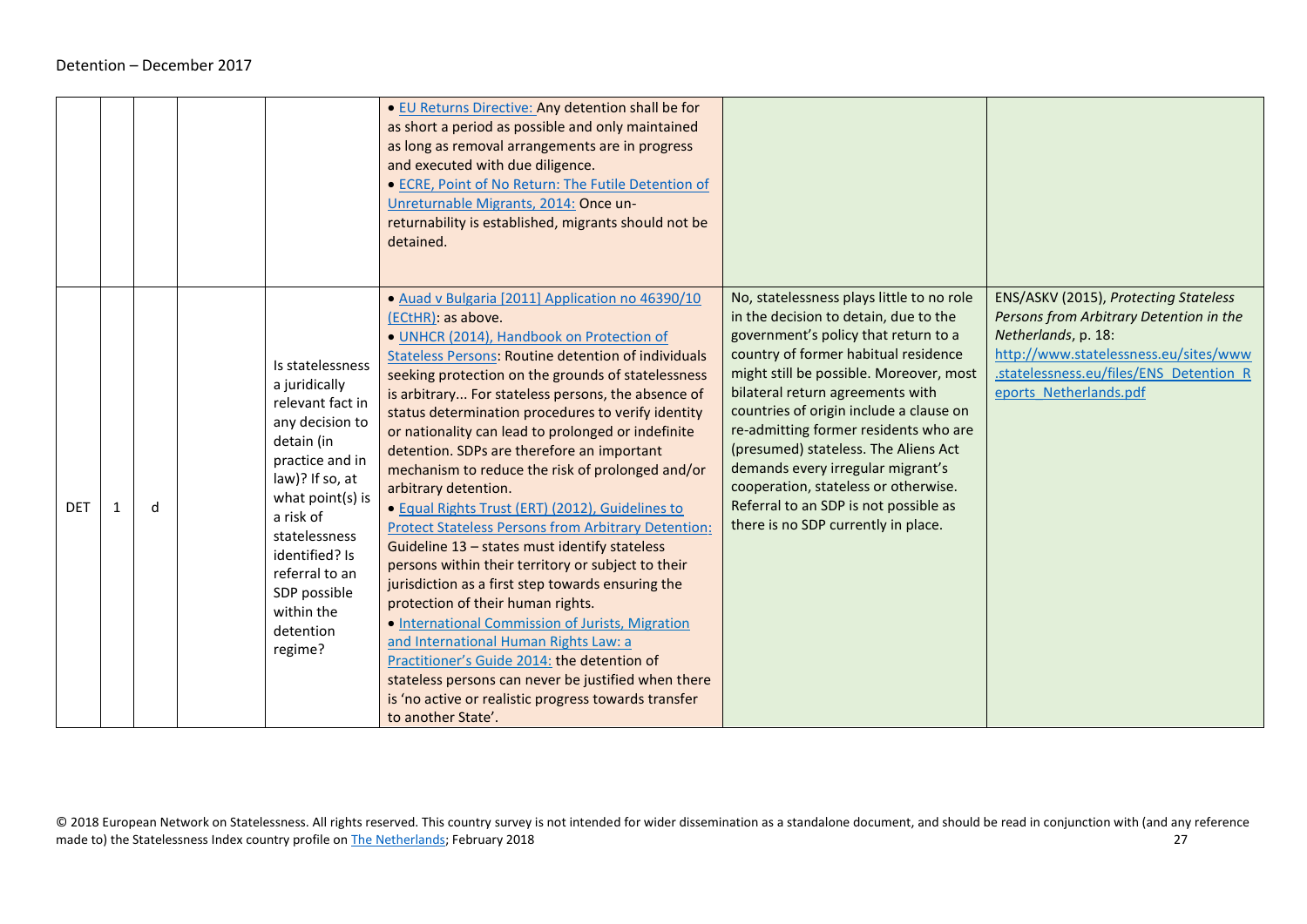|            |    |   |                                                                                                                                                                                                                                                                          | . EU Returns Directive: Any detention shall be for<br>as short a period as possible and only maintained<br>as long as removal arrangements are in progress<br>and executed with due diligence.<br>• ECRE, Point of No Return: The Futile Detention of<br>Unreturnable Migrants, 2014: Once un-<br>returnability is established, migrants should not be<br>detained.                                                                                                                                                                                                                                                                                                                                                                                                                                                                                                                                                                                                                                                                                                                                                                     |                                                                                                                                                                                                                                                                                                                                                                                                                                                                                                                                            |                                                                                                                                                                                                                       |
|------------|----|---|--------------------------------------------------------------------------------------------------------------------------------------------------------------------------------------------------------------------------------------------------------------------------|-----------------------------------------------------------------------------------------------------------------------------------------------------------------------------------------------------------------------------------------------------------------------------------------------------------------------------------------------------------------------------------------------------------------------------------------------------------------------------------------------------------------------------------------------------------------------------------------------------------------------------------------------------------------------------------------------------------------------------------------------------------------------------------------------------------------------------------------------------------------------------------------------------------------------------------------------------------------------------------------------------------------------------------------------------------------------------------------------------------------------------------------|--------------------------------------------------------------------------------------------------------------------------------------------------------------------------------------------------------------------------------------------------------------------------------------------------------------------------------------------------------------------------------------------------------------------------------------------------------------------------------------------------------------------------------------------|-----------------------------------------------------------------------------------------------------------------------------------------------------------------------------------------------------------------------|
| <b>DET</b> | -1 | d | Is statelessness<br>a juridically<br>relevant fact in<br>any decision to<br>detain (in<br>practice and in<br>law)? If so, at<br>what point(s) is<br>a risk of<br>statelessness<br>identified? Is<br>referral to an<br>SDP possible<br>within the<br>detention<br>regime? | · Auad v Bulgaria [2011] Application no 46390/10<br>(ECtHR): as above.<br>· UNHCR (2014), Handbook on Protection of<br><b>Stateless Persons: Routine detention of individuals</b><br>seeking protection on the grounds of statelessness<br>is arbitrary For stateless persons, the absence of<br>status determination procedures to verify identity<br>or nationality can lead to prolonged or indefinite<br>detention. SDPs are therefore an important<br>mechanism to reduce the risk of prolonged and/or<br>arbitrary detention.<br>· Equal Rights Trust (ERT) (2012), Guidelines to<br><b>Protect Stateless Persons from Arbitrary Detention:</b><br>Guideline 13 - states must identify stateless<br>persons within their territory or subject to their<br>jurisdiction as a first step towards ensuring the<br>protection of their human rights.<br>• International Commission of Jurists, Migration<br>and International Human Rights Law: a<br>Practitioner's Guide 2014; the detention of<br>stateless persons can never be justified when there<br>is 'no active or realistic progress towards transfer<br>to another State'. | No, statelessness plays little to no role<br>in the decision to detain, due to the<br>government's policy that return to a<br>country of former habitual residence<br>might still be possible. Moreover, most<br>bilateral return agreements with<br>countries of origin include a clause on<br>re-admitting former residents who are<br>(presumed) stateless. The Aliens Act<br>demands every irregular migrant's<br>cooperation, stateless or otherwise.<br>Referral to an SDP is not possible as<br>there is no SDP currently in place. | ENS/ASKV (2015), Protecting Stateless<br>Persons from Arbitrary Detention in the<br>Netherlands, p. 18:<br>http://www.statelessness.eu/sites/www<br>.statelessness.eu/files/ENS Detention R<br>eports Netherlands.pdf |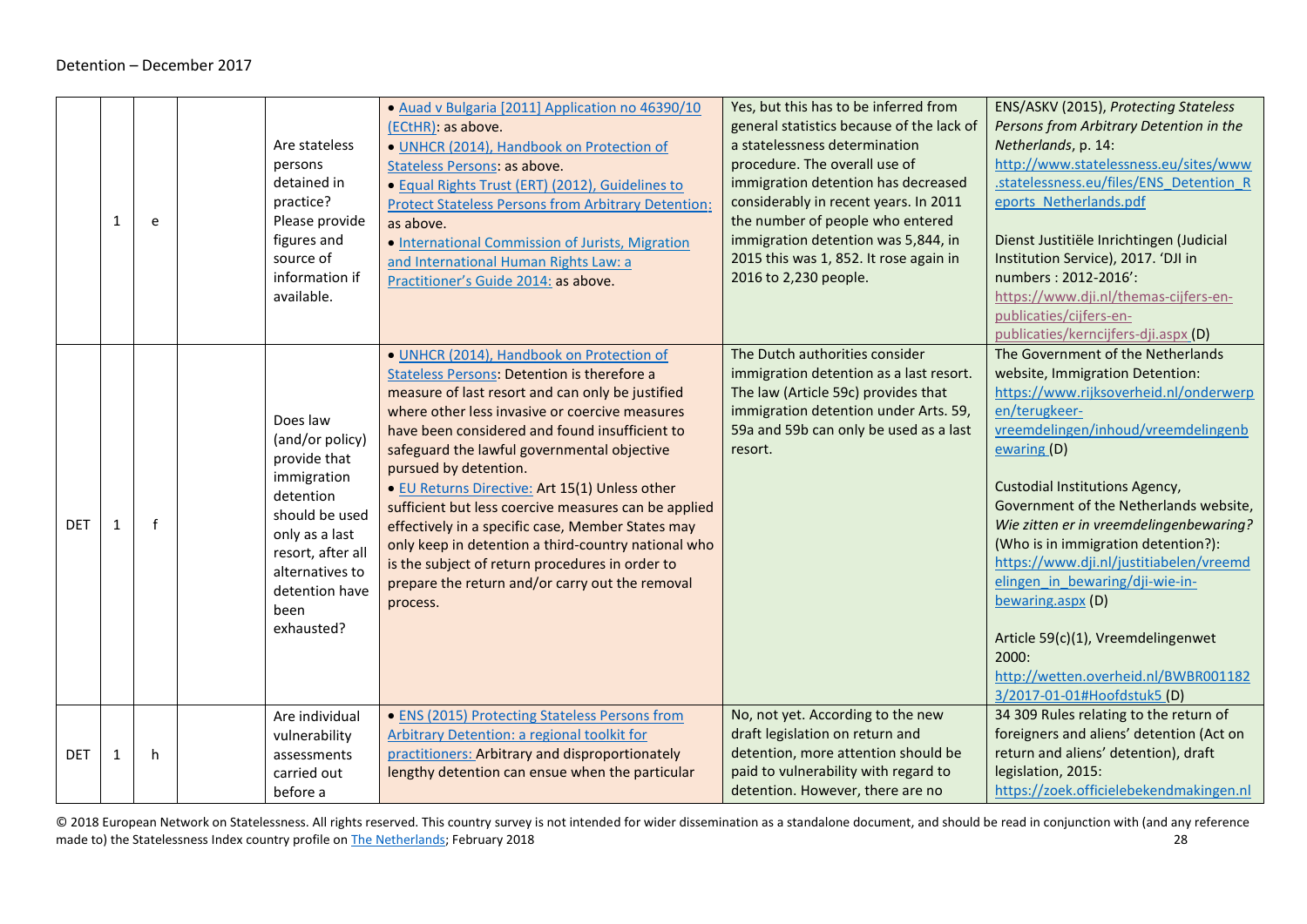|            | 1 | e            | Are stateless<br>persons<br>detained in<br>practice?<br>Please provide<br>figures and<br>source of<br>information if<br>available.                                                          | • Auad v Bulgaria [2011] Application no 46390/10<br>(ECtHR): as above.<br>· UNHCR (2014), Handbook on Protection of<br>Stateless Persons: as above.<br>· Equal Rights Trust (ERT) (2012), Guidelines to<br><b>Protect Stateless Persons from Arbitrary Detention:</b><br>as above.<br>• International Commission of Jurists, Migration<br>and International Human Rights Law: a<br>Practitioner's Guide 2014: as above.                                                                                                                                                                                                                                                 | Yes, but this has to be inferred from<br>general statistics because of the lack of<br>a statelessness determination<br>procedure. The overall use of<br>immigration detention has decreased<br>considerably in recent years. In 2011<br>the number of people who entered<br>immigration detention was 5,844, in<br>2015 this was 1, 852. It rose again in<br>2016 to 2,230 people. | ENS/ASKV (2015), Protecting Stateless<br>Persons from Arbitrary Detention in the<br>Netherlands, p. 14:<br>http://www.statelessness.eu/sites/www<br>.statelessness.eu/files/ENS Detention R<br>eports Netherlands.pdf<br>Dienst Justitiële Inrichtingen (Judicial<br>Institution Service), 2017. 'DJI in<br>numbers: 2012-2016':<br>https://www.dji.nl/themas-cijfers-en-<br>publicaties/cijfers-en-<br>publicaties/kerncijfers-dji.aspx (D)                                                                                                                                       |
|------------|---|--------------|---------------------------------------------------------------------------------------------------------------------------------------------------------------------------------------------|-------------------------------------------------------------------------------------------------------------------------------------------------------------------------------------------------------------------------------------------------------------------------------------------------------------------------------------------------------------------------------------------------------------------------------------------------------------------------------------------------------------------------------------------------------------------------------------------------------------------------------------------------------------------------|------------------------------------------------------------------------------------------------------------------------------------------------------------------------------------------------------------------------------------------------------------------------------------------------------------------------------------------------------------------------------------|------------------------------------------------------------------------------------------------------------------------------------------------------------------------------------------------------------------------------------------------------------------------------------------------------------------------------------------------------------------------------------------------------------------------------------------------------------------------------------------------------------------------------------------------------------------------------------|
| <b>DET</b> | 1 | $\mathsf{f}$ | Does law<br>(and/or policy)<br>provide that<br>immigration<br>detention<br>should be used<br>only as a last<br>resort, after all<br>alternatives to<br>detention have<br>been<br>exhausted? | · UNHCR (2014), Handbook on Protection of<br><b>Stateless Persons: Detention is therefore a</b><br>measure of last resort and can only be justified<br>where other less invasive or coercive measures<br>have been considered and found insufficient to<br>safeguard the lawful governmental objective<br>pursued by detention.<br>· EU Returns Directive: Art 15(1) Unless other<br>sufficient but less coercive measures can be applied<br>effectively in a specific case, Member States may<br>only keep in detention a third-country national who<br>is the subject of return procedures in order to<br>prepare the return and/or carry out the removal<br>process. | The Dutch authorities consider<br>immigration detention as a last resort.<br>The law (Article 59c) provides that<br>immigration detention under Arts. 59,<br>59a and 59b can only be used as a last<br>resort.                                                                                                                                                                     | The Government of the Netherlands<br>website, Immigration Detention:<br>https://www.rijksoverheid.nl/onderwerp<br>en/terugkeer-<br>vreemdelingen/inhoud/vreemdelingenb<br>ewaring(D)<br><b>Custodial Institutions Agency,</b><br>Government of the Netherlands website,<br>Wie zitten er in vreemdelingenbewaring?<br>(Who is in immigration detention?):<br>https://www.dji.nl/justitiabelen/vreemd<br>elingen in bewaring/dji-wie-in-<br>bewaring.aspx (D)<br>Article 59(c)(1), Vreemdelingenwet<br>2000:<br>http://wetten.overheid.nl/BWBR001182<br>3/2017-01-01#Hoofdstuk5 (D) |
| <b>DET</b> | 1 | h.           | Are individual<br>vulnerability<br>assessments<br>carried out<br>before a                                                                                                                   | • ENS (2015) Protecting Stateless Persons from<br><b>Arbitrary Detention: a regional toolkit for</b><br>practitioners: Arbitrary and disproportionately<br>lengthy detention can ensue when the particular                                                                                                                                                                                                                                                                                                                                                                                                                                                              | No, not yet. According to the new<br>draft legislation on return and<br>detention, more attention should be<br>paid to vulnerability with regard to<br>detention. However, there are no                                                                                                                                                                                            | 34 309 Rules relating to the return of<br>foreigners and aliens' detention (Act on<br>return and aliens' detention), draft<br>legislation, 2015:<br>https://zoek.officielebekendmakingen.nl                                                                                                                                                                                                                                                                                                                                                                                        |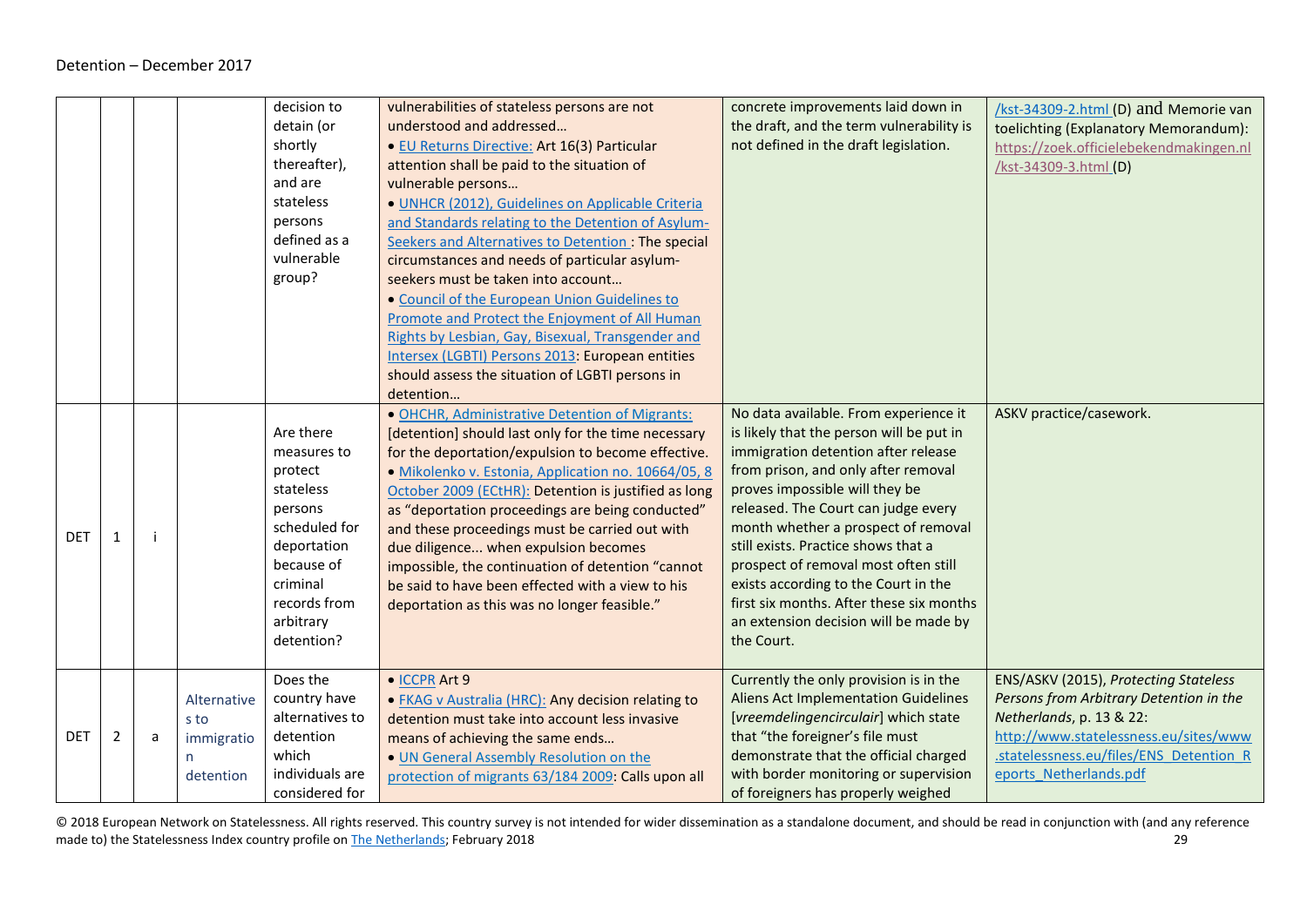<span id="page-28-0"></span>

|            |   |   |                                                     | decision to<br>detain (or<br>shortly<br>thereafter),<br>and are<br>stateless<br>persons<br>defined as a<br>vulnerable<br>group?                                  | vulnerabilities of stateless persons are not<br>understood and addressed<br>· EU Returns Directive: Art 16(3) Particular<br>attention shall be paid to the situation of<br>vulnerable persons<br>· UNHCR (2012), Guidelines on Applicable Criteria<br>and Standards relating to the Detention of Asylum-<br>Seekers and Alternatives to Detention : The special<br>circumstances and needs of particular asylum-<br>seekers must be taken into account<br>• Council of the European Union Guidelines to<br>Promote and Protect the Enjoyment of All Human<br>Rights by Lesbian, Gay, Bisexual, Transgender and<br>Intersex (LGBTI) Persons 2013: European entities<br>should assess the situation of LGBTI persons in | concrete improvements laid down in<br>the draft, and the term vulnerability is<br>not defined in the draft legislation.                                                                                                                                                                                                                                                                                                                                                                                   | /kst-34309-2.html (D) and Memorie van<br>toelichting (Explanatory Memorandum):<br>https://zoek.officielebekendmakingen.nl<br>/kst-34309-3.html (D)                                                                         |
|------------|---|---|-----------------------------------------------------|------------------------------------------------------------------------------------------------------------------------------------------------------------------|-----------------------------------------------------------------------------------------------------------------------------------------------------------------------------------------------------------------------------------------------------------------------------------------------------------------------------------------------------------------------------------------------------------------------------------------------------------------------------------------------------------------------------------------------------------------------------------------------------------------------------------------------------------------------------------------------------------------------|-----------------------------------------------------------------------------------------------------------------------------------------------------------------------------------------------------------------------------------------------------------------------------------------------------------------------------------------------------------------------------------------------------------------------------------------------------------------------------------------------------------|----------------------------------------------------------------------------------------------------------------------------------------------------------------------------------------------------------------------------|
| <b>DET</b> | 1 | ÷ |                                                     | Are there<br>measures to<br>protect<br>stateless<br>persons<br>scheduled for<br>deportation<br>because of<br>criminal<br>records from<br>arbitrary<br>detention? | detention<br>· OHCHR, Administrative Detention of Migrants:<br>[detention] should last only for the time necessary<br>for the deportation/expulsion to become effective.<br>· Mikolenko v. Estonia, Application no. 10664/05, 8<br>October 2009 (ECtHR): Detention is justified as long<br>as "deportation proceedings are being conducted"<br>and these proceedings must be carried out with<br>due diligence when expulsion becomes<br>impossible, the continuation of detention "cannot<br>be said to have been effected with a view to his<br>deportation as this was no longer feasible."                                                                                                                        | No data available. From experience it<br>is likely that the person will be put in<br>immigration detention after release<br>from prison, and only after removal<br>proves impossible will they be<br>released. The Court can judge every<br>month whether a prospect of removal<br>still exists. Practice shows that a<br>prospect of removal most often still<br>exists according to the Court in the<br>first six months. After these six months<br>an extension decision will be made by<br>the Court. | ASKV practice/casework.                                                                                                                                                                                                    |
| <b>DET</b> | 2 | a | Alternative<br>s to<br>immigratio<br>n<br>detention | Does the<br>country have<br>alternatives to<br>detention<br>which<br>individuals are<br>considered for                                                           | • ICCPR Art 9<br>• FKAG v Australia (HRC): Any decision relating to<br>detention must take into account less invasive<br>means of achieving the same ends<br>. UN General Assembly Resolution on the<br>protection of migrants 63/184 2009: Calls upon all                                                                                                                                                                                                                                                                                                                                                                                                                                                            | Currently the only provision is in the<br><b>Aliens Act Implementation Guidelines</b><br>[vreemdelingencirculair] which state<br>that "the foreigner's file must<br>demonstrate that the official charged<br>with border monitoring or supervision<br>of foreigners has properly weighed                                                                                                                                                                                                                  | ENS/ASKV (2015), Protecting Stateless<br>Persons from Arbitrary Detention in the<br>Netherlands, p. 13 & 22:<br>http://www.statelessness.eu/sites/www<br>.statelessness.eu/files/ENS Detention R<br>eports Netherlands.pdf |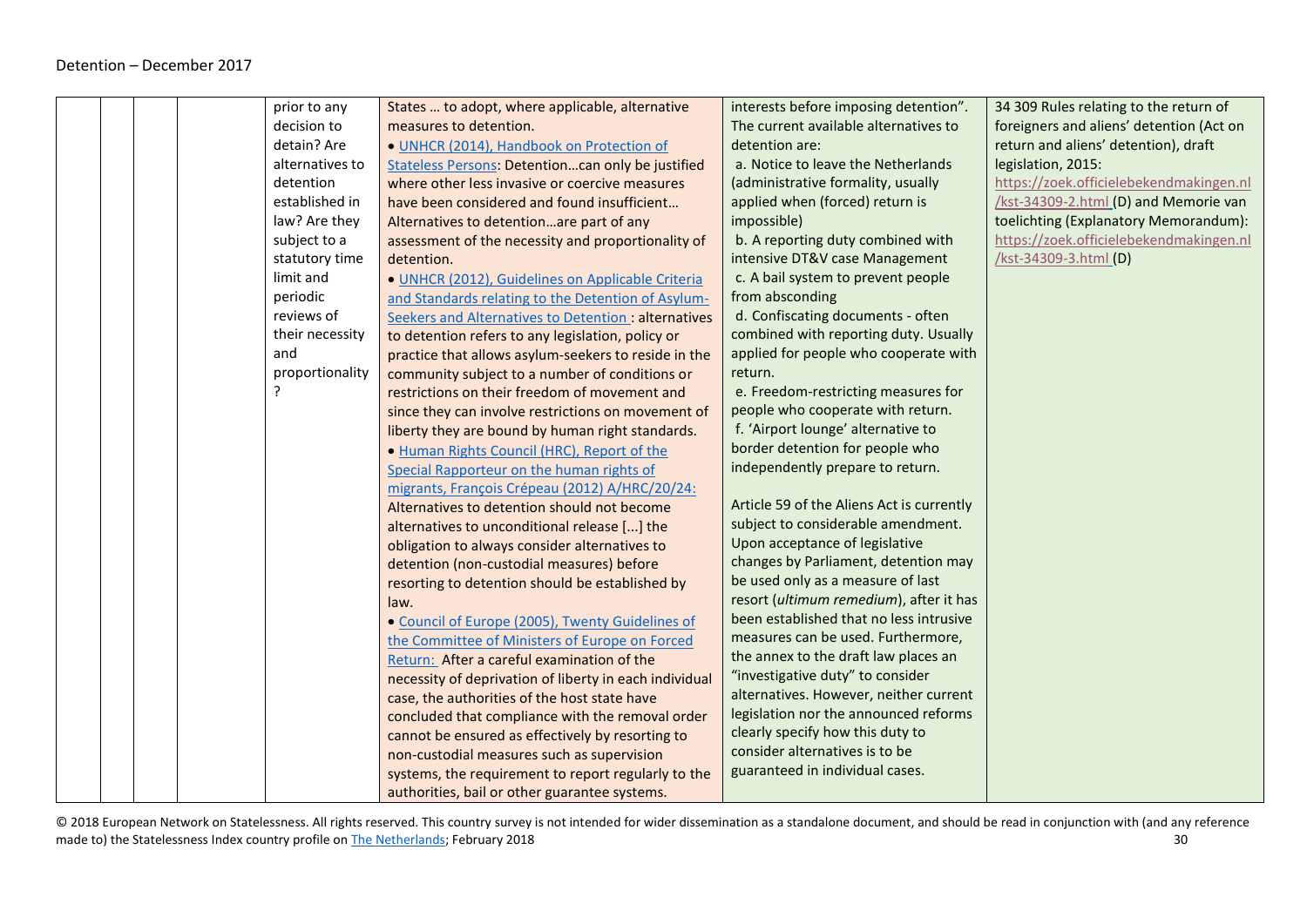|  |   | prior to any    | States  to adopt, where applicable, alternative        | interests before imposing detention".     | 34 309 Rules relating to the return of   |
|--|---|-----------------|--------------------------------------------------------|-------------------------------------------|------------------------------------------|
|  |   | decision to     | measures to detention.                                 | The current available alternatives to     | foreigners and aliens' detention (Act on |
|  |   | detain? Are     | · UNHCR (2014), Handbook on Protection of              | detention are:                            | return and aliens' detention), draft     |
|  |   | alternatives to | Stateless Persons: Detentioncan only be justified      | a. Notice to leave the Netherlands        | legislation, 2015:                       |
|  |   | detention       | where other less invasive or coercive measures         | (administrative formality, usually        | https://zoek.officielebekendmakingen.nl  |
|  |   | established in  | have been considered and found insufficient            | applied when (forced) return is           | /kst-34309-2.html (D) and Memorie van    |
|  |   | law? Are they   | Alternatives to detentionare part of any               | impossible)                               | toelichting (Explanatory Memorandum):    |
|  |   | subject to a    | assessment of the necessity and proportionality of     | b. A reporting duty combined with         | https://zoek.officielebekendmakingen.nl  |
|  |   | statutory time  | detention.                                             | intensive DT&V case Management            | /kst-34309-3.html (D)                    |
|  |   | limit and       | · UNHCR (2012), Guidelines on Applicable Criteria      | c. A bail system to prevent people        |                                          |
|  |   | periodic        | and Standards relating to the Detention of Asylum-     | from absconding                           |                                          |
|  |   | reviews of      | Seekers and Alternatives to Detention : alternatives   | d. Confiscating documents - often         |                                          |
|  |   | their necessity | to detention refers to any legislation, policy or      | combined with reporting duty. Usually     |                                          |
|  |   | and             | practice that allows asylum-seekers to reside in the   | applied for people who cooperate with     |                                          |
|  |   | proportionality | community subject to a number of conditions or         | return.                                   |                                          |
|  | ? |                 | restrictions on their freedom of movement and          | e. Freedom-restricting measures for       |                                          |
|  |   |                 | since they can involve restrictions on movement of     | people who cooperate with return.         |                                          |
|  |   |                 | liberty they are bound by human right standards.       | f. 'Airport lounge' alternative to        |                                          |
|  |   |                 | . Human Rights Council (HRC), Report of the            | border detention for people who           |                                          |
|  |   |                 | Special Rapporteur on the human rights of              | independently prepare to return.          |                                          |
|  |   |                 | migrants, François Crépeau (2012) A/HRC/20/24:         |                                           |                                          |
|  |   |                 | Alternatives to detention should not become            | Article 59 of the Aliens Act is currently |                                          |
|  |   |                 | alternatives to unconditional release [] the           | subject to considerable amendment.        |                                          |
|  |   |                 | obligation to always consider alternatives to          | Upon acceptance of legislative            |                                          |
|  |   |                 | detention (non-custodial measures) before              | changes by Parliament, detention may      |                                          |
|  |   |                 | resorting to detention should be established by        | be used only as a measure of last         |                                          |
|  |   |                 | law.                                                   | resort (ultimum remedium), after it has   |                                          |
|  |   |                 | • Council of Europe (2005), Twenty Guidelines of       | been established that no less intrusive   |                                          |
|  |   |                 | the Committee of Ministers of Europe on Forced         | measures can be used. Furthermore,        |                                          |
|  |   |                 | Return: After a careful examination of the             | the annex to the draft law places an      |                                          |
|  |   |                 | necessity of deprivation of liberty in each individual | "investigative duty" to consider          |                                          |
|  |   |                 | case, the authorities of the host state have           | alternatives. However, neither current    |                                          |
|  |   |                 | concluded that compliance with the removal order       | legislation nor the announced reforms     |                                          |
|  |   |                 | cannot be ensured as effectively by resorting to       | clearly specify how this duty to          |                                          |
|  |   |                 | non-custodial measures such as supervision             | consider alternatives is to be            |                                          |
|  |   |                 | systems, the requirement to report regularly to the    | guaranteed in individual cases.           |                                          |
|  |   |                 | authorities, bail or other guarantee systems.          |                                           |                                          |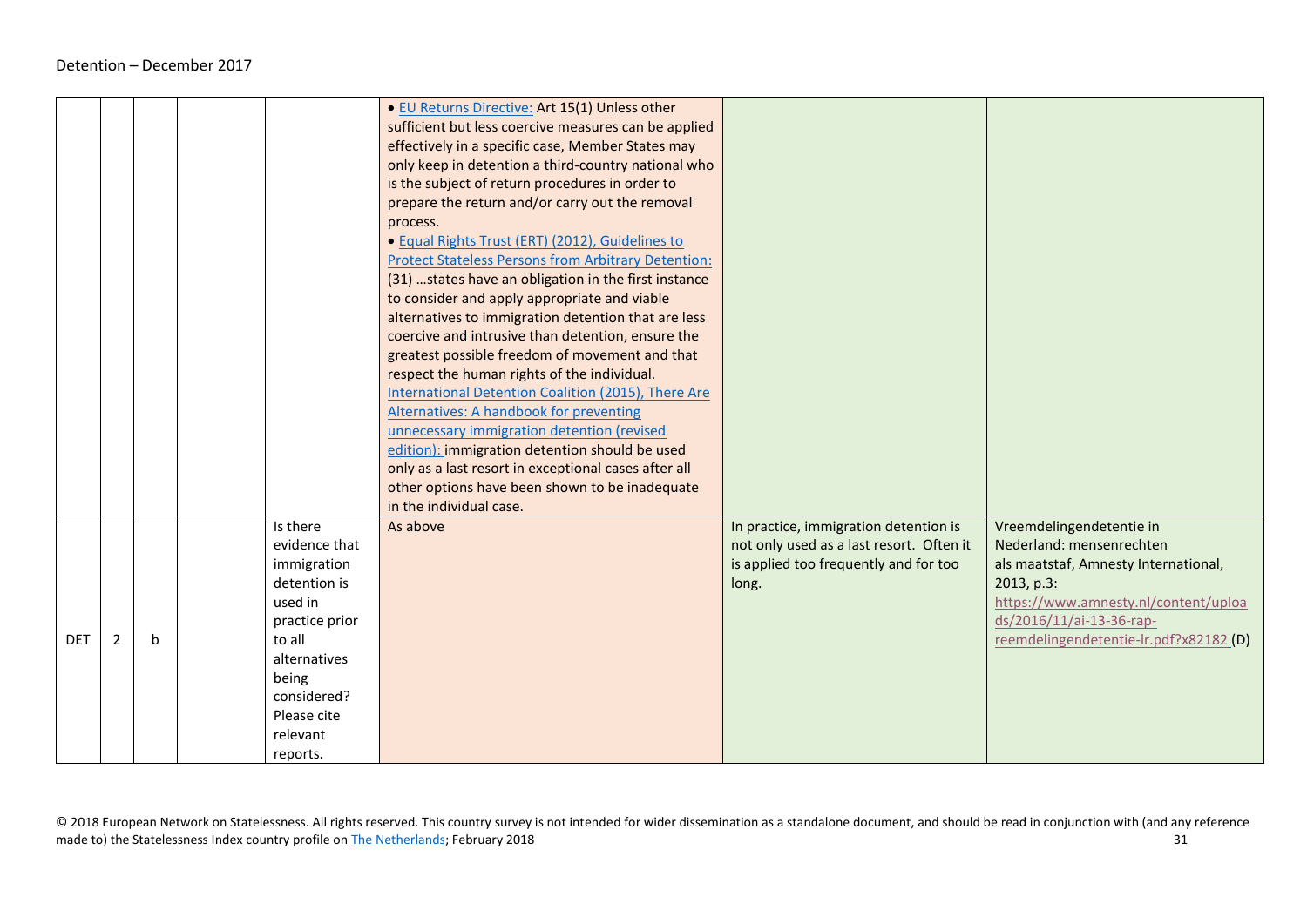|            |   |             |                                                                                                                                                                                | · EU Returns Directive: Art 15(1) Unless other<br>sufficient but less coercive measures can be applied<br>effectively in a specific case, Member States may<br>only keep in detention a third-country national who<br>is the subject of return procedures in order to<br>prepare the return and/or carry out the removal<br>process.<br>· Equal Rights Trust (ERT) (2012), Guidelines to<br><b>Protect Stateless Persons from Arbitrary Detention:</b><br>(31)  states have an obligation in the first instance<br>to consider and apply appropriate and viable |                                                                                                                                     |                                                                                                                                                                                                                          |
|------------|---|-------------|--------------------------------------------------------------------------------------------------------------------------------------------------------------------------------|-----------------------------------------------------------------------------------------------------------------------------------------------------------------------------------------------------------------------------------------------------------------------------------------------------------------------------------------------------------------------------------------------------------------------------------------------------------------------------------------------------------------------------------------------------------------|-------------------------------------------------------------------------------------------------------------------------------------|--------------------------------------------------------------------------------------------------------------------------------------------------------------------------------------------------------------------------|
|            |   |             |                                                                                                                                                                                | alternatives to immigration detention that are less<br>coercive and intrusive than detention, ensure the<br>greatest possible freedom of movement and that<br>respect the human rights of the individual.<br>International Detention Coalition (2015), There Are<br>Alternatives: A handbook for preventing<br>unnecessary immigration detention (revised<br>edition): immigration detention should be used<br>only as a last resort in exceptional cases after all<br>other options have been shown to be inadequate<br>in the individual case.                |                                                                                                                                     |                                                                                                                                                                                                                          |
| <b>DET</b> | 2 | $\mathbf b$ | Is there<br>evidence that<br>immigration<br>detention is<br>used in<br>practice prior<br>to all<br>alternatives<br>being<br>considered?<br>Please cite<br>relevant<br>reports. | As above                                                                                                                                                                                                                                                                                                                                                                                                                                                                                                                                                        | In practice, immigration detention is<br>not only used as a last resort. Often it<br>is applied too frequently and for too<br>long. | Vreemdelingendetentie in<br>Nederland: mensenrechten<br>als maatstaf, Amnesty International,<br>2013, p.3:<br>https://www.amnesty.nl/content/uploa<br>ds/2016/11/ai-13-36-rap-<br>reemdelingendetentie-lr.pdf?x82182 (D) |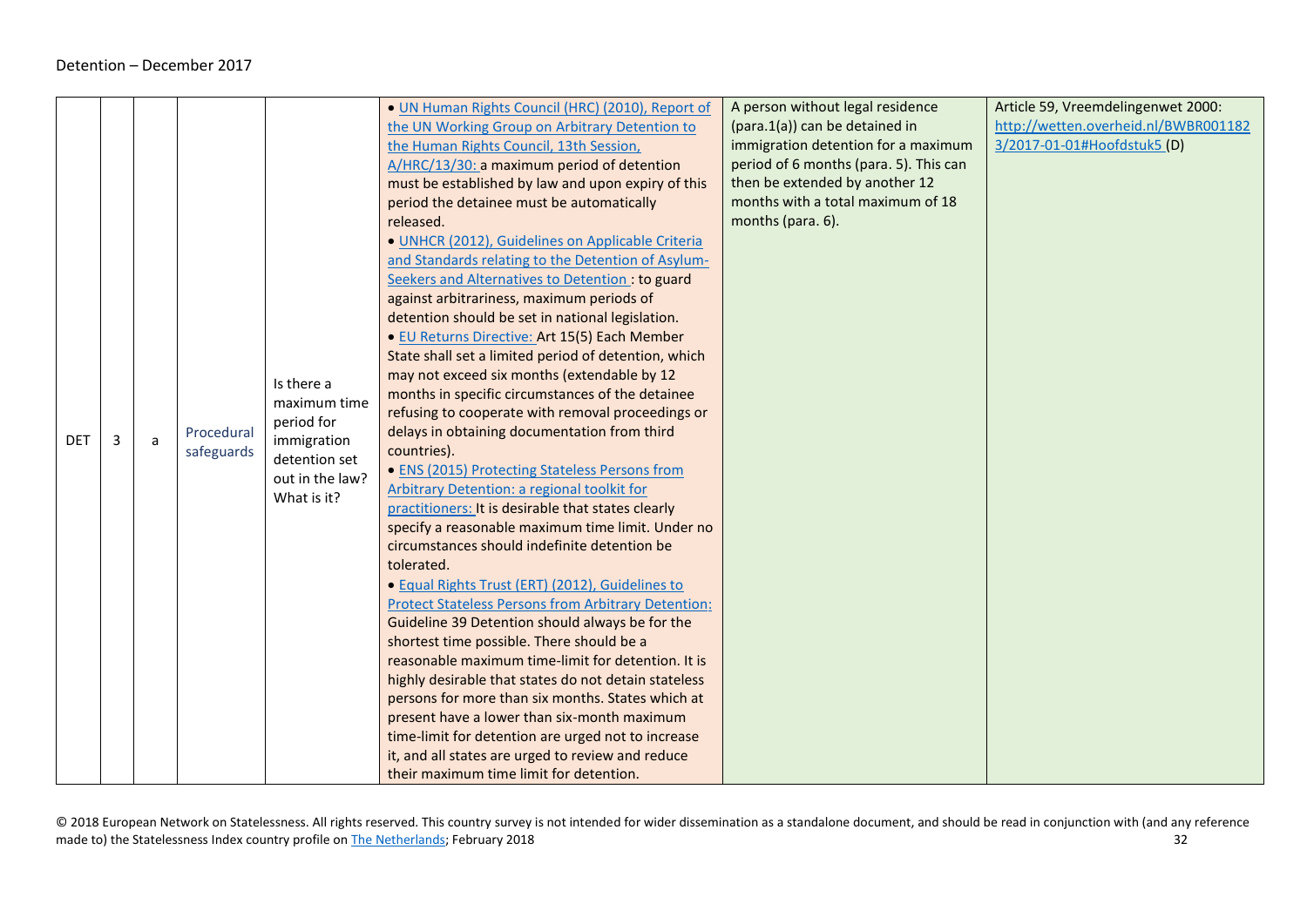<span id="page-31-0"></span>

|            |   |   |            |                 | • UN Human Rights Council (HRC) (2010), Report of                                                     | A person without legal residence       | Article 59, Vreemdelingenwet 2000:   |
|------------|---|---|------------|-----------------|-------------------------------------------------------------------------------------------------------|----------------------------------------|--------------------------------------|
|            |   |   |            |                 | the UN Working Group on Arbitrary Detention to                                                        | (para.1(a)) can be detained in         | http://wetten.overheid.nl/BWBR001182 |
|            |   |   |            |                 | the Human Rights Council, 13th Session,                                                               | immigration detention for a maximum    | 3/2017-01-01#Hoofdstuk5 (D)          |
|            |   |   |            |                 | A/HRC/13/30: a maximum period of detention                                                            | period of 6 months (para. 5). This can |                                      |
|            |   |   |            |                 | must be established by law and upon expiry of this                                                    | then be extended by another 12         |                                      |
|            |   |   |            |                 | period the detainee must be automatically                                                             | months with a total maximum of 18      |                                      |
|            |   |   |            |                 | released.                                                                                             | months (para. 6).                      |                                      |
|            |   |   |            |                 | · UNHCR (2012), Guidelines on Applicable Criteria                                                     |                                        |                                      |
|            |   |   |            |                 | and Standards relating to the Detention of Asylum-                                                    |                                        |                                      |
|            |   |   |            |                 | Seekers and Alternatives to Detention: to guard                                                       |                                        |                                      |
|            |   |   |            |                 | against arbitrariness, maximum periods of                                                             |                                        |                                      |
|            |   |   |            |                 | detention should be set in national legislation.                                                      |                                        |                                      |
|            |   |   |            |                 |                                                                                                       |                                        |                                      |
|            |   |   |            |                 | · EU Returns Directive: Art 15(5) Each Member<br>State shall set a limited period of detention, which |                                        |                                      |
|            |   |   |            |                 |                                                                                                       |                                        |                                      |
|            |   |   |            | Is there a      | may not exceed six months (extendable by 12<br>months in specific circumstances of the detainee       |                                        |                                      |
|            |   |   |            | maximum time    |                                                                                                       |                                        |                                      |
|            |   |   |            | period for      | refusing to cooperate with removal proceedings or                                                     |                                        |                                      |
| <b>DET</b> | 3 | a | Procedural | immigration     | delays in obtaining documentation from third                                                          |                                        |                                      |
|            |   |   | safeguards | detention set   | countries).                                                                                           |                                        |                                      |
|            |   |   |            | out in the law? | • ENS (2015) Protecting Stateless Persons from                                                        |                                        |                                      |
|            |   |   |            | What is it?     | Arbitrary Detention: a regional toolkit for                                                           |                                        |                                      |
|            |   |   |            |                 | practitioners: It is desirable that states clearly                                                    |                                        |                                      |
|            |   |   |            |                 | specify a reasonable maximum time limit. Under no                                                     |                                        |                                      |
|            |   |   |            |                 | circumstances should indefinite detention be                                                          |                                        |                                      |
|            |   |   |            |                 | tolerated.                                                                                            |                                        |                                      |
|            |   |   |            |                 | · Equal Rights Trust (ERT) (2012), Guidelines to                                                      |                                        |                                      |
|            |   |   |            |                 | <b>Protect Stateless Persons from Arbitrary Detention:</b>                                            |                                        |                                      |
|            |   |   |            |                 | Guideline 39 Detention should always be for the                                                       |                                        |                                      |
|            |   |   |            |                 | shortest time possible. There should be a                                                             |                                        |                                      |
|            |   |   |            |                 | reasonable maximum time-limit for detention. It is                                                    |                                        |                                      |
|            |   |   |            |                 | highly desirable that states do not detain stateless                                                  |                                        |                                      |
|            |   |   |            |                 | persons for more than six months. States which at                                                     |                                        |                                      |
|            |   |   |            |                 | present have a lower than six-month maximum                                                           |                                        |                                      |
|            |   |   |            |                 | time-limit for detention are urged not to increase                                                    |                                        |                                      |
|            |   |   |            |                 | it, and all states are urged to review and reduce                                                     |                                        |                                      |
|            |   |   |            |                 | their maximum time limit for detention.                                                               |                                        |                                      |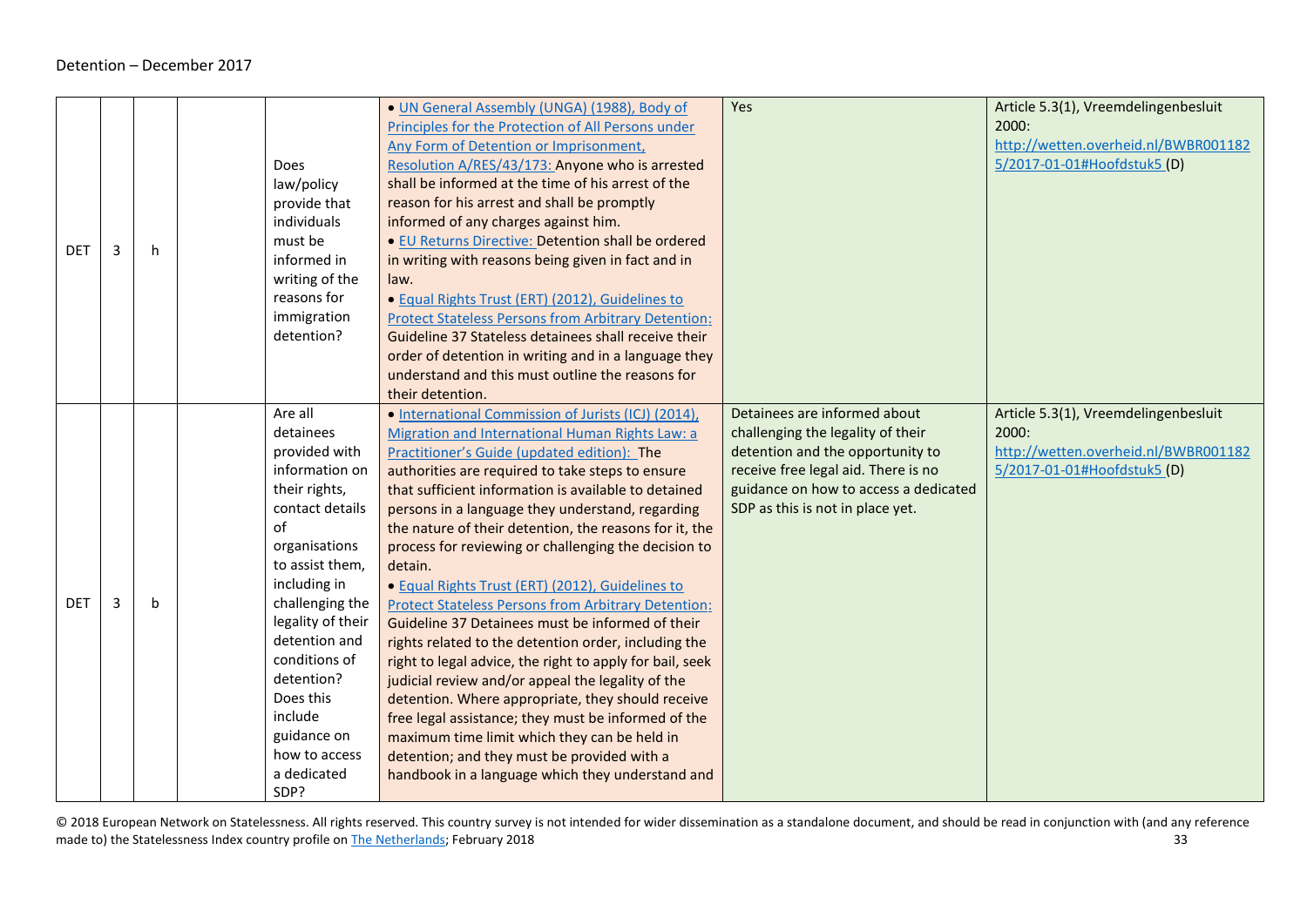| <b>DET</b> | 3 | h           | <b>Does</b><br>law/policy<br>provide that<br>individuals<br>must be<br>informed in<br>writing of the<br>reasons for<br>immigration<br>detention?                                                                                                                                                                             | • UN General Assembly (UNGA) (1988), Body of<br>Principles for the Protection of All Persons under<br>Any Form of Detention or Imprisonment,<br>Resolution A/RES/43/173: Anyone who is arrested<br>shall be informed at the time of his arrest of the<br>reason for his arrest and shall be promptly<br>informed of any charges against him.<br>• EU Returns Directive: Detention shall be ordered<br>in writing with reasons being given in fact and in<br>law.<br>• Equal Rights Trust (ERT) (2012), Guidelines to<br><b>Protect Stateless Persons from Arbitrary Detention:</b><br>Guideline 37 Stateless detainees shall receive their                                                                                                                                                                                                                                                                                                                                                                                                                       | Yes                                                                                                                                                                                                                       | Article 5.3(1), Vreemdelingenbesluit<br>2000:<br>http://wetten.overheid.nl/BWBR001182<br>5/2017-01-01#Hoofdstuk5 (D) |
|------------|---|-------------|------------------------------------------------------------------------------------------------------------------------------------------------------------------------------------------------------------------------------------------------------------------------------------------------------------------------------|------------------------------------------------------------------------------------------------------------------------------------------------------------------------------------------------------------------------------------------------------------------------------------------------------------------------------------------------------------------------------------------------------------------------------------------------------------------------------------------------------------------------------------------------------------------------------------------------------------------------------------------------------------------------------------------------------------------------------------------------------------------------------------------------------------------------------------------------------------------------------------------------------------------------------------------------------------------------------------------------------------------------------------------------------------------|---------------------------------------------------------------------------------------------------------------------------------------------------------------------------------------------------------------------------|----------------------------------------------------------------------------------------------------------------------|
|            |   |             |                                                                                                                                                                                                                                                                                                                              | order of detention in writing and in a language they<br>understand and this must outline the reasons for<br>their detention.                                                                                                                                                                                                                                                                                                                                                                                                                                                                                                                                                                                                                                                                                                                                                                                                                                                                                                                                     |                                                                                                                                                                                                                           |                                                                                                                      |
| <b>DET</b> | 3 | $\mathbf b$ | Are all<br>detainees<br>provided with<br>information on<br>their rights,<br>contact details<br>of<br>organisations<br>to assist them,<br>including in<br>challenging the<br>legality of their<br>detention and<br>conditions of<br>detention?<br>Does this<br>include<br>guidance on<br>how to access<br>a dedicated<br>SDP? | • International Commission of Jurists (ICJ) (2014),<br>Migration and International Human Rights Law: a<br>Practitioner's Guide (updated edition): The<br>authorities are required to take steps to ensure<br>that sufficient information is available to detained<br>persons in a language they understand, regarding<br>the nature of their detention, the reasons for it, the<br>process for reviewing or challenging the decision to<br>detain.<br>· Equal Rights Trust (ERT) (2012), Guidelines to<br><b>Protect Stateless Persons from Arbitrary Detention:</b><br>Guideline 37 Detainees must be informed of their<br>rights related to the detention order, including the<br>right to legal advice, the right to apply for bail, seek<br>judicial review and/or appeal the legality of the<br>detention. Where appropriate, they should receive<br>free legal assistance; they must be informed of the<br>maximum time limit which they can be held in<br>detention; and they must be provided with a<br>handbook in a language which they understand and | Detainees are informed about<br>challenging the legality of their<br>detention and the opportunity to<br>receive free legal aid. There is no<br>guidance on how to access a dedicated<br>SDP as this is not in place yet. | Article 5.3(1), Vreemdelingenbesluit<br>2000:<br>http://wetten.overheid.nl/BWBR001182<br>5/2017-01-01#Hoofdstuk5 (D) |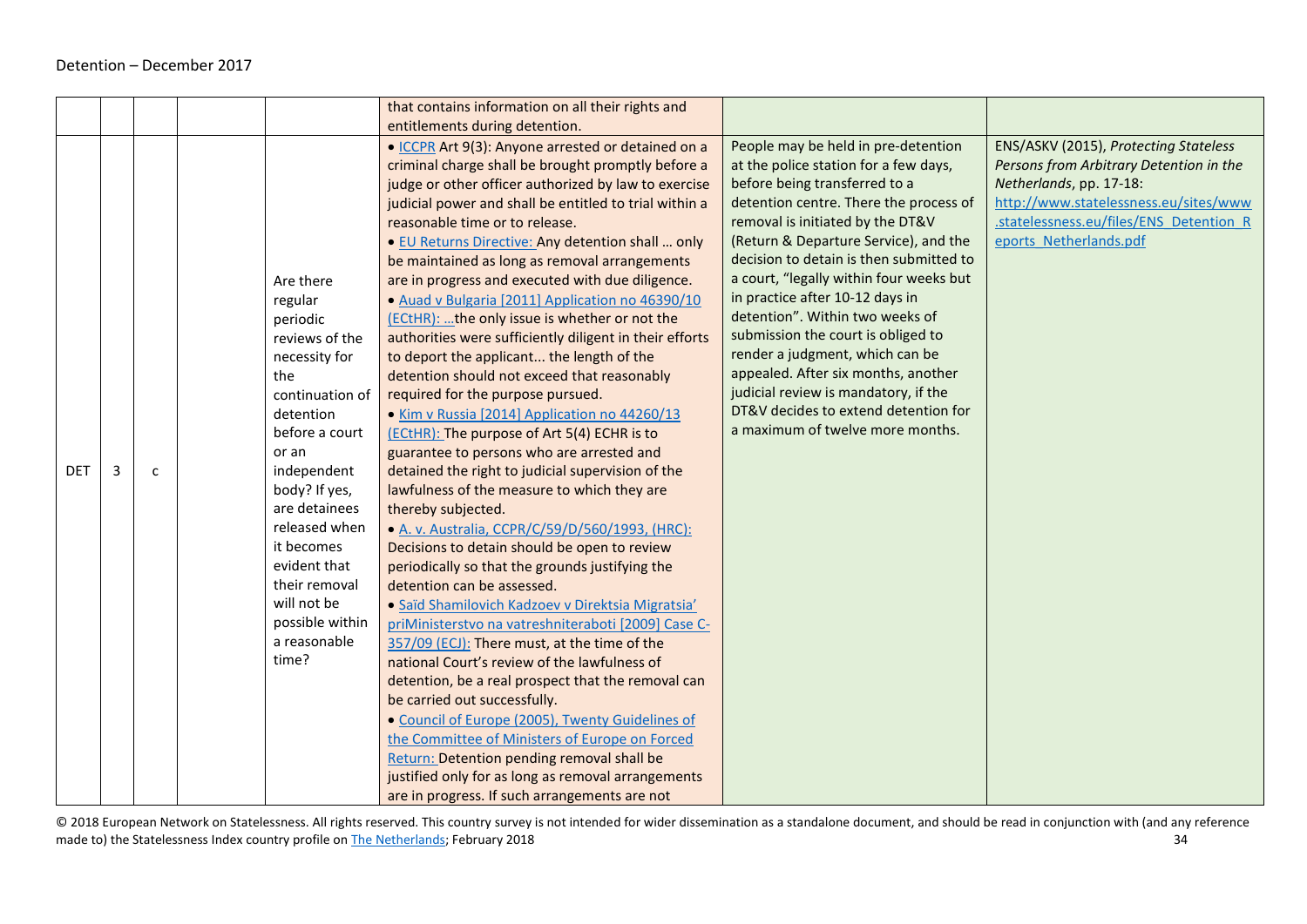|            |   |              |                 | that contains information on all their rights and       |                                         |                                         |
|------------|---|--------------|-----------------|---------------------------------------------------------|-----------------------------------------|-----------------------------------------|
|            |   |              |                 | entitlements during detention.                          |                                         |                                         |
|            |   |              |                 | • ICCPR Art 9(3): Anyone arrested or detained on a      | People may be held in pre-detention     | ENS/ASKV (2015), Protecting Stateless   |
|            |   |              |                 | criminal charge shall be brought promptly before a      | at the police station for a few days,   | Persons from Arbitrary Detention in the |
|            |   |              |                 | judge or other officer authorized by law to exercise    | before being transferred to a           | Netherlands, pp. 17-18:                 |
|            |   |              |                 | judicial power and shall be entitled to trial within a  | detention centre. There the process of  | http://www.statelessness.eu/sites/www   |
|            |   |              |                 | reasonable time or to release.                          | removal is initiated by the DT&V        | statelessness.eu/files/ENS Detention R  |
|            |   |              |                 | . EU Returns Directive: Any detention shall  only       | (Return & Departure Service), and the   | eports Netherlands.pdf                  |
|            |   |              |                 | be maintained as long as removal arrangements           | decision to detain is then submitted to |                                         |
|            |   |              | Are there       | are in progress and executed with due diligence.        | a court, "legally within four weeks but |                                         |
|            |   |              | regular         | · Auad v Bulgaria [2011] Application no 46390/10        | in practice after 10-12 days in         |                                         |
|            |   |              | periodic        | (ECtHR): the only issue is whether or not the           | detention". Within two weeks of         |                                         |
|            |   |              | reviews of the  | authorities were sufficiently diligent in their efforts | submission the court is obliged to      |                                         |
|            |   |              | necessity for   | to deport the applicant the length of the               | render a judgment, which can be         |                                         |
|            |   |              | the             | detention should not exceed that reasonably             | appealed. After six months, another     |                                         |
|            |   |              | continuation of | required for the purpose pursued.                       | judicial review is mandatory, if the    |                                         |
|            |   |              | detention       | • Kim v Russia [2014] Application no 44260/13           | DT&V decides to extend detention for    |                                         |
|            |   |              | before a court  | (ECtHR): The purpose of Art 5(4) ECHR is to             | a maximum of twelve more months.        |                                         |
|            |   |              | or an           | guarantee to persons who are arrested and               |                                         |                                         |
| <b>DET</b> | 3 | $\mathsf{C}$ | independent     | detained the right to judicial supervision of the       |                                         |                                         |
|            |   |              | body? If yes,   | lawfulness of the measure to which they are             |                                         |                                         |
|            |   |              | are detainees   | thereby subjected.                                      |                                         |                                         |
|            |   |              | released when   | • A. v. Australia, CCPR/C/59/D/560/1993, (HRC):         |                                         |                                         |
|            |   |              | it becomes      | Decisions to detain should be open to review            |                                         |                                         |
|            |   |              | evident that    | periodically so that the grounds justifying the         |                                         |                                         |
|            |   |              | their removal   | detention can be assessed.                              |                                         |                                         |
|            |   |              | will not be     | · Saïd Shamilovich Kadzoev v Direktsia Migratsia'       |                                         |                                         |
|            |   |              | possible within | priMinisterstvo na vatreshniteraboti [2009] Case C-     |                                         |                                         |
|            |   |              | a reasonable    | 357/09 (ECJ): There must, at the time of the            |                                         |                                         |
|            |   |              | time?           | national Court's review of the lawfulness of            |                                         |                                         |
|            |   |              |                 | detention, be a real prospect that the removal can      |                                         |                                         |
|            |   |              |                 | be carried out successfully.                            |                                         |                                         |
|            |   |              |                 | · Council of Europe (2005), Twenty Guidelines of        |                                         |                                         |
|            |   |              |                 | the Committee of Ministers of Europe on Forced          |                                         |                                         |
|            |   |              |                 | Return: Detention pending removal shall be              |                                         |                                         |
|            |   |              |                 | justified only for as long as removal arrangements      |                                         |                                         |
|            |   |              |                 | are in progress. If such arrangements are not           |                                         |                                         |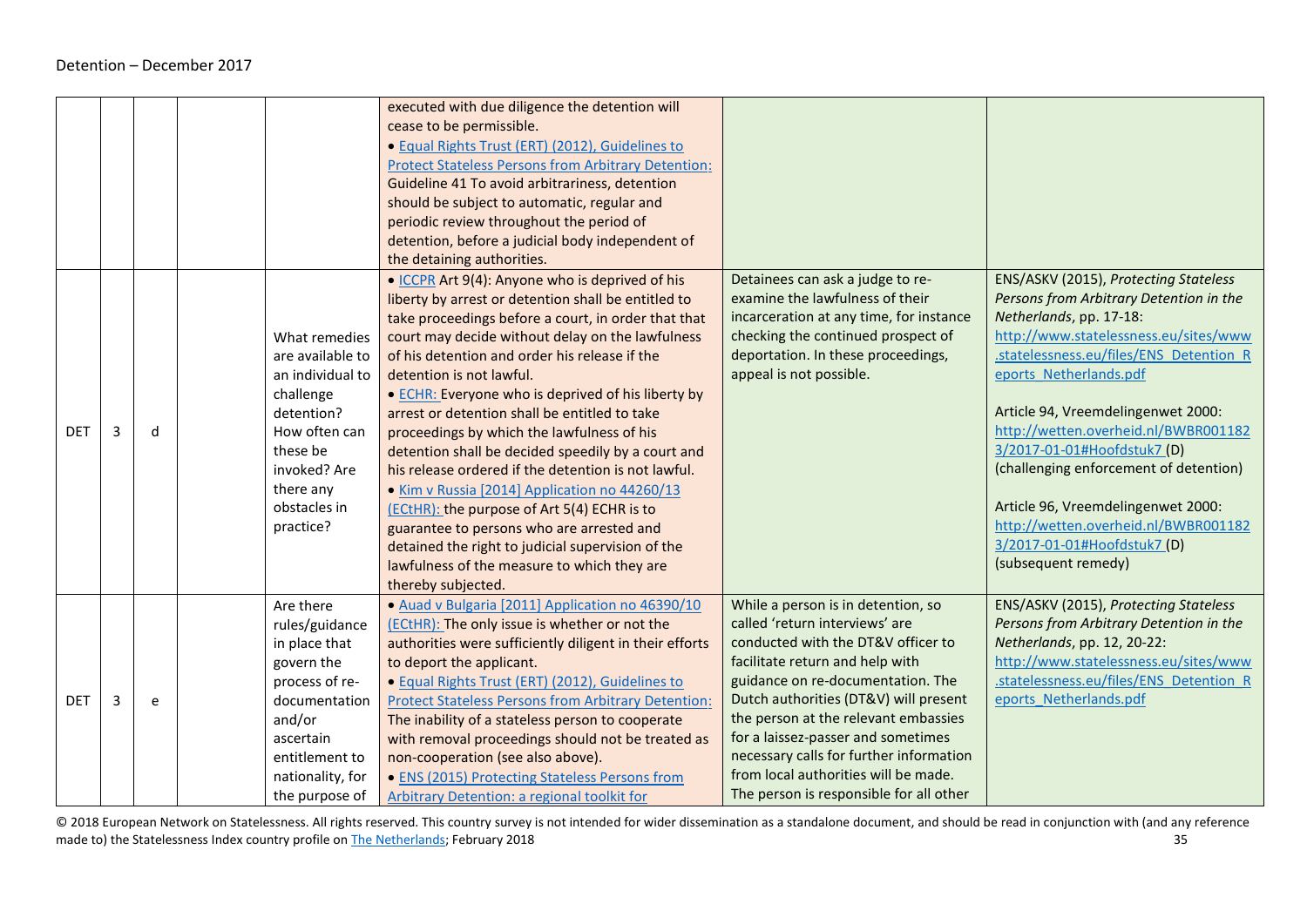|            |   |   |                     | executed with due diligence the detention will             |                                         |                                         |
|------------|---|---|---------------------|------------------------------------------------------------|-----------------------------------------|-----------------------------------------|
|            |   |   |                     | cease to be permissible.                                   |                                         |                                         |
|            |   |   |                     | · Equal Rights Trust (ERT) (2012), Guidelines to           |                                         |                                         |
|            |   |   |                     | <b>Protect Stateless Persons from Arbitrary Detention:</b> |                                         |                                         |
|            |   |   |                     | Guideline 41 To avoid arbitrariness, detention             |                                         |                                         |
|            |   |   |                     | should be subject to automatic, regular and                |                                         |                                         |
|            |   |   |                     | periodic review throughout the period of                   |                                         |                                         |
|            |   |   |                     | detention, before a judicial body independent of           |                                         |                                         |
|            |   |   |                     | the detaining authorities.                                 |                                         |                                         |
|            |   |   |                     | • ICCPR Art 9(4): Anyone who is deprived of his            | Detainees can ask a judge to re-        | ENS/ASKV (2015), Protecting Stateless   |
|            |   |   |                     | liberty by arrest or detention shall be entitled to        | examine the lawfulness of their         | Persons from Arbitrary Detention in the |
|            |   |   |                     | take proceedings before a court, in order that that        | incarceration at any time, for instance | Netherlands, pp. 17-18:                 |
|            |   |   | What remedies       | court may decide without delay on the lawfulness           | checking the continued prospect of      | http://www.statelessness.eu/sites/www   |
|            |   |   | are available to    | of his detention and order his release if the              | deportation. In these proceedings,      | .statelessness.eu/files/ENS Detention R |
|            |   |   | an individual to    | detention is not lawful.                                   | appeal is not possible.                 | eports Netherlands.pdf                  |
|            |   |   | challenge           | • ECHR: Everyone who is deprived of his liberty by         |                                         |                                         |
|            |   |   | detention?          | arrest or detention shall be entitled to take              |                                         | Article 94, Vreemdelingenwet 2000:      |
| <b>DET</b> | 3 | d | How often can       | proceedings by which the lawfulness of his                 |                                         | http://wetten.overheid.nl/BWBR001182    |
|            |   |   | these be            | detention shall be decided speedily by a court and         |                                         | 3/2017-01-01#Hoofdstuk7 (D)             |
|            |   |   | invoked? Are        | his release ordered if the detention is not lawful.        |                                         | (challenging enforcement of detention)  |
|            |   |   | there any           | • Kim v Russia [2014] Application no 44260/13              |                                         |                                         |
|            |   |   | obstacles in        | (ECtHR): the purpose of Art 5(4) ECHR is to                |                                         | Article 96, Vreemdelingenwet 2000:      |
|            |   |   | practice?           | guarantee to persons who are arrested and                  |                                         | http://wetten.overheid.nl/BWBR001182    |
|            |   |   |                     | detained the right to judicial supervision of the          |                                         | 3/2017-01-01#Hoofdstuk7 (D)             |
|            |   |   |                     | lawfulness of the measure to which they are                |                                         | (subsequent remedy)                     |
|            |   |   |                     | thereby subjected.                                         |                                         |                                         |
|            |   |   | Are there           | · Auad v Bulgaria [2011] Application no 46390/10           | While a person is in detention, so      | ENS/ASKV (2015), Protecting Stateless   |
|            |   |   |                     | (ECtHR): The only issue is whether or not the              | called 'return interviews' are          | Persons from Arbitrary Detention in the |
|            |   |   | rules/guidance      |                                                            | conducted with the DT&V officer to      | Netherlands, pp. 12, 20-22:             |
|            |   |   | in place that       | authorities were sufficiently diligent in their efforts    | facilitate return and help with         | http://www.statelessness.eu/sites/www   |
|            |   |   | govern the          | to deport the applicant.                                   | guidance on re-documentation. The       | .statelessness.eu/files/ENS Detention R |
|            |   |   | process of re-      | • Equal Rights Trust (ERT) (2012), Guidelines to           | Dutch authorities (DT&V) will present   | eports Netherlands.pdf                  |
| <b>DET</b> | 3 | e | documentation       | <b>Protect Stateless Persons from Arbitrary Detention:</b> | the person at the relevant embassies    |                                         |
|            |   |   | and/or<br>ascertain | The inability of a stateless person to cooperate           | for a laissez-passer and sometimes      |                                         |
|            |   |   | entitlement to      | with removal proceedings should not be treated as          | necessary calls for further information |                                         |
|            |   |   |                     | non-cooperation (see also above).                          | from local authorities will be made.    |                                         |
|            |   |   | nationality, for    | • ENS (2015) Protecting Stateless Persons from             |                                         |                                         |
|            |   |   | the purpose of      | Arbitrary Detention: a regional toolkit for                | The person is responsible for all other |                                         |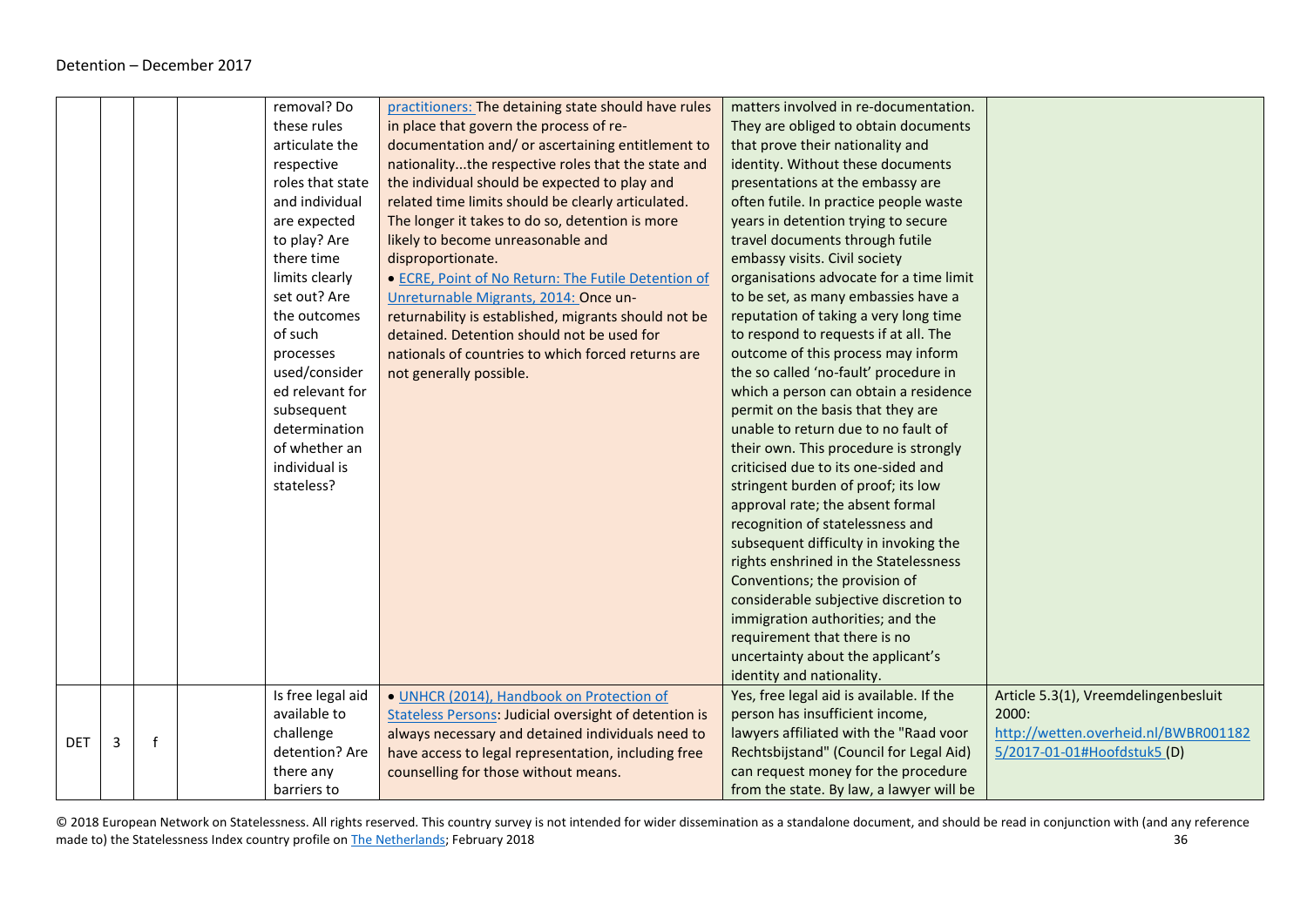|            |   |   | removal? Do       | practitioners: The detaining state should have rules         | matters involved in re-documentation.    |                                      |
|------------|---|---|-------------------|--------------------------------------------------------------|------------------------------------------|--------------------------------------|
|            |   |   | these rules       | in place that govern the process of re-                      | They are obliged to obtain documents     |                                      |
|            |   |   | articulate the    | documentation and/ or ascertaining entitlement to            | that prove their nationality and         |                                      |
|            |   |   | respective        | nationalitythe respective roles that the state and           | identity. Without these documents        |                                      |
|            |   |   | roles that state  | the individual should be expected to play and                | presentations at the embassy are         |                                      |
|            |   |   | and individual    | related time limits should be clearly articulated.           | often futile. In practice people waste   |                                      |
|            |   |   | are expected      | The longer it takes to do so, detention is more              | years in detention trying to secure      |                                      |
|            |   |   | to play? Are      | likely to become unreasonable and                            | travel documents through futile          |                                      |
|            |   |   | there time        | disproportionate.                                            | embassy visits. Civil society            |                                      |
|            |   |   | limits clearly    | • ECRE, Point of No Return: The Futile Detention of          | organisations advocate for a time limit  |                                      |
|            |   |   | set out? Are      | Unreturnable Migrants, 2014: Once un-                        | to be set, as many embassies have a      |                                      |
|            |   |   | the outcomes      | returnability is established, migrants should not be         | reputation of taking a very long time    |                                      |
|            |   |   | of such           | detained. Detention should not be used for                   | to respond to requests if at all. The    |                                      |
|            |   |   | processes         | nationals of countries to which forced returns are           | outcome of this process may inform       |                                      |
|            |   |   | used/consider     | not generally possible.                                      | the so called 'no-fault' procedure in    |                                      |
|            |   |   | ed relevant for   |                                                              | which a person can obtain a residence    |                                      |
|            |   |   | subsequent        |                                                              | permit on the basis that they are        |                                      |
|            |   |   | determination     |                                                              | unable to return due to no fault of      |                                      |
|            |   |   | of whether an     |                                                              | their own. This procedure is strongly    |                                      |
|            |   |   | individual is     |                                                              | criticised due to its one-sided and      |                                      |
|            |   |   | stateless?        |                                                              | stringent burden of proof; its low       |                                      |
|            |   |   |                   |                                                              | approval rate; the absent formal         |                                      |
|            |   |   |                   |                                                              | recognition of statelessness and         |                                      |
|            |   |   |                   |                                                              | subsequent difficulty in invoking the    |                                      |
|            |   |   |                   |                                                              | rights enshrined in the Statelessness    |                                      |
|            |   |   |                   |                                                              | Conventions; the provision of            |                                      |
|            |   |   |                   |                                                              | considerable subjective discretion to    |                                      |
|            |   |   |                   |                                                              | immigration authorities; and the         |                                      |
|            |   |   |                   |                                                              | requirement that there is no             |                                      |
|            |   |   |                   |                                                              | uncertainty about the applicant's        |                                      |
|            |   |   |                   |                                                              | identity and nationality.                |                                      |
|            |   |   | Is free legal aid | · UNHCR (2014), Handbook on Protection of                    | Yes, free legal aid is available. If the | Article 5.3(1), Vreemdelingenbesluit |
|            |   |   | available to      | <b>Stateless Persons: Judicial oversight of detention is</b> | person has insufficient income,          | 2000:                                |
| <b>DET</b> | 3 | f | challenge         | always necessary and detained individuals need to            | lawyers affiliated with the "Raad voor   | http://wetten.overheid.nl/BWBR001182 |
|            |   |   | detention? Are    | have access to legal representation, including free          | Rechtsbijstand" (Council for Legal Aid)  | 5/2017-01-01#Hoofdstuk5 (D)          |
|            |   |   | there any         | counselling for those without means.                         | can request money for the procedure      |                                      |
|            |   |   | barriers to       |                                                              | from the state. By law, a lawyer will be |                                      |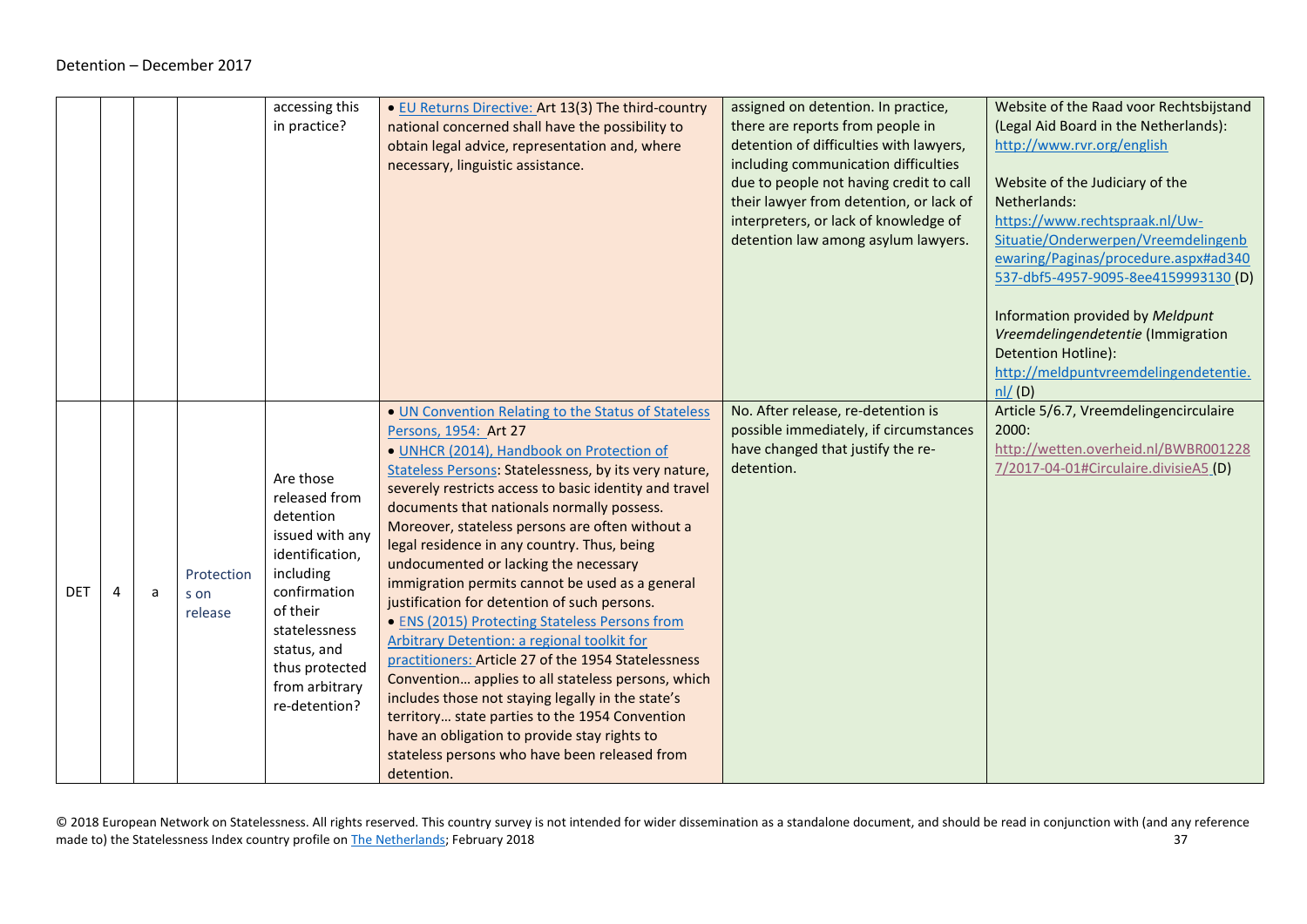<span id="page-36-0"></span>

|            |   |                               | accessing this<br>in practice?                                                                                                                                                                              | . EU Returns Directive: Art 13(3) The third-country<br>national concerned shall have the possibility to<br>obtain legal advice, representation and, where<br>necessary, linguistic assistance.                                                                                                                                                                                                                                                                                                                                                                                                                                                                                                                                                                                                                                                                                                                                                                               | assigned on detention. In practice,<br>there are reports from people in<br>detention of difficulties with lawyers,<br>including communication difficulties<br>due to people not having credit to call<br>their lawyer from detention, or lack of<br>interpreters, or lack of knowledge of<br>detention law among asylum lawyers. | Website of the Raad voor Rechtsbijstand<br>(Legal Aid Board in the Netherlands):<br>http://www.rvr.org/english<br>Website of the Judiciary of the<br>Netherlands:<br>https://www.rechtspraak.nl/Uw-<br>Situatie/Onderwerpen/Vreemdelingenb<br>ewaring/Paginas/procedure.aspx#ad340<br>537-dbf5-4957-9095-8ee4159993130 (D)<br>Information provided by Meldpunt<br>Vreemdelingendetentie (Immigration<br>Detention Hotline):<br>http://meldpuntvreemdelingendetentie.<br>$n!/$ (D) |
|------------|---|-------------------------------|-------------------------------------------------------------------------------------------------------------------------------------------------------------------------------------------------------------|------------------------------------------------------------------------------------------------------------------------------------------------------------------------------------------------------------------------------------------------------------------------------------------------------------------------------------------------------------------------------------------------------------------------------------------------------------------------------------------------------------------------------------------------------------------------------------------------------------------------------------------------------------------------------------------------------------------------------------------------------------------------------------------------------------------------------------------------------------------------------------------------------------------------------------------------------------------------------|----------------------------------------------------------------------------------------------------------------------------------------------------------------------------------------------------------------------------------------------------------------------------------------------------------------------------------|-----------------------------------------------------------------------------------------------------------------------------------------------------------------------------------------------------------------------------------------------------------------------------------------------------------------------------------------------------------------------------------------------------------------------------------------------------------------------------------|
| <b>DET</b> | a | Protection<br>s on<br>release | Are those<br>released from<br>detention<br>issued with any<br>identification,<br>including<br>confirmation<br>of their<br>statelessness<br>status, and<br>thus protected<br>from arbitrary<br>re-detention? | . UN Convention Relating to the Status of Stateless<br>Persons, 1954: Art 27<br>· UNHCR (2014), Handbook on Protection of<br>Stateless Persons: Statelessness, by its very nature,<br>severely restricts access to basic identity and travel<br>documents that nationals normally possess.<br>Moreover, stateless persons are often without a<br>legal residence in any country. Thus, being<br>undocumented or lacking the necessary<br>immigration permits cannot be used as a general<br>justification for detention of such persons.<br>• ENS (2015) Protecting Stateless Persons from<br>Arbitrary Detention: a regional toolkit for<br>practitioners: Article 27 of the 1954 Statelessness<br>Convention applies to all stateless persons, which<br>includes those not staying legally in the state's<br>territory state parties to the 1954 Convention<br>have an obligation to provide stay rights to<br>stateless persons who have been released from<br>detention. | No. After release, re-detention is<br>possible immediately, if circumstances<br>have changed that justify the re-<br>detention.                                                                                                                                                                                                  | Article 5/6.7, Vreemdelingencirculaire<br>2000:<br>http://wetten.overheid.nl/BWBR001228<br>7/2017-04-01#Circulaire.divisieA5 (D)                                                                                                                                                                                                                                                                                                                                                  |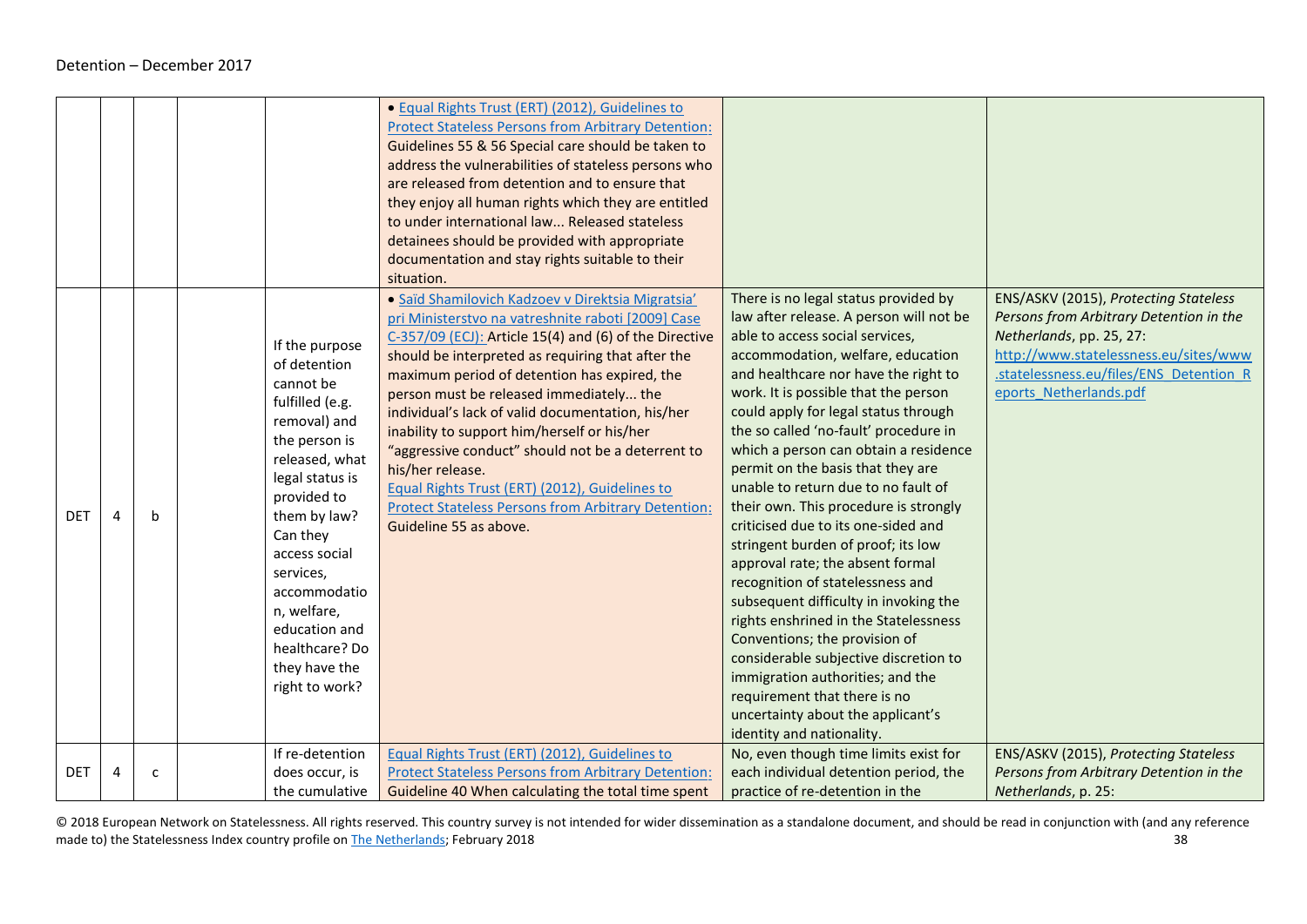|            |   |              |                                                                                                                                                                                                                                                                                                                    | • Equal Rights Trust (ERT) (2012), Guidelines to<br><b>Protect Stateless Persons from Arbitrary Detention:</b><br>Guidelines 55 & 56 Special care should be taken to<br>address the vulnerabilities of stateless persons who<br>are released from detention and to ensure that<br>they enjoy all human rights which they are entitled<br>to under international law Released stateless<br>detainees should be provided with appropriate<br>documentation and stay rights suitable to their<br>situation.                                                                                                                                 |                                                                                                                                                                                                                                                                                                                                                                                                                                                                                                                                                                                                                                                                                                                                                                                                                                                                                                                                               |                                                                                                                                                                                                                            |
|------------|---|--------------|--------------------------------------------------------------------------------------------------------------------------------------------------------------------------------------------------------------------------------------------------------------------------------------------------------------------|------------------------------------------------------------------------------------------------------------------------------------------------------------------------------------------------------------------------------------------------------------------------------------------------------------------------------------------------------------------------------------------------------------------------------------------------------------------------------------------------------------------------------------------------------------------------------------------------------------------------------------------|-----------------------------------------------------------------------------------------------------------------------------------------------------------------------------------------------------------------------------------------------------------------------------------------------------------------------------------------------------------------------------------------------------------------------------------------------------------------------------------------------------------------------------------------------------------------------------------------------------------------------------------------------------------------------------------------------------------------------------------------------------------------------------------------------------------------------------------------------------------------------------------------------------------------------------------------------|----------------------------------------------------------------------------------------------------------------------------------------------------------------------------------------------------------------------------|
| <b>DET</b> | 4 | b            | If the purpose<br>of detention<br>cannot be<br>fulfilled (e.g.<br>removal) and<br>the person is<br>released, what<br>legal status is<br>provided to<br>them by law?<br>Can they<br>access social<br>services,<br>accommodatio<br>n, welfare,<br>education and<br>healthcare? Do<br>they have the<br>right to work? | · Saïd Shamilovich Kadzoev v Direktsia Migratsia'<br>pri Ministerstvo na vatreshnite raboti [2009] Case<br>C-357/09 (ECJ): Article 15(4) and (6) of the Directive<br>should be interpreted as requiring that after the<br>maximum period of detention has expired, the<br>person must be released immediately the<br>individual's lack of valid documentation, his/her<br>inability to support him/herself or his/her<br>"aggressive conduct" should not be a deterrent to<br>his/her release.<br>Equal Rights Trust (ERT) (2012), Guidelines to<br><b>Protect Stateless Persons from Arbitrary Detention:</b><br>Guideline 55 as above. | There is no legal status provided by<br>law after release. A person will not be<br>able to access social services,<br>accommodation, welfare, education<br>and healthcare nor have the right to<br>work. It is possible that the person<br>could apply for legal status through<br>the so called 'no-fault' procedure in<br>which a person can obtain a residence<br>permit on the basis that they are<br>unable to return due to no fault of<br>their own. This procedure is strongly<br>criticised due to its one-sided and<br>stringent burden of proof; its low<br>approval rate; the absent formal<br>recognition of statelessness and<br>subsequent difficulty in invoking the<br>rights enshrined in the Statelessness<br>Conventions; the provision of<br>considerable subjective discretion to<br>immigration authorities; and the<br>requirement that there is no<br>uncertainty about the applicant's<br>identity and nationality. | ENS/ASKV (2015), Protecting Stateless<br>Persons from Arbitrary Detention in the<br>Netherlands, pp. 25, 27:<br>http://www.statelessness.eu/sites/www<br>.statelessness.eu/files/ENS Detention R<br>eports Netherlands.pdf |
| <b>DET</b> | 4 | $\mathsf{C}$ | If re-detention<br>does occur, is<br>the cumulative                                                                                                                                                                                                                                                                | Equal Rights Trust (ERT) (2012), Guidelines to<br><b>Protect Stateless Persons from Arbitrary Detention:</b><br>Guideline 40 When calculating the total time spent                                                                                                                                                                                                                                                                                                                                                                                                                                                                       | No, even though time limits exist for<br>each individual detention period, the<br>practice of re-detention in the                                                                                                                                                                                                                                                                                                                                                                                                                                                                                                                                                                                                                                                                                                                                                                                                                             | ENS/ASKV (2015), Protecting Stateless<br>Persons from Arbitrary Detention in the<br>Netherlands, p. 25:                                                                                                                    |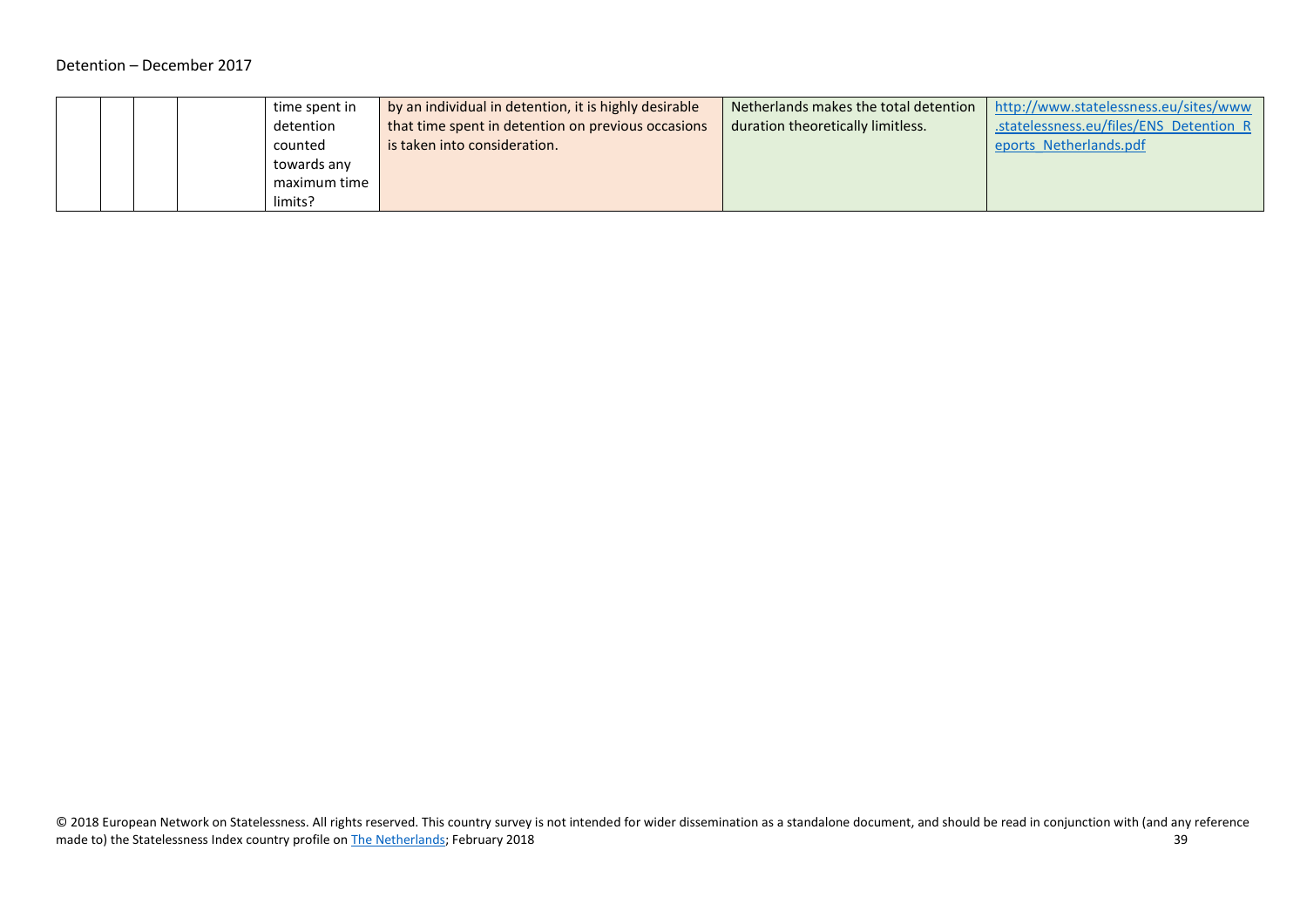#### Detention – December 2017

| time spent in | by an individual in detention, it is highly desirable | Netherlands makes the total detention | http://www.statelessness.eu/sites/www   |
|---------------|-------------------------------------------------------|---------------------------------------|-----------------------------------------|
| detention     | that time spent in detention on previous occasions    | duration theoretically limitless.     | .statelessness.eu/files/ENS Detention R |
| counted       | is taken into consideration.                          |                                       | eports Netherlands.pdf                  |
| towards any   |                                                       |                                       |                                         |
| maximum time  |                                                       |                                       |                                         |
| limits?       |                                                       |                                       |                                         |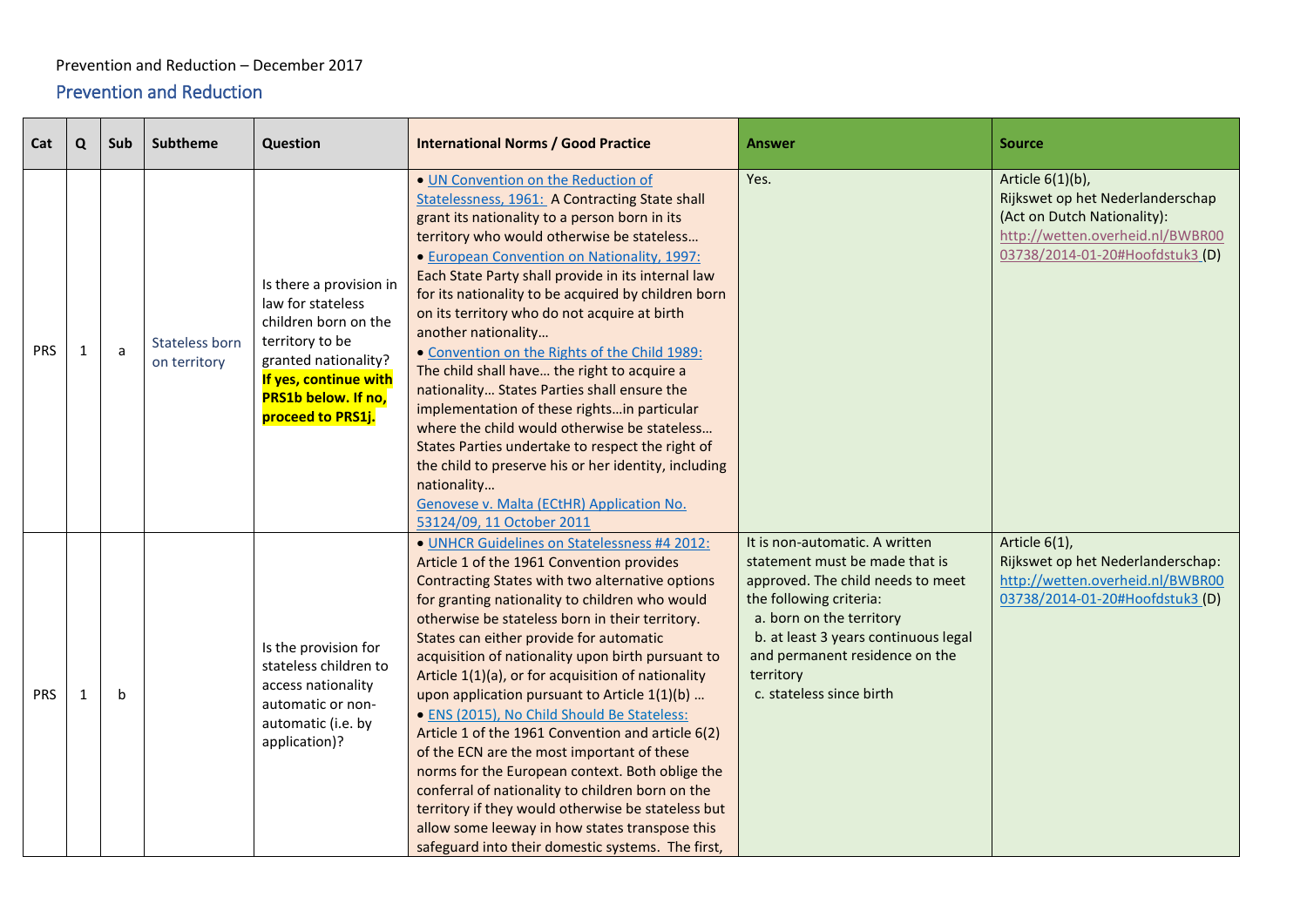#### Prevention and Reduction – December 2017

### <span id="page-39-0"></span>Prevention and Reduction

<span id="page-39-1"></span>

| Cat        | Q | Sub | Subtheme                       | Question                                                                                                                                                                             | <b>International Norms / Good Practice</b>                                                                                                                                                                                                                                                                                                                                                                                                                                                                                                                                                                                                                                                                                                                                                                                                                                      | <b>Answer</b>                                                                                                                                                                                                                                                                   | <b>Source</b>                                                                                                                                              |
|------------|---|-----|--------------------------------|--------------------------------------------------------------------------------------------------------------------------------------------------------------------------------------|---------------------------------------------------------------------------------------------------------------------------------------------------------------------------------------------------------------------------------------------------------------------------------------------------------------------------------------------------------------------------------------------------------------------------------------------------------------------------------------------------------------------------------------------------------------------------------------------------------------------------------------------------------------------------------------------------------------------------------------------------------------------------------------------------------------------------------------------------------------------------------|---------------------------------------------------------------------------------------------------------------------------------------------------------------------------------------------------------------------------------------------------------------------------------|------------------------------------------------------------------------------------------------------------------------------------------------------------|
| <b>PRS</b> | 1 | a   | Stateless born<br>on territory | Is there a provision in<br>law for stateless<br>children born on the<br>territory to be<br>granted nationality?<br>If yes, continue with<br>PRS1b below. If no,<br>proceed to PRS1j. | . UN Convention on the Reduction of<br>Statelessness, 1961: A Contracting State shall<br>grant its nationality to a person born in its<br>territory who would otherwise be stateless<br>• European Convention on Nationality, 1997:<br>Each State Party shall provide in its internal law<br>for its nationality to be acquired by children born<br>on its territory who do not acquire at birth<br>another nationality<br>• Convention on the Rights of the Child 1989:<br>The child shall have the right to acquire a<br>nationality States Parties shall ensure the<br>implementation of these rightsin particular<br>where the child would otherwise be stateless<br>States Parties undertake to respect the right of<br>the child to preserve his or her identity, including<br>nationality<br>Genovese v. Malta (ECtHR) Application No.<br>53124/09, 11 October 2011      | Yes.                                                                                                                                                                                                                                                                            | Article 6(1)(b),<br>Rijkswet op het Nederlanderschap<br>(Act on Dutch Nationality):<br>http://wetten.overheid.nl/BWBR00<br>03738/2014-01-20#Hoofdstuk3 (D) |
| <b>PRS</b> |   | b   |                                | Is the provision for<br>stateless children to<br>access nationality<br>automatic or non-<br>automatic (i.e. by<br>application)?                                                      | · UNHCR Guidelines on Statelessness #4 2012:<br>Article 1 of the 1961 Convention provides<br>Contracting States with two alternative options<br>for granting nationality to children who would<br>otherwise be stateless born in their territory.<br>States can either provide for automatic<br>acquisition of nationality upon birth pursuant to<br>Article 1(1)(a), or for acquisition of nationality<br>upon application pursuant to Article $1(1)(b)$<br>· ENS (2015), No Child Should Be Stateless:<br>Article 1 of the 1961 Convention and article 6(2)<br>of the ECN are the most important of these<br>norms for the European context. Both oblige the<br>conferral of nationality to children born on the<br>territory if they would otherwise be stateless but<br>allow some leeway in how states transpose this<br>safeguard into their domestic systems. The first, | It is non-automatic. A written<br>statement must be made that is<br>approved. The child needs to meet<br>the following criteria:<br>a. born on the territory<br>b. at least 3 years continuous legal<br>and permanent residence on the<br>territory<br>c. stateless since birth | Article 6(1),<br>Rijkswet op het Nederlanderschap:<br>http://wetten.overheid.nl/BWBR00<br>03738/2014-01-20#Hoofdstuk3 (D)                                  |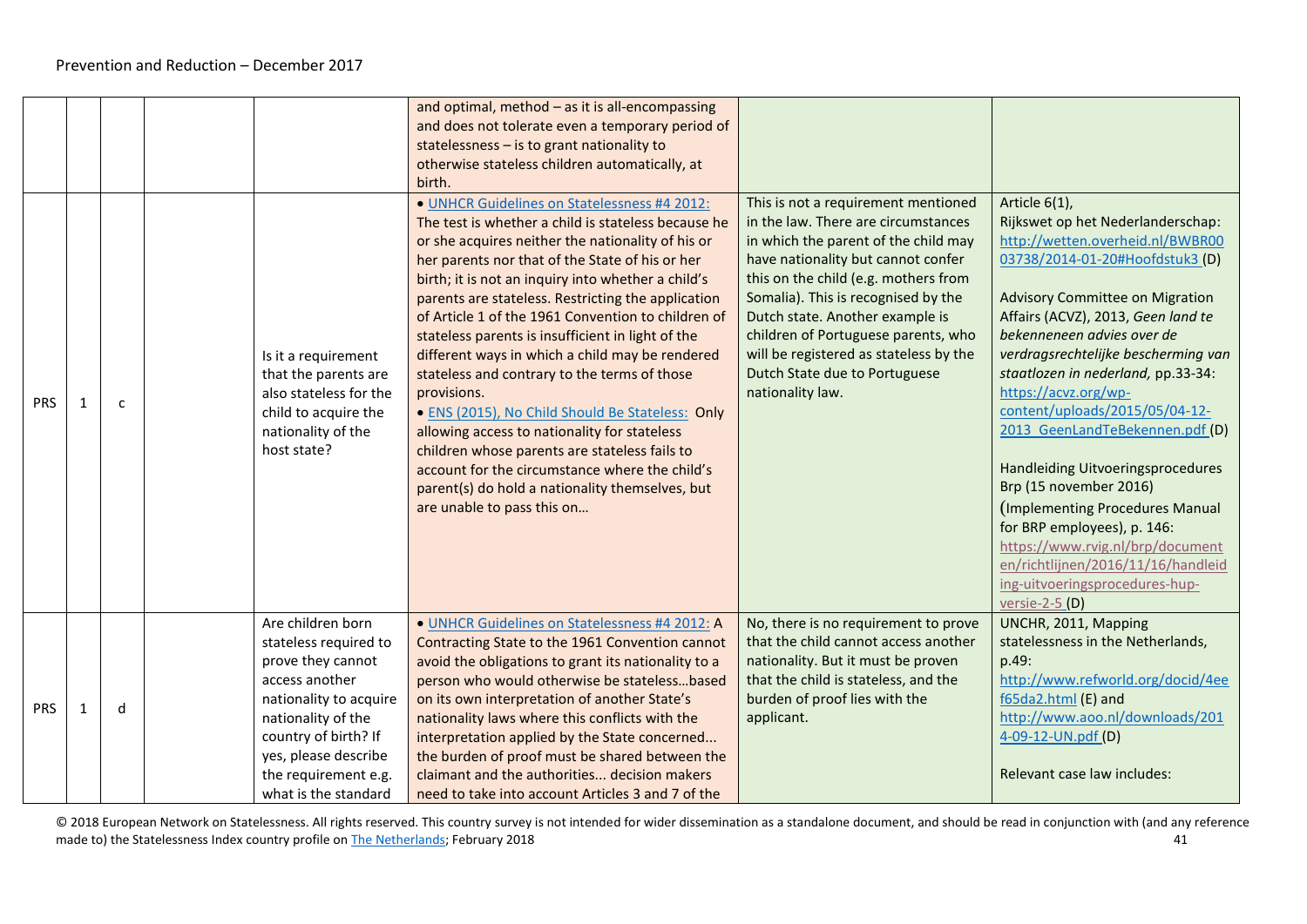|            |   |              |                                                                                                                                                                                                                                   | and optimal, method $-$ as it is all-encompassing<br>and does not tolerate even a temporary period of<br>statelessness - is to grant nationality to<br>otherwise stateless children automatically, at<br>birth.                                                                                                                                                                                                                                                                                                                                                                                                                                                                                                                                                                                                                              |                                                                                                                                                                                                                                                                                                                                                                                                                  |                                                                                                                                                                                                                                                                                                                                                                                                                                                                                                                                                                                                                                                                                  |
|------------|---|--------------|-----------------------------------------------------------------------------------------------------------------------------------------------------------------------------------------------------------------------------------|----------------------------------------------------------------------------------------------------------------------------------------------------------------------------------------------------------------------------------------------------------------------------------------------------------------------------------------------------------------------------------------------------------------------------------------------------------------------------------------------------------------------------------------------------------------------------------------------------------------------------------------------------------------------------------------------------------------------------------------------------------------------------------------------------------------------------------------------|------------------------------------------------------------------------------------------------------------------------------------------------------------------------------------------------------------------------------------------------------------------------------------------------------------------------------------------------------------------------------------------------------------------|----------------------------------------------------------------------------------------------------------------------------------------------------------------------------------------------------------------------------------------------------------------------------------------------------------------------------------------------------------------------------------------------------------------------------------------------------------------------------------------------------------------------------------------------------------------------------------------------------------------------------------------------------------------------------------|
| <b>PRS</b> |   | $\mathsf{C}$ | Is it a requirement<br>that the parents are<br>also stateless for the<br>child to acquire the<br>nationality of the<br>host state?                                                                                                | · UNHCR Guidelines on Statelessness #4 2012:<br>The test is whether a child is stateless because he<br>or she acquires neither the nationality of his or<br>her parents nor that of the State of his or her<br>birth; it is not an inquiry into whether a child's<br>parents are stateless. Restricting the application<br>of Article 1 of the 1961 Convention to children of<br>stateless parents is insufficient in light of the<br>different ways in which a child may be rendered<br>stateless and contrary to the terms of those<br>provisions.<br>. ENS (2015), No Child Should Be Stateless: Only<br>allowing access to nationality for stateless<br>children whose parents are stateless fails to<br>account for the circumstance where the child's<br>parent(s) do hold a nationality themselves, but<br>are unable to pass this on | This is not a requirement mentioned<br>in the law. There are circumstances<br>in which the parent of the child may<br>have nationality but cannot confer<br>this on the child (e.g. mothers from<br>Somalia). This is recognised by the<br>Dutch state. Another example is<br>children of Portuguese parents, who<br>will be registered as stateless by the<br>Dutch State due to Portuguese<br>nationality law. | Article 6(1),<br>Rijkswet op het Nederlanderschap:<br>http://wetten.overheid.nl/BWBR00<br>03738/2014-01-20#Hoofdstuk3 (D)<br><b>Advisory Committee on Migration</b><br>Affairs (ACVZ), 2013, Geen land te<br>bekenneneen advies over de<br>verdragsrechtelijke bescherming van<br>staatlozen in nederland, pp.33-34:<br>https://acvz.org/wp-<br>content/uploads/2015/05/04-12-<br>2013 GeenLandTeBekennen.pdf (D)<br>Handleiding Uitvoeringsprocedures<br>Brp (15 november 2016)<br>(Implementing Procedures Manual<br>for BRP employees), p. 146:<br>https://www.rvig.nl/brp/document<br>en/richtlijnen/2016/11/16/handleid<br>ing-uitvoeringsprocedures-hup-<br>versie-2-5 (D) |
| <b>PRS</b> | 1 | d            | Are children born<br>stateless required to<br>prove they cannot<br>access another<br>nationality to acquire<br>nationality of the<br>country of birth? If<br>yes, please describe<br>the requirement e.g.<br>what is the standard | · UNHCR Guidelines on Statelessness #4 2012: A<br>Contracting State to the 1961 Convention cannot<br>avoid the obligations to grant its nationality to a<br>person who would otherwise be statelessbased<br>on its own interpretation of another State's<br>nationality laws where this conflicts with the<br>interpretation applied by the State concerned<br>the burden of proof must be shared between the<br>claimant and the authorities decision makers<br>need to take into account Articles 3 and 7 of the                                                                                                                                                                                                                                                                                                                           | No, there is no requirement to prove<br>that the child cannot access another<br>nationality. But it must be proven<br>that the child is stateless, and the<br>burden of proof lies with the<br>applicant.                                                                                                                                                                                                        | UNCHR, 2011, Mapping<br>statelessness in the Netherlands,<br>p.49:<br>http://www.refworld.org/docid/4ee<br>f65da2.html (E) and<br>http://www.aoo.nl/downloads/201<br>4-09-12-UN.pdf (D)<br>Relevant case law includes:                                                                                                                                                                                                                                                                                                                                                                                                                                                           |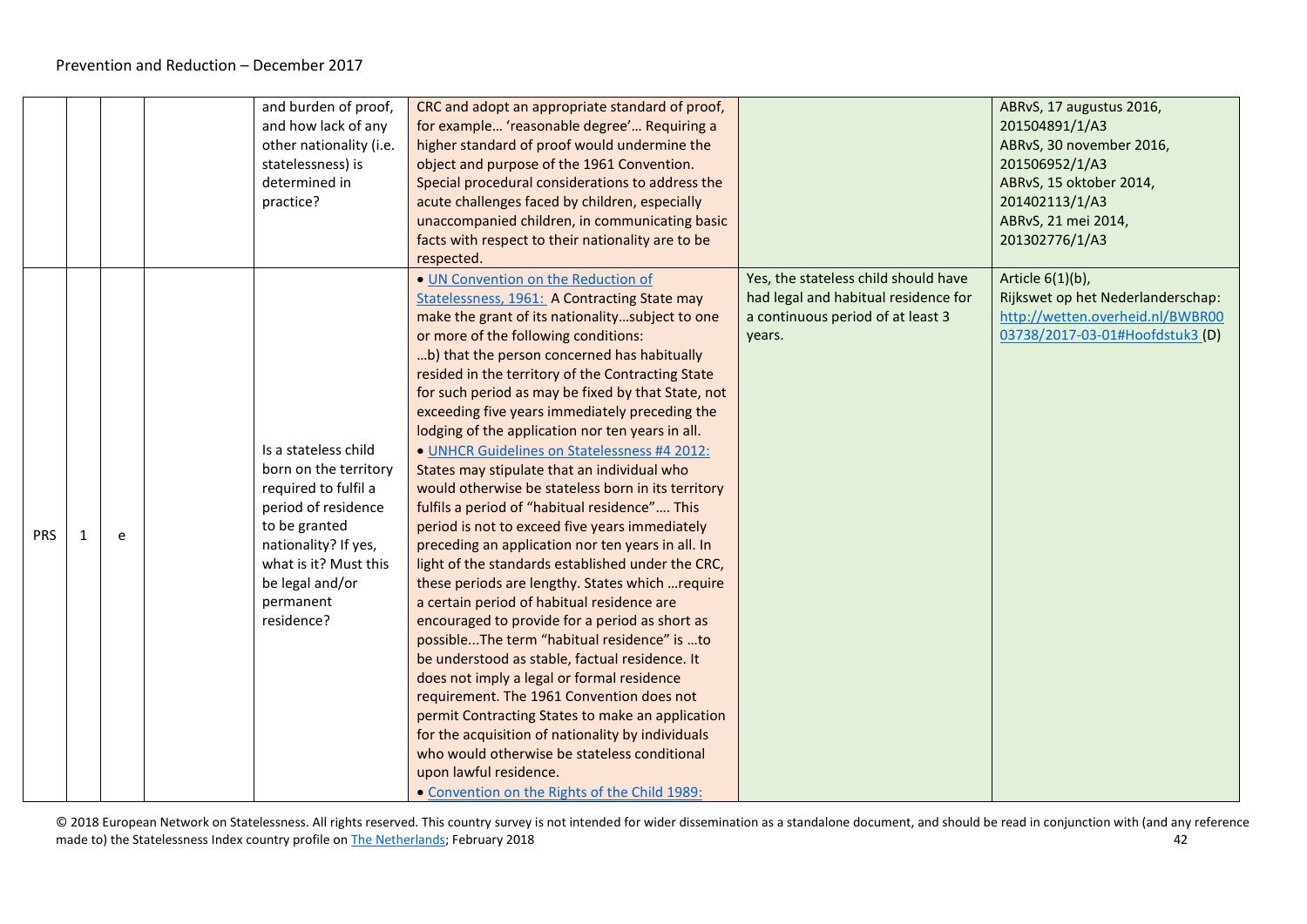|     |   | and burden of proof,<br>and how lack of any<br>other nationality (i.e.<br>statelessness) is<br>determined in<br>practice?                                                                                    | CRC and adopt an appropriate standard of proof,<br>for example 'reasonable degree' Requiring a<br>higher standard of proof would undermine the<br>object and purpose of the 1961 Convention.<br>Special procedural considerations to address the<br>acute challenges faced by children, especially<br>unaccompanied children, in communicating basic<br>facts with respect to their nationality are to be<br>respected.                                                                                                                                                                                                                                                                                                                                                                                                                                                                                                                                                                                                                                                                                                                                                                                                                                                                                                                                                                              |                                                                                                                             | ABRvS, 17 augustus 2016,<br>201504891/1/A3<br>ABRvS, 30 november 2016,<br>201506952/1/A3<br>ABRvS, 15 oktober 2014,<br>201402113/1/A3<br>ABRvS, 21 mei 2014,<br>201302776/1/A3 |
|-----|---|--------------------------------------------------------------------------------------------------------------------------------------------------------------------------------------------------------------|------------------------------------------------------------------------------------------------------------------------------------------------------------------------------------------------------------------------------------------------------------------------------------------------------------------------------------------------------------------------------------------------------------------------------------------------------------------------------------------------------------------------------------------------------------------------------------------------------------------------------------------------------------------------------------------------------------------------------------------------------------------------------------------------------------------------------------------------------------------------------------------------------------------------------------------------------------------------------------------------------------------------------------------------------------------------------------------------------------------------------------------------------------------------------------------------------------------------------------------------------------------------------------------------------------------------------------------------------------------------------------------------------|-----------------------------------------------------------------------------------------------------------------------------|--------------------------------------------------------------------------------------------------------------------------------------------------------------------------------|
| PRS | e | Is a stateless child<br>born on the territory<br>required to fulfil a<br>period of residence<br>to be granted<br>nationality? If yes,<br>what is it? Must this<br>be legal and/or<br>permanent<br>residence? | . UN Convention on the Reduction of<br>Statelessness, 1961: A Contracting State may<br>make the grant of its nationalitysubject to one<br>or more of the following conditions:<br>b) that the person concerned has habitually<br>resided in the territory of the Contracting State<br>for such period as may be fixed by that State, not<br>exceeding five years immediately preceding the<br>lodging of the application nor ten years in all.<br>· UNHCR Guidelines on Statelessness #4 2012:<br>States may stipulate that an individual who<br>would otherwise be stateless born in its territory<br>fulfils a period of "habitual residence" This<br>period is not to exceed five years immediately<br>preceding an application nor ten years in all. In<br>light of the standards established under the CRC,<br>these periods are lengthy. States which  require<br>a certain period of habitual residence are<br>encouraged to provide for a period as short as<br>possibleThe term "habitual residence" is to<br>be understood as stable, factual residence. It<br>does not imply a legal or formal residence<br>requirement. The 1961 Convention does not<br>permit Contracting States to make an application<br>for the acquisition of nationality by individuals<br>who would otherwise be stateless conditional<br>upon lawful residence.<br>• Convention on the Rights of the Child 1989: | Yes, the stateless child should have<br>had legal and habitual residence for<br>a continuous period of at least 3<br>years. | Article 6(1)(b),<br>Rijkswet op het Nederlanderschap:<br>http://wetten.overheid.nl/BWBR00<br>03738/2017-03-01#Hoofdstuk3 (D)                                                   |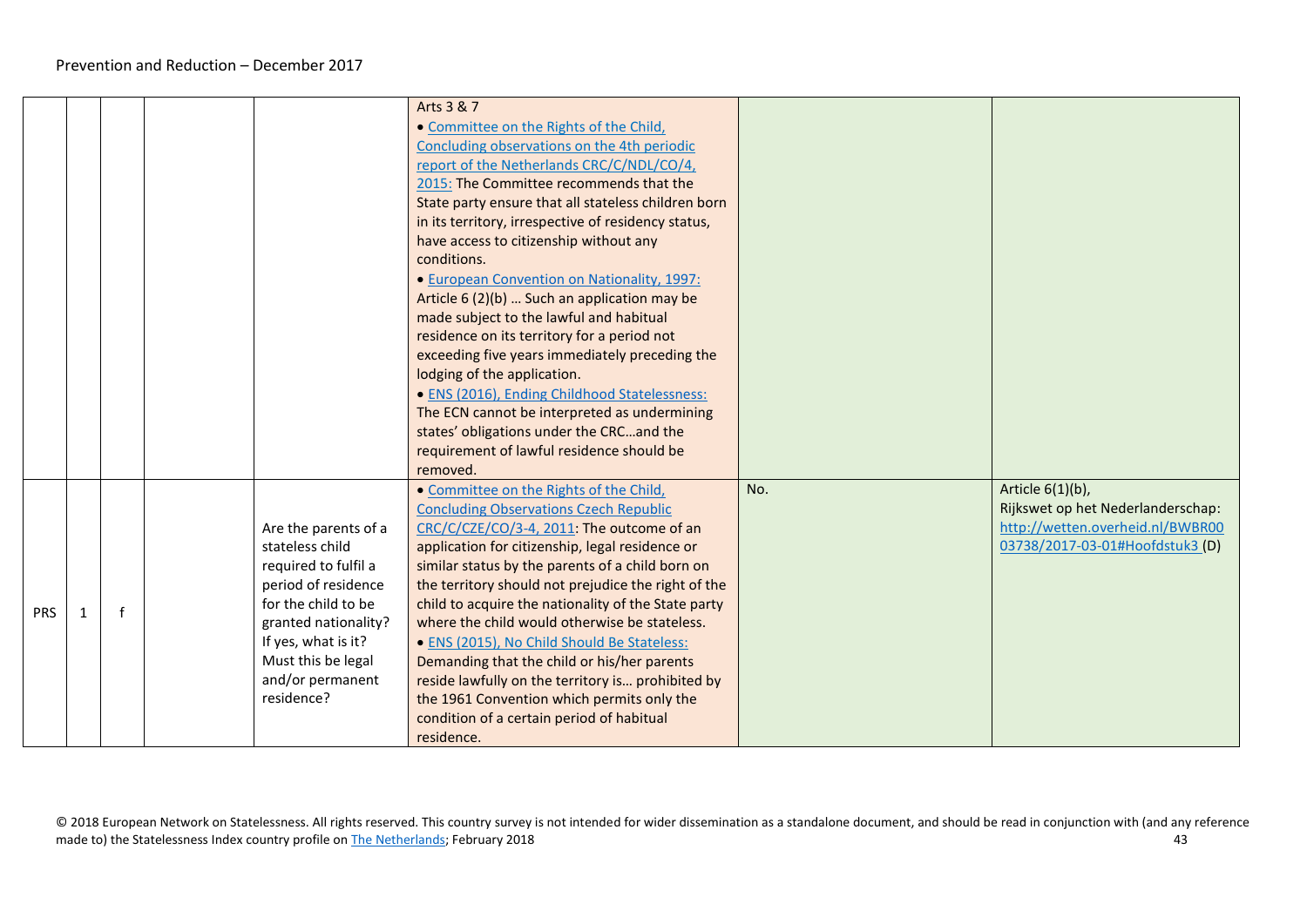|            |   |  |                                                                                                                                                                                                                      | Arts 3 & 7<br>. Committee on the Rights of the Child,<br>Concluding observations on the 4th periodic<br>report of the Netherlands CRC/C/NDL/CO/4,<br>2015: The Committee recommends that the<br>State party ensure that all stateless children born<br>in its territory, irrespective of residency status,<br>have access to citizenship without any<br>conditions.<br>• European Convention on Nationality, 1997:<br>Article 6 (2)(b)  Such an application may be<br>made subject to the lawful and habitual<br>residence on its territory for a period not<br>exceeding five years immediately preceding the<br>lodging of the application.<br>· ENS (2016), Ending Childhood Statelessness:<br>The ECN cannot be interpreted as undermining<br>states' obligations under the CRCand the<br>requirement of lawful residence should be<br>removed. |     |                                                                                                                              |
|------------|---|--|----------------------------------------------------------------------------------------------------------------------------------------------------------------------------------------------------------------------|-----------------------------------------------------------------------------------------------------------------------------------------------------------------------------------------------------------------------------------------------------------------------------------------------------------------------------------------------------------------------------------------------------------------------------------------------------------------------------------------------------------------------------------------------------------------------------------------------------------------------------------------------------------------------------------------------------------------------------------------------------------------------------------------------------------------------------------------------------|-----|------------------------------------------------------------------------------------------------------------------------------|
| <b>PRS</b> | 1 |  | Are the parents of a<br>stateless child<br>required to fulfil a<br>period of residence<br>for the child to be<br>granted nationality?<br>If yes, what is it?<br>Must this be legal<br>and/or permanent<br>residence? | • Committee on the Rights of the Child,<br><b>Concluding Observations Czech Republic</b><br>CRC/C/CZE/CO/3-4, 2011: The outcome of an<br>application for citizenship, legal residence or<br>similar status by the parents of a child born on<br>the territory should not prejudice the right of the<br>child to acquire the nationality of the State party<br>where the child would otherwise be stateless.<br>• ENS (2015), No Child Should Be Stateless:<br>Demanding that the child or his/her parents<br>reside lawfully on the territory is prohibited by<br>the 1961 Convention which permits only the<br>condition of a certain period of habitual<br>residence.                                                                                                                                                                             | No. | Article 6(1)(b),<br>Rijkswet op het Nederlanderschap:<br>http://wetten.overheid.nl/BWBR00<br>03738/2017-03-01#Hoofdstuk3 (D) |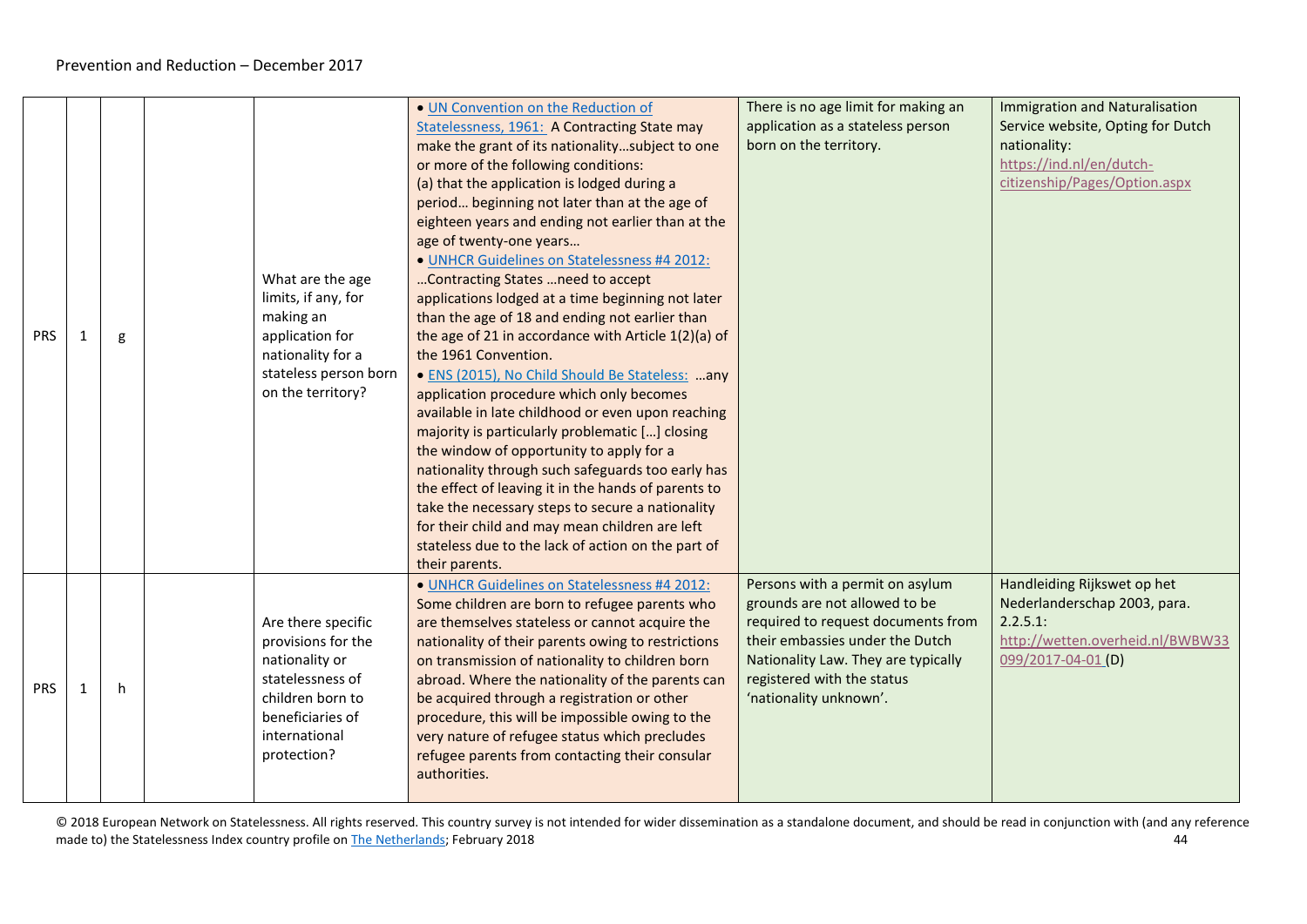| <b>PRS</b> | g  | What are the age<br>limits, if any, for<br>making an<br>application for<br>nationality for a<br>stateless person born<br>on the territory?             | . UN Convention on the Reduction of<br>Statelessness, 1961: A Contracting State may<br>make the grant of its nationalitysubject to one<br>or more of the following conditions:<br>(a) that the application is lodged during a<br>period beginning not later than at the age of<br>eighteen years and ending not earlier than at the<br>age of twenty-one years<br>· UNHCR Guidelines on Statelessness #4 2012:<br>Contracting States  need to accept<br>applications lodged at a time beginning not later<br>than the age of 18 and ending not earlier than<br>the age of 21 in accordance with Article 1(2)(a) of<br>the 1961 Convention.<br>• ENS (2015), No Child Should Be Stateless: any<br>application procedure which only becomes<br>available in late childhood or even upon reaching<br>majority is particularly problematic [] closing<br>the window of opportunity to apply for a<br>nationality through such safeguards too early has<br>the effect of leaving it in the hands of parents to<br>take the necessary steps to secure a nationality<br>for their child and may mean children are left<br>stateless due to the lack of action on the part of<br>their parents. | There is no age limit for making an<br>application as a stateless person<br>born on the territory.                                                                                                                                       | <b>Immigration and Naturalisation</b><br>Service website, Opting for Dutch<br>nationality:<br>https://ind.nl/en/dutch-<br>citizenship/Pages/Option.aspx |
|------------|----|--------------------------------------------------------------------------------------------------------------------------------------------------------|-----------------------------------------------------------------------------------------------------------------------------------------------------------------------------------------------------------------------------------------------------------------------------------------------------------------------------------------------------------------------------------------------------------------------------------------------------------------------------------------------------------------------------------------------------------------------------------------------------------------------------------------------------------------------------------------------------------------------------------------------------------------------------------------------------------------------------------------------------------------------------------------------------------------------------------------------------------------------------------------------------------------------------------------------------------------------------------------------------------------------------------------------------------------------------------------|------------------------------------------------------------------------------------------------------------------------------------------------------------------------------------------------------------------------------------------|---------------------------------------------------------------------------------------------------------------------------------------------------------|
| <b>PRS</b> | h. | Are there specific<br>provisions for the<br>nationality or<br>statelessness of<br>children born to<br>beneficiaries of<br>international<br>protection? | · UNHCR Guidelines on Statelessness #4 2012:<br>Some children are born to refugee parents who<br>are themselves stateless or cannot acquire the<br>nationality of their parents owing to restrictions<br>on transmission of nationality to children born<br>abroad. Where the nationality of the parents can<br>be acquired through a registration or other<br>procedure, this will be impossible owing to the<br>very nature of refugee status which precludes<br>refugee parents from contacting their consular<br>authorities.                                                                                                                                                                                                                                                                                                                                                                                                                                                                                                                                                                                                                                                       | Persons with a permit on asylum<br>grounds are not allowed to be<br>required to request documents from<br>their embassies under the Dutch<br>Nationality Law. They are typically<br>registered with the status<br>'nationality unknown'. | Handleiding Rijkswet op het<br>Nederlanderschap 2003, para.<br>2.2.5.1:<br>http://wetten.overheid.nl/BWBW33<br>099/2017-04-01 (D)                       |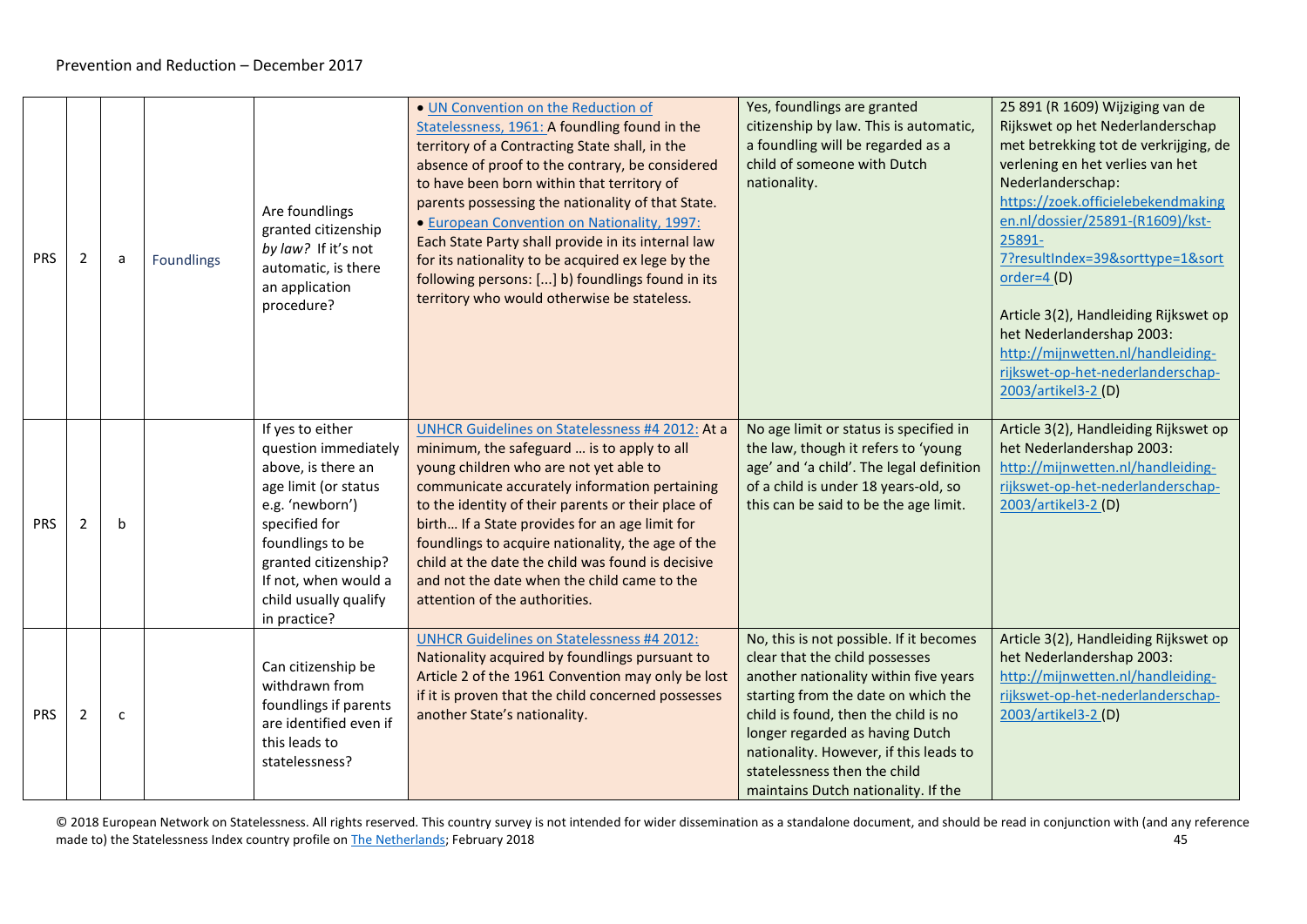<span id="page-44-0"></span>

| <b>PRS</b> | $\overline{2}$ | a            | <b>Foundlings</b> | Are foundlings<br>granted citizenship<br>by law? If it's not<br>automatic, is there<br>an application<br>procedure?                                                                                                                     | . UN Convention on the Reduction of<br>Statelessness, 1961: A foundling found in the<br>territory of a Contracting State shall, in the<br>absence of proof to the contrary, be considered<br>to have been born within that territory of<br>parents possessing the nationality of that State.<br>• European Convention on Nationality, 1997:<br>Each State Party shall provide in its internal law<br>for its nationality to be acquired ex lege by the<br>following persons: [] b) foundlings found in its<br>territory who would otherwise be stateless. | Yes, foundlings are granted<br>citizenship by law. This is automatic,<br>a foundling will be regarded as a<br>child of someone with Dutch<br>nationality.                                                                                                                                                                                             | 25 891 (R 1609) Wijziging van de<br>Rijkswet op het Nederlanderschap<br>met betrekking tot de verkrijging, de<br>verlening en het verlies van het<br>Nederlanderschap:<br>https://zoek.officielebekendmaking<br>en.nl/dossier/25891-(R1609)/kst-<br>25891-<br>7?resultIndex=39&sorttype=1&sort<br>order= $4(D)$<br>Article 3(2), Handleiding Rijkswet op<br>het Nederlandershap 2003:<br>http://mijnwetten.nl/handleiding-<br>rijkswet-op-het-nederlanderschap-<br>2003/artikel3-2 (D) |
|------------|----------------|--------------|-------------------|-----------------------------------------------------------------------------------------------------------------------------------------------------------------------------------------------------------------------------------------|-----------------------------------------------------------------------------------------------------------------------------------------------------------------------------------------------------------------------------------------------------------------------------------------------------------------------------------------------------------------------------------------------------------------------------------------------------------------------------------------------------------------------------------------------------------|-------------------------------------------------------------------------------------------------------------------------------------------------------------------------------------------------------------------------------------------------------------------------------------------------------------------------------------------------------|----------------------------------------------------------------------------------------------------------------------------------------------------------------------------------------------------------------------------------------------------------------------------------------------------------------------------------------------------------------------------------------------------------------------------------------------------------------------------------------|
| <b>PRS</b> | $\overline{2}$ | $\mathbf b$  |                   | If yes to either<br>question immediately<br>above, is there an<br>age limit (or status<br>e.g. 'newborn')<br>specified for<br>foundlings to be<br>granted citizenship?<br>If not, when would a<br>child usually qualify<br>in practice? | UNHCR Guidelines on Statelessness #4 2012: At a<br>minimum, the safeguard  is to apply to all<br>young children who are not yet able to<br>communicate accurately information pertaining<br>to the identity of their parents or their place of<br>birth If a State provides for an age limit for<br>foundlings to acquire nationality, the age of the<br>child at the date the child was found is decisive<br>and not the date when the child came to the<br>attention of the authorities.                                                                | No age limit or status is specified in<br>the law, though it refers to 'young<br>age' and 'a child'. The legal definition<br>of a child is under 18 years-old, so<br>this can be said to be the age limit.                                                                                                                                            | Article 3(2), Handleiding Rijkswet op<br>het Nederlandershap 2003:<br>http://mijnwetten.nl/handleiding-<br>rijkswet-op-het-nederlanderschap-<br>2003/artikel3-2 (D)                                                                                                                                                                                                                                                                                                                    |
| <b>PRS</b> | 2              | $\mathsf{C}$ |                   | Can citizenship be<br>withdrawn from<br>foundlings if parents<br>are identified even if<br>this leads to<br>statelessness?                                                                                                              | <b>UNHCR Guidelines on Statelessness #4 2012:</b><br>Nationality acquired by foundlings pursuant to<br>Article 2 of the 1961 Convention may only be lost<br>if it is proven that the child concerned possesses<br>another State's nationality.                                                                                                                                                                                                                                                                                                            | No, this is not possible. If it becomes<br>clear that the child possesses<br>another nationality within five years<br>starting from the date on which the<br>child is found, then the child is no<br>longer regarded as having Dutch<br>nationality. However, if this leads to<br>statelessness then the child<br>maintains Dutch nationality. If the | Article 3(2), Handleiding Rijkswet op<br>het Nederlandershap 2003:<br>http://mijnwetten.nl/handleiding-<br>rijkswet-op-het-nederlanderschap-<br>2003/artikel3-2 (D)                                                                                                                                                                                                                                                                                                                    |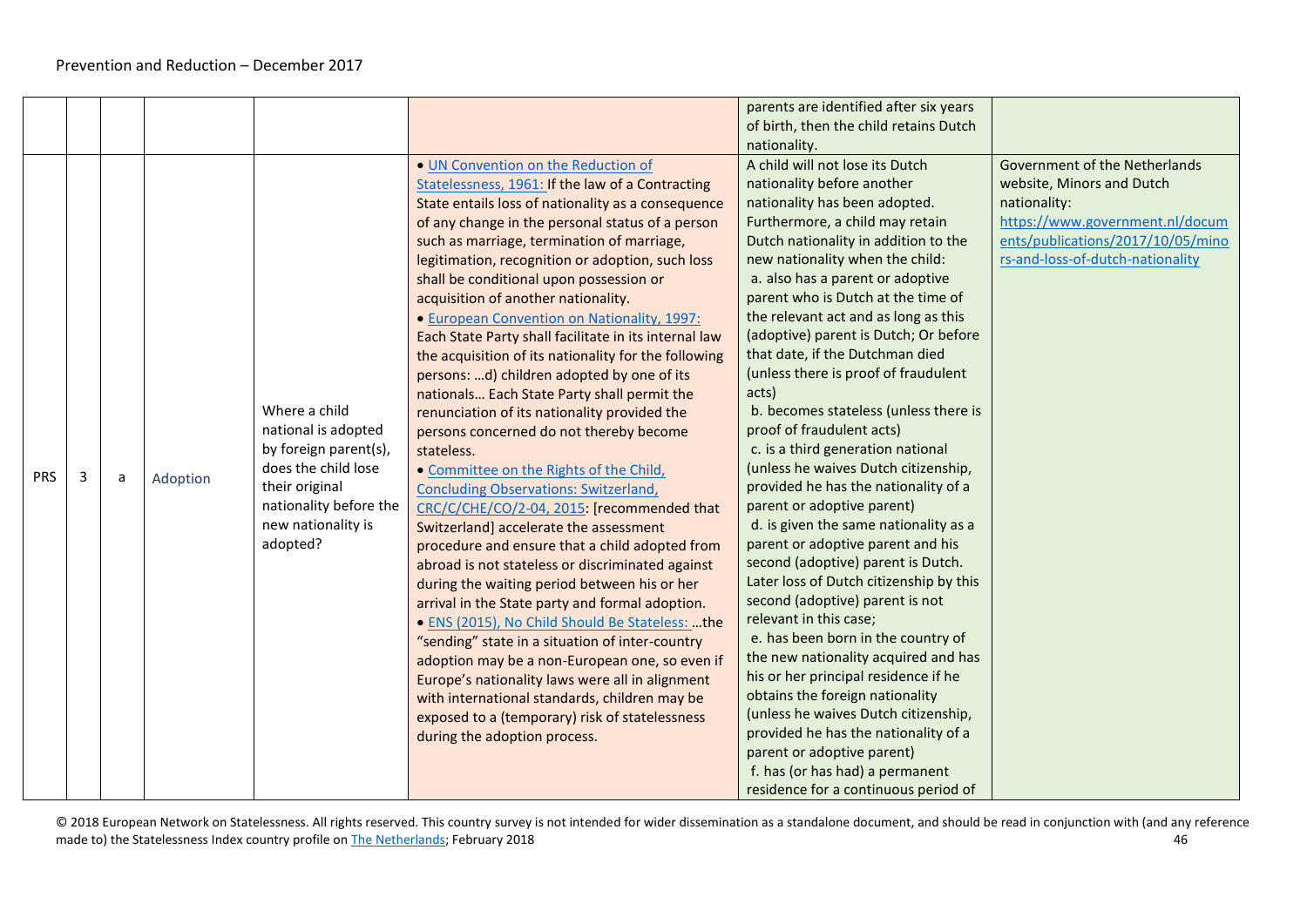<span id="page-45-0"></span>

|            |   |   |          |                        |                                                                                                                                               | parents are identified after six years<br>of birth, then the child retains Dutch               |                                                                            |
|------------|---|---|----------|------------------------|-----------------------------------------------------------------------------------------------------------------------------------------------|------------------------------------------------------------------------------------------------|----------------------------------------------------------------------------|
|            |   |   |          |                        |                                                                                                                                               | nationality.                                                                                   |                                                                            |
|            |   |   |          |                        | . UN Convention on the Reduction of<br>Statelessness, 1961: If the law of a Contracting<br>State entails loss of nationality as a consequence | A child will not lose its Dutch<br>nationality before another<br>nationality has been adopted. | Government of the Netherlands<br>website, Minors and Dutch<br>nationality: |
|            |   |   |          |                        | of any change in the personal status of a person                                                                                              | Furthermore, a child may retain                                                                | https://www.government.nl/docum                                            |
|            |   |   |          |                        | such as marriage, termination of marriage,                                                                                                    | Dutch nationality in addition to the                                                           | ents/publications/2017/10/05/mino                                          |
|            |   |   |          |                        | legitimation, recognition or adoption, such loss                                                                                              | new nationality when the child:                                                                | rs-and-loss-of-dutch-nationality                                           |
|            |   |   |          |                        | shall be conditional upon possession or                                                                                                       | a. also has a parent or adoptive                                                               |                                                                            |
|            |   |   |          |                        | acquisition of another nationality.                                                                                                           | parent who is Dutch at the time of                                                             |                                                                            |
|            |   |   |          |                        | • European Convention on Nationality, 1997:                                                                                                   | the relevant act and as long as this                                                           |                                                                            |
|            |   |   |          |                        | Each State Party shall facilitate in its internal law                                                                                         | (adoptive) parent is Dutch; Or before                                                          |                                                                            |
|            |   |   |          |                        | the acquisition of its nationality for the following                                                                                          | that date, if the Dutchman died                                                                |                                                                            |
|            |   |   |          |                        | persons: d) children adopted by one of its                                                                                                    | (unless there is proof of fraudulent                                                           |                                                                            |
|            |   |   |          | Where a child          | nationals Each State Party shall permit the                                                                                                   | acts)<br>b. becomes stateless (unless there is                                                 |                                                                            |
|            |   |   |          | national is adopted    | renunciation of its nationality provided the                                                                                                  | proof of fraudulent acts)                                                                      |                                                                            |
|            |   |   |          | by foreign parent(s),  | persons concerned do not thereby become<br>stateless.                                                                                         | c. is a third generation national                                                              |                                                                            |
|            |   |   |          | does the child lose    | • Committee on the Rights of the Child,                                                                                                       | (unless he waives Dutch citizenship,                                                           |                                                                            |
| <b>PRS</b> | 3 | a | Adoption | their original         | <b>Concluding Observations: Switzerland,</b>                                                                                                  | provided he has the nationality of a                                                           |                                                                            |
|            |   |   |          | nationality before the | CRC/C/CHE/CO/2-04, 2015: [recommended that                                                                                                    | parent or adoptive parent)                                                                     |                                                                            |
|            |   |   |          | new nationality is     | Switzerland] accelerate the assessment                                                                                                        | d. is given the same nationality as a                                                          |                                                                            |
|            |   |   |          | adopted?               | procedure and ensure that a child adopted from                                                                                                | parent or adoptive parent and his                                                              |                                                                            |
|            |   |   |          |                        | abroad is not stateless or discriminated against                                                                                              | second (adoptive) parent is Dutch.                                                             |                                                                            |
|            |   |   |          |                        | during the waiting period between his or her                                                                                                  | Later loss of Dutch citizenship by this                                                        |                                                                            |
|            |   |   |          |                        | arrival in the State party and formal adoption.                                                                                               | second (adoptive) parent is not                                                                |                                                                            |
|            |   |   |          |                        | · ENS (2015), No Child Should Be Stateless: the                                                                                               | relevant in this case;                                                                         |                                                                            |
|            |   |   |          |                        | "sending" state in a situation of inter-country                                                                                               | e. has been born in the country of                                                             |                                                                            |
|            |   |   |          |                        | adoption may be a non-European one, so even if                                                                                                | the new nationality acquired and has                                                           |                                                                            |
|            |   |   |          |                        | Europe's nationality laws were all in alignment                                                                                               | his or her principal residence if he                                                           |                                                                            |
|            |   |   |          |                        | with international standards, children may be                                                                                                 | obtains the foreign nationality                                                                |                                                                            |
|            |   |   |          |                        | exposed to a (temporary) risk of statelessness                                                                                                | (unless he waives Dutch citizenship,                                                           |                                                                            |
|            |   |   |          |                        | during the adoption process.                                                                                                                  | provided he has the nationality of a                                                           |                                                                            |
|            |   |   |          |                        |                                                                                                                                               | parent or adoptive parent)                                                                     |                                                                            |
|            |   |   |          |                        |                                                                                                                                               | f. has (or has had) a permanent                                                                |                                                                            |
|            |   |   |          |                        |                                                                                                                                               | residence for a continuous period of                                                           |                                                                            |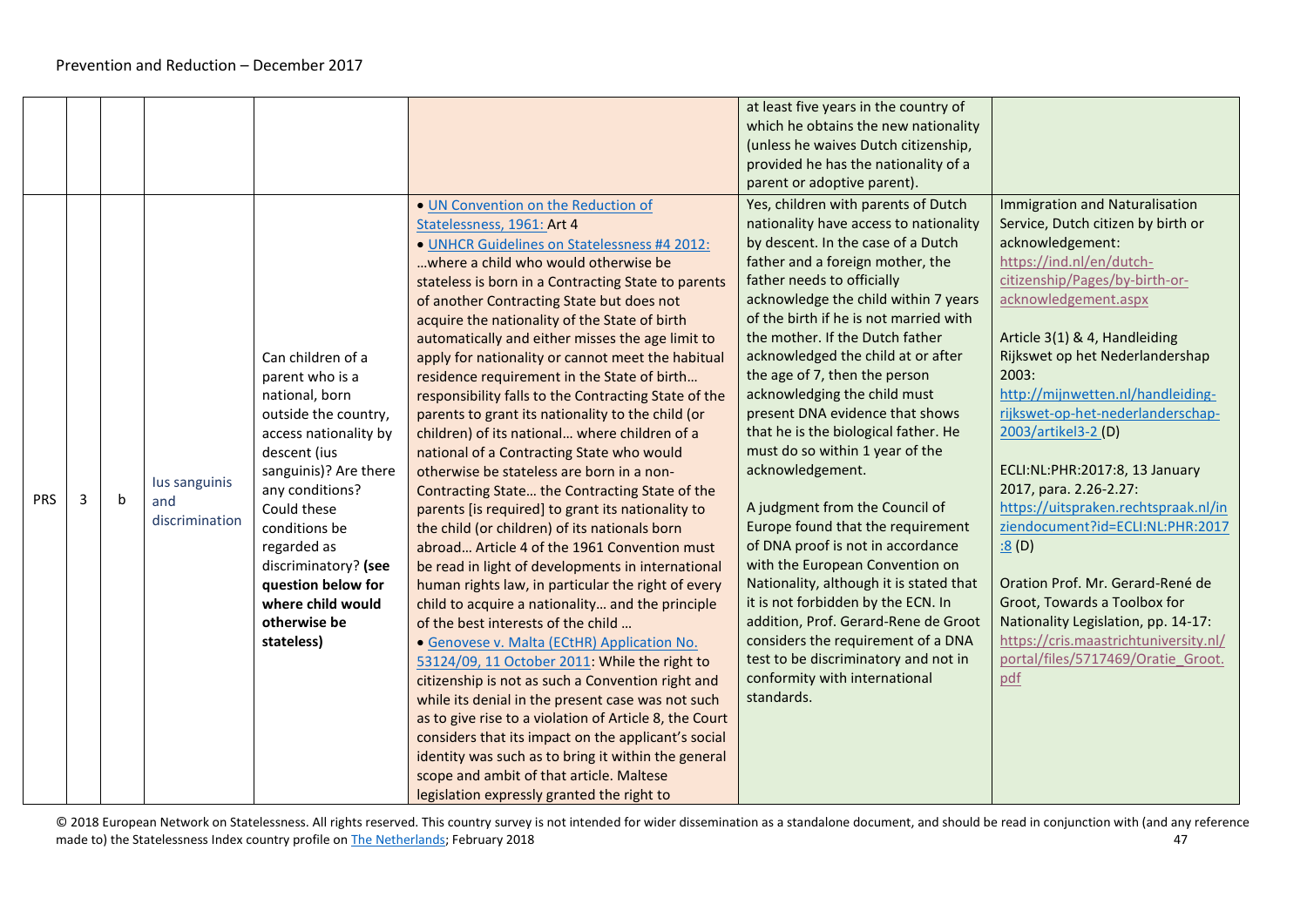<span id="page-46-0"></span>

|            |   |              |                |                       |                                                                                                                                                                                                                                                                                                                                                                                                                                                                                                                                                                                    | at least five years in the country of                               |                                              |
|------------|---|--------------|----------------|-----------------------|------------------------------------------------------------------------------------------------------------------------------------------------------------------------------------------------------------------------------------------------------------------------------------------------------------------------------------------------------------------------------------------------------------------------------------------------------------------------------------------------------------------------------------------------------------------------------------|---------------------------------------------------------------------|----------------------------------------------|
|            |   |              |                |                       |                                                                                                                                                                                                                                                                                                                                                                                                                                                                                                                                                                                    | which he obtains the new nationality                                |                                              |
|            |   |              |                |                       |                                                                                                                                                                                                                                                                                                                                                                                                                                                                                                                                                                                    | (unless he waives Dutch citizenship,                                |                                              |
|            |   |              |                |                       |                                                                                                                                                                                                                                                                                                                                                                                                                                                                                                                                                                                    | provided he has the nationality of a                                |                                              |
|            |   |              |                |                       |                                                                                                                                                                                                                                                                                                                                                                                                                                                                                                                                                                                    | parent or adoptive parent).                                         |                                              |
|            |   |              |                |                       |                                                                                                                                                                                                                                                                                                                                                                                                                                                                                                                                                                                    |                                                                     |                                              |
|            |   |              |                |                       | . UN Convention on the Reduction of                                                                                                                                                                                                                                                                                                                                                                                                                                                                                                                                                | Yes, children with parents of Dutch                                 | Immigration and Naturalisation               |
|            |   |              |                |                       | Statelessness, 1961: Art 4                                                                                                                                                                                                                                                                                                                                                                                                                                                                                                                                                         | nationality have access to nationality                              | Service, Dutch citizen by birth or           |
|            |   |              |                |                       | • UNHCR Guidelines on Statelessness #4 2012:                                                                                                                                                                                                                                                                                                                                                                                                                                                                                                                                       | by descent. In the case of a Dutch                                  | acknowledgement:                             |
|            |   |              |                |                       | where a child who would otherwise be                                                                                                                                                                                                                                                                                                                                                                                                                                                                                                                                               | father and a foreign mother, the                                    | https://ind.nl/en/dutch-                     |
|            |   |              |                |                       | stateless is born in a Contracting State to parents                                                                                                                                                                                                                                                                                                                                                                                                                                                                                                                                | father needs to officially                                          | citizenship/Pages/by-birth-or-               |
|            |   |              |                |                       | of another Contracting State but does not                                                                                                                                                                                                                                                                                                                                                                                                                                                                                                                                          | acknowledge the child within 7 years                                | acknowledgement.aspx                         |
|            |   |              |                |                       | acquire the nationality of the State of birth                                                                                                                                                                                                                                                                                                                                                                                                                                                                                                                                      | of the birth if he is not married with                              |                                              |
|            |   |              |                |                       | automatically and either misses the age limit to                                                                                                                                                                                                                                                                                                                                                                                                                                                                                                                                   | the mother. If the Dutch father                                     | Article 3(1) & 4, Handleiding                |
|            |   |              |                | Can children of a     | apply for nationality or cannot meet the habitual                                                                                                                                                                                                                                                                                                                                                                                                                                                                                                                                  | acknowledged the child at or after                                  | Rijkswet op het Nederlandershap              |
|            |   |              |                | parent who is a       | residence requirement in the State of birth                                                                                                                                                                                                                                                                                                                                                                                                                                                                                                                                        | the age of 7, then the person                                       | 2003:                                        |
|            |   |              |                | national, born        | responsibility falls to the Contracting State of the                                                                                                                                                                                                                                                                                                                                                                                                                                                                                                                               | acknowledging the child must                                        | http://mijnwetten.nl/handleiding-            |
|            |   |              |                | outside the country,  | parents to grant its nationality to the child (or                                                                                                                                                                                                                                                                                                                                                                                                                                                                                                                                  | present DNA evidence that shows                                     | rijkswet-op-het-nederlanderschap-            |
|            |   |              |                | access nationality by | children) of its national where children of a                                                                                                                                                                                                                                                                                                                                                                                                                                                                                                                                      | that he is the biological father. He                                | 2003/artikel3-2 (D)                          |
|            |   |              |                | descent (ius          | national of a Contracting State who would                                                                                                                                                                                                                                                                                                                                                                                                                                                                                                                                          | must do so within 1 year of the                                     |                                              |
|            |   |              |                | sanguinis)? Are there | otherwise be stateless are born in a non-                                                                                                                                                                                                                                                                                                                                                                                                                                                                                                                                          | acknowledgement.                                                    | ECLI:NL:PHR:2017:8, 13 January               |
|            |   |              | lus sanguinis  | any conditions?       | Contracting State the Contracting State of the                                                                                                                                                                                                                                                                                                                                                                                                                                                                                                                                     |                                                                     | 2017, para. 2.26-2.27:                       |
| <b>PRS</b> | 3 | $\mathsf{b}$ | and            | Could these           | parents [is required] to grant its nationality to                                                                                                                                                                                                                                                                                                                                                                                                                                                                                                                                  | A judgment from the Council of                                      | https://uitspraken.rechtspraak.nl/in         |
|            |   |              | discrimination | conditions be         | the child (or children) of its nationals born                                                                                                                                                                                                                                                                                                                                                                                                                                                                                                                                      | Europe found that the requirement                                   | ziendocument?id=ECLI:NL:PHR:2017             |
|            |   |              |                | regarded as           | abroad Article 4 of the 1961 Convention must                                                                                                                                                                                                                                                                                                                                                                                                                                                                                                                                       | of DNA proof is not in accordance                                   | $\underline{.8}$ (D)                         |
|            |   |              |                | discriminatory? (see  | be read in light of developments in international                                                                                                                                                                                                                                                                                                                                                                                                                                                                                                                                  | with the European Convention on                                     |                                              |
|            |   |              |                | question below for    |                                                                                                                                                                                                                                                                                                                                                                                                                                                                                                                                                                                    | Nationality, although it is stated that                             | Oration Prof. Mr. Gerard-René de             |
|            |   |              |                | where child would     |                                                                                                                                                                                                                                                                                                                                                                                                                                                                                                                                                                                    | it is not forbidden by the ECN. In                                  | Groot, Towards a Toolbox for                 |
|            |   |              |                | otherwise be          | of the best interests of the child                                                                                                                                                                                                                                                                                                                                                                                                                                                                                                                                                 | addition, Prof. Gerard-Rene de Groot                                | Nationality Legislation, pp. 14-17:          |
|            |   |              |                |                       |                                                                                                                                                                                                                                                                                                                                                                                                                                                                                                                                                                                    |                                                                     |                                              |
|            |   |              |                |                       |                                                                                                                                                                                                                                                                                                                                                                                                                                                                                                                                                                                    | test to be discriminatory and not in                                | portal/files/5717469/Oratie Groot.           |
|            |   |              |                |                       |                                                                                                                                                                                                                                                                                                                                                                                                                                                                                                                                                                                    |                                                                     |                                              |
|            |   |              |                |                       |                                                                                                                                                                                                                                                                                                                                                                                                                                                                                                                                                                                    | standards.                                                          |                                              |
|            |   |              |                |                       |                                                                                                                                                                                                                                                                                                                                                                                                                                                                                                                                                                                    |                                                                     |                                              |
|            |   |              |                |                       |                                                                                                                                                                                                                                                                                                                                                                                                                                                                                                                                                                                    |                                                                     |                                              |
|            |   |              |                |                       |                                                                                                                                                                                                                                                                                                                                                                                                                                                                                                                                                                                    |                                                                     |                                              |
|            |   |              |                |                       |                                                                                                                                                                                                                                                                                                                                                                                                                                                                                                                                                                                    |                                                                     |                                              |
|            |   |              |                |                       |                                                                                                                                                                                                                                                                                                                                                                                                                                                                                                                                                                                    |                                                                     |                                              |
|            |   |              |                | stateless)            | human rights law, in particular the right of every<br>child to acquire a nationality and the principle<br>· Genovese v. Malta (ECtHR) Application No.<br>53124/09, 11 October 2011: While the right to<br>citizenship is not as such a Convention right and<br>while its denial in the present case was not such<br>as to give rise to a violation of Article 8, the Court<br>considers that its impact on the applicant's social<br>identity was such as to bring it within the general<br>scope and ambit of that article. Maltese<br>legislation expressly granted the right to | considers the requirement of a DNA<br>conformity with international | https://cris.maastrichtuniversity.nl/<br>pdf |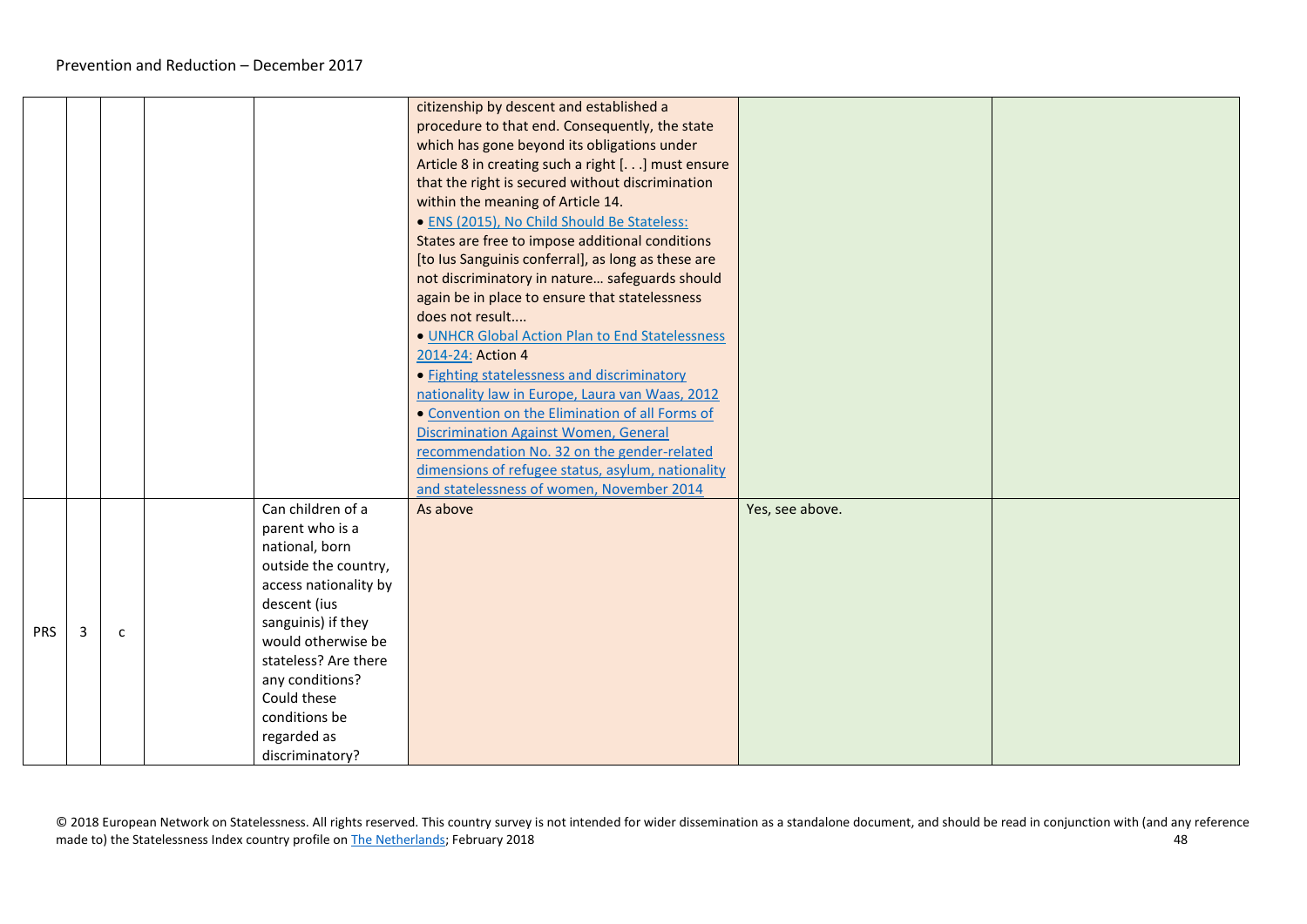|            |   |              |                       | citizenship by descent and established a           |                 |  |
|------------|---|--------------|-----------------------|----------------------------------------------------|-----------------|--|
|            |   |              |                       | procedure to that end. Consequently, the state     |                 |  |
|            |   |              |                       | which has gone beyond its obligations under        |                 |  |
|            |   |              |                       | Article 8 in creating such a right [] must ensure  |                 |  |
|            |   |              |                       | that the right is secured without discrimination   |                 |  |
|            |   |              |                       | within the meaning of Article 14.                  |                 |  |
|            |   |              |                       | · ENS (2015), No Child Should Be Stateless:        |                 |  |
|            |   |              |                       | States are free to impose additional conditions    |                 |  |
|            |   |              |                       | [to lus Sanguinis conferral], as long as these are |                 |  |
|            |   |              |                       | not discriminatory in nature safeguards should     |                 |  |
|            |   |              |                       | again be in place to ensure that statelessness     |                 |  |
|            |   |              |                       | does not result                                    |                 |  |
|            |   |              |                       | . UNHCR Global Action Plan to End Statelessness    |                 |  |
|            |   |              |                       | 2014-24: Action 4                                  |                 |  |
|            |   |              |                       | · Fighting statelessness and discriminatory        |                 |  |
|            |   |              |                       | nationality law in Europe, Laura van Waas, 2012    |                 |  |
|            |   |              |                       | • Convention on the Elimination of all Forms of    |                 |  |
|            |   |              |                       | <b>Discrimination Against Women, General</b>       |                 |  |
|            |   |              |                       | recommendation No. 32 on the gender-related        |                 |  |
|            |   |              |                       | dimensions of refugee status, asylum, nationality  |                 |  |
|            |   |              |                       | and statelessness of women, November 2014          |                 |  |
|            |   |              | Can children of a     | As above                                           | Yes, see above. |  |
|            |   |              | parent who is a       |                                                    |                 |  |
|            |   |              | national, born        |                                                    |                 |  |
|            |   |              | outside the country,  |                                                    |                 |  |
|            |   |              | access nationality by |                                                    |                 |  |
|            |   |              | descent (ius          |                                                    |                 |  |
| <b>PRS</b> |   |              | sanguinis) if they    |                                                    |                 |  |
|            | 3 | $\mathsf{C}$ | would otherwise be    |                                                    |                 |  |
|            |   |              | stateless? Are there  |                                                    |                 |  |
|            |   |              | any conditions?       |                                                    |                 |  |
|            |   |              | Could these           |                                                    |                 |  |
|            |   |              | conditions be         |                                                    |                 |  |
|            |   |              | regarded as           |                                                    |                 |  |
|            |   |              | discriminatory?       |                                                    |                 |  |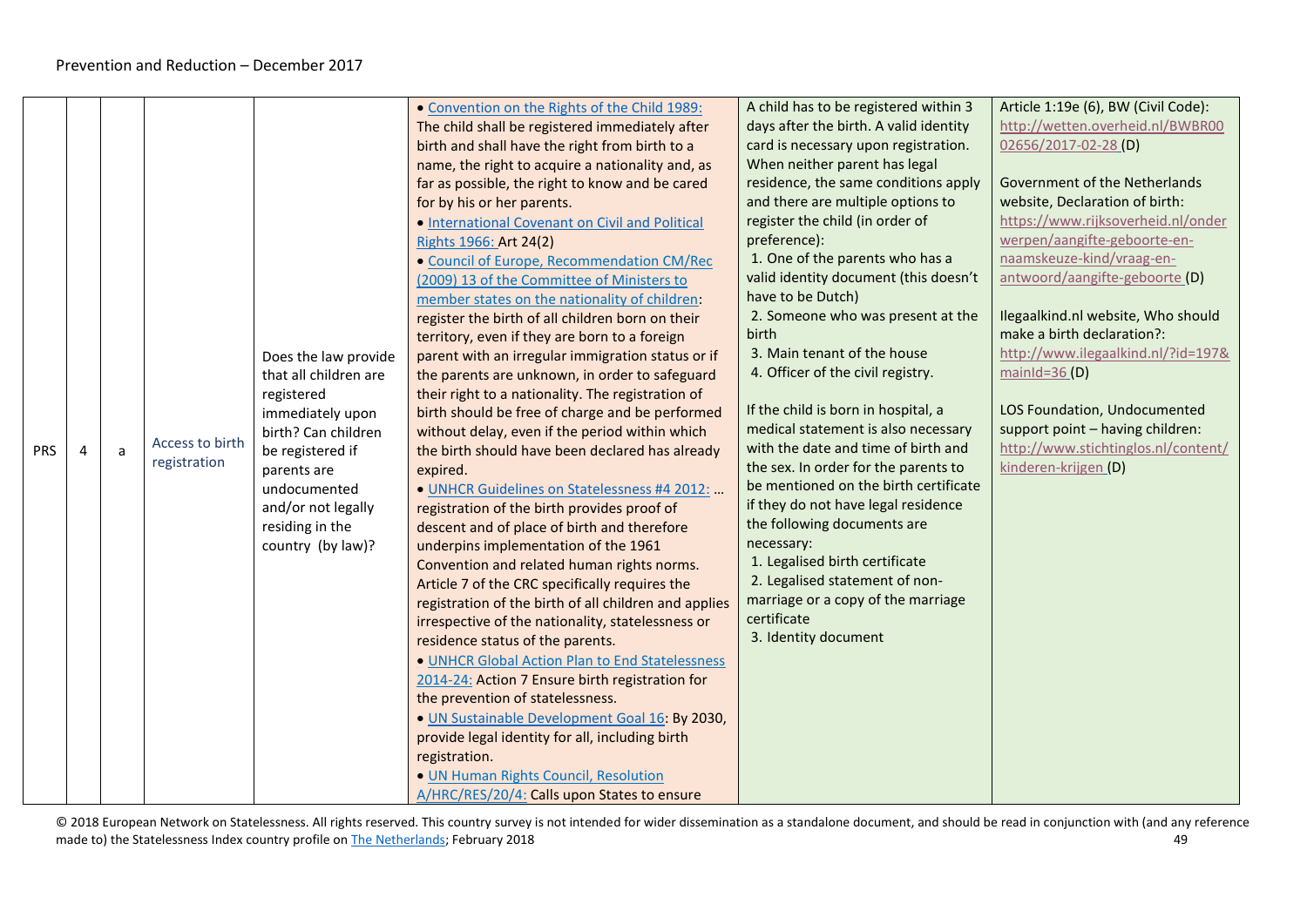<span id="page-48-0"></span>

|            |                       |   |                 |                       | • Convention on the Rights of the Child 1989:         | A child has to be registered within 3  | Article 1:19e (6), BW (Civil Code): |
|------------|-----------------------|---|-----------------|-----------------------|-------------------------------------------------------|----------------------------------------|-------------------------------------|
|            |                       |   |                 |                       | The child shall be registered immediately after       | days after the birth. A valid identity | http://wetten.overheid.nl/BWBR00    |
|            |                       |   |                 |                       | birth and shall have the right from birth to a        | card is necessary upon registration.   | 02656/2017-02-28 (D)                |
|            |                       |   |                 |                       | name, the right to acquire a nationality and, as      | When neither parent has legal          |                                     |
|            |                       |   |                 |                       | far as possible, the right to know and be cared       | residence, the same conditions apply   | Government of the Netherlands       |
|            |                       |   |                 |                       | for by his or her parents.                            | and there are multiple options to      | website, Declaration of birth:      |
|            |                       |   |                 |                       | . International Covenant on Civil and Political       | register the child (in order of        | https://www.rijksoverheid.nl/onder  |
|            |                       |   |                 |                       | Rights 1966: Art 24(2)                                | preference):                           | werpen/aangifte-geboorte-en-        |
|            |                       |   |                 |                       | · Council of Europe, Recommendation CM/Rec            | 1. One of the parents who has a        | naamskeuze-kind/vraag-en-           |
|            |                       |   |                 |                       | (2009) 13 of the Committee of Ministers to            | valid identity document (this doesn't  | antwoord/aangifte-geboorte (D)      |
|            |                       |   |                 |                       | member states on the nationality of children:         | have to be Dutch)                      |                                     |
|            |                       |   |                 |                       | register the birth of all children born on their      | 2. Someone who was present at the      | Ilegaalkind.nl website, Who should  |
|            |                       |   |                 |                       | territory, even if they are born to a foreign         | birth                                  | make a birth declaration?:          |
|            |                       |   |                 | Does the law provide  | parent with an irregular immigration status or if     | 3. Main tenant of the house            | http://www.ilegaalkind.nl/?id=197&  |
|            |                       |   |                 | that all children are | the parents are unknown, in order to safeguard        | 4. Officer of the civil registry.      | mainId= $36(D)$                     |
|            |                       |   |                 | registered            | their right to a nationality. The registration of     |                                        |                                     |
|            |                       |   |                 | immediately upon      | birth should be free of charge and be performed       | If the child is born in hospital, a    | LOS Foundation, Undocumented        |
|            |                       |   |                 | birth? Can children   | without delay, even if the period within which        | medical statement is also necessary    | support point - having children:    |
| <b>PRS</b> | $\boldsymbol{\Delta}$ | a | Access to birth | be registered if      | the birth should have been declared has already       | with the date and time of birth and    | http://www.stichtinglos.nl/content/ |
|            |                       |   | registration    | parents are           | expired.                                              | the sex. In order for the parents to   | kinderen-krijgen (D)                |
|            |                       |   |                 | undocumented          | · UNHCR Guidelines on Statelessness #4 2012:          | be mentioned on the birth certificate  |                                     |
|            |                       |   |                 | and/or not legally    | registration of the birth provides proof of           | if they do not have legal residence    |                                     |
|            |                       |   |                 | residing in the       | descent and of place of birth and therefore           | the following documents are            |                                     |
|            |                       |   |                 | country (by law)?     | underpins implementation of the 1961                  | necessary:                             |                                     |
|            |                       |   |                 |                       | Convention and related human rights norms.            | 1. Legalised birth certificate         |                                     |
|            |                       |   |                 |                       | Article 7 of the CRC specifically requires the        | 2. Legalised statement of non-         |                                     |
|            |                       |   |                 |                       | registration of the birth of all children and applies | marriage or a copy of the marriage     |                                     |
|            |                       |   |                 |                       | irrespective of the nationality, statelessness or     | certificate                            |                                     |
|            |                       |   |                 |                       | residence status of the parents.                      | 3. Identity document                   |                                     |
|            |                       |   |                 |                       | . UNHCR Global Action Plan to End Statelessness       |                                        |                                     |
|            |                       |   |                 |                       | 2014-24: Action 7 Ensure birth registration for       |                                        |                                     |
|            |                       |   |                 |                       | the prevention of statelessness.                      |                                        |                                     |
|            |                       |   |                 |                       | · UN Sustainable Development Goal 16: By 2030,        |                                        |                                     |
|            |                       |   |                 |                       | provide legal identity for all, including birth       |                                        |                                     |
|            |                       |   |                 |                       | registration.                                         |                                        |                                     |
|            |                       |   |                 |                       | · UN Human Rights Council, Resolution                 |                                        |                                     |
|            |                       |   |                 |                       | A/HRC/RES/20/4: Calls upon States to ensure           |                                        |                                     |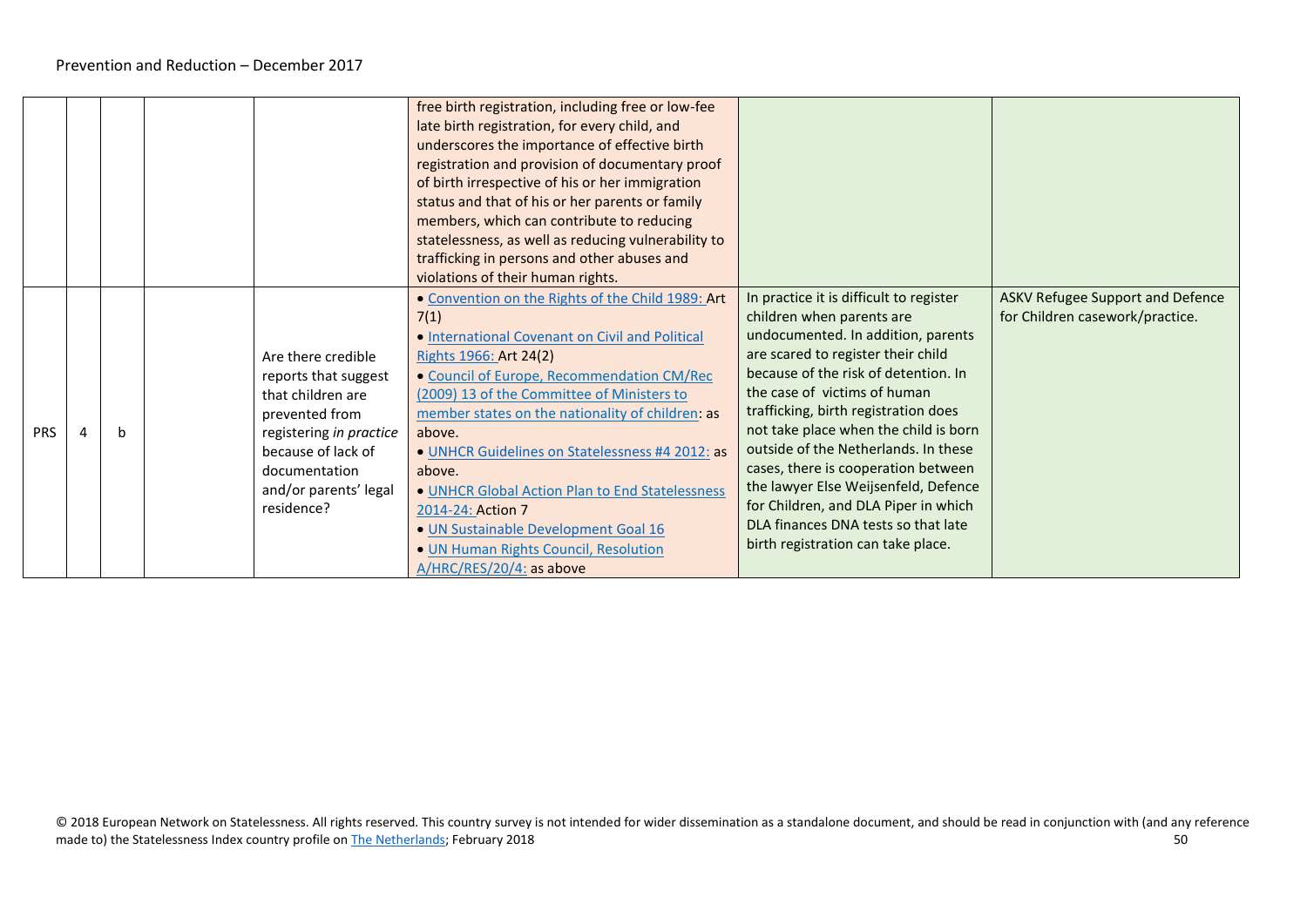|            |   |                                                                                                                                                                                            | free birth registration, including free or low-fee<br>late birth registration, for every child, and<br>underscores the importance of effective birth<br>registration and provision of documentary proof<br>of birth irrespective of his or her immigration<br>status and that of his or her parents or family<br>members, which can contribute to reducing<br>statelessness, as well as reducing vulnerability to<br>trafficking in persons and other abuses and<br>violations of their human rights.                                              |                                                                                                                                                                                                                                                                                                                                                                                                                                                                                                                                                       |                                                                            |
|------------|---|--------------------------------------------------------------------------------------------------------------------------------------------------------------------------------------------|----------------------------------------------------------------------------------------------------------------------------------------------------------------------------------------------------------------------------------------------------------------------------------------------------------------------------------------------------------------------------------------------------------------------------------------------------------------------------------------------------------------------------------------------------|-------------------------------------------------------------------------------------------------------------------------------------------------------------------------------------------------------------------------------------------------------------------------------------------------------------------------------------------------------------------------------------------------------------------------------------------------------------------------------------------------------------------------------------------------------|----------------------------------------------------------------------------|
| <b>PRS</b> | b | Are there credible<br>reports that suggest<br>that children are<br>prevented from<br>registering in practice<br>because of lack of<br>documentation<br>and/or parents' legal<br>residence? | . Convention on the Rights of the Child 1989: Art<br>7(1)<br>• International Covenant on Civil and Political<br>Rights 1966: Art 24(2)<br>• Council of Europe, Recommendation CM/Rec<br>(2009) 13 of the Committee of Ministers to<br>member states on the nationality of children: as<br>above.<br>· UNHCR Guidelines on Statelessness #4 2012: as<br>above.<br>. UNHCR Global Action Plan to End Statelessness<br>2014-24: Action 7<br>· UN Sustainable Development Goal 16<br>. UN Human Rights Council, Resolution<br>A/HRC/RES/20/4: as above | In practice it is difficult to register<br>children when parents are<br>undocumented. In addition, parents<br>are scared to register their child<br>because of the risk of detention. In<br>the case of victims of human<br>trafficking, birth registration does<br>not take place when the child is born<br>outside of the Netherlands. In these<br>cases, there is cooperation between<br>the lawyer Else Weijsenfeld, Defence<br>for Children, and DLA Piper in which<br>DLA finances DNA tests so that late<br>birth registration can take place. | <b>ASKV Refugee Support and Defence</b><br>for Children casework/practice. |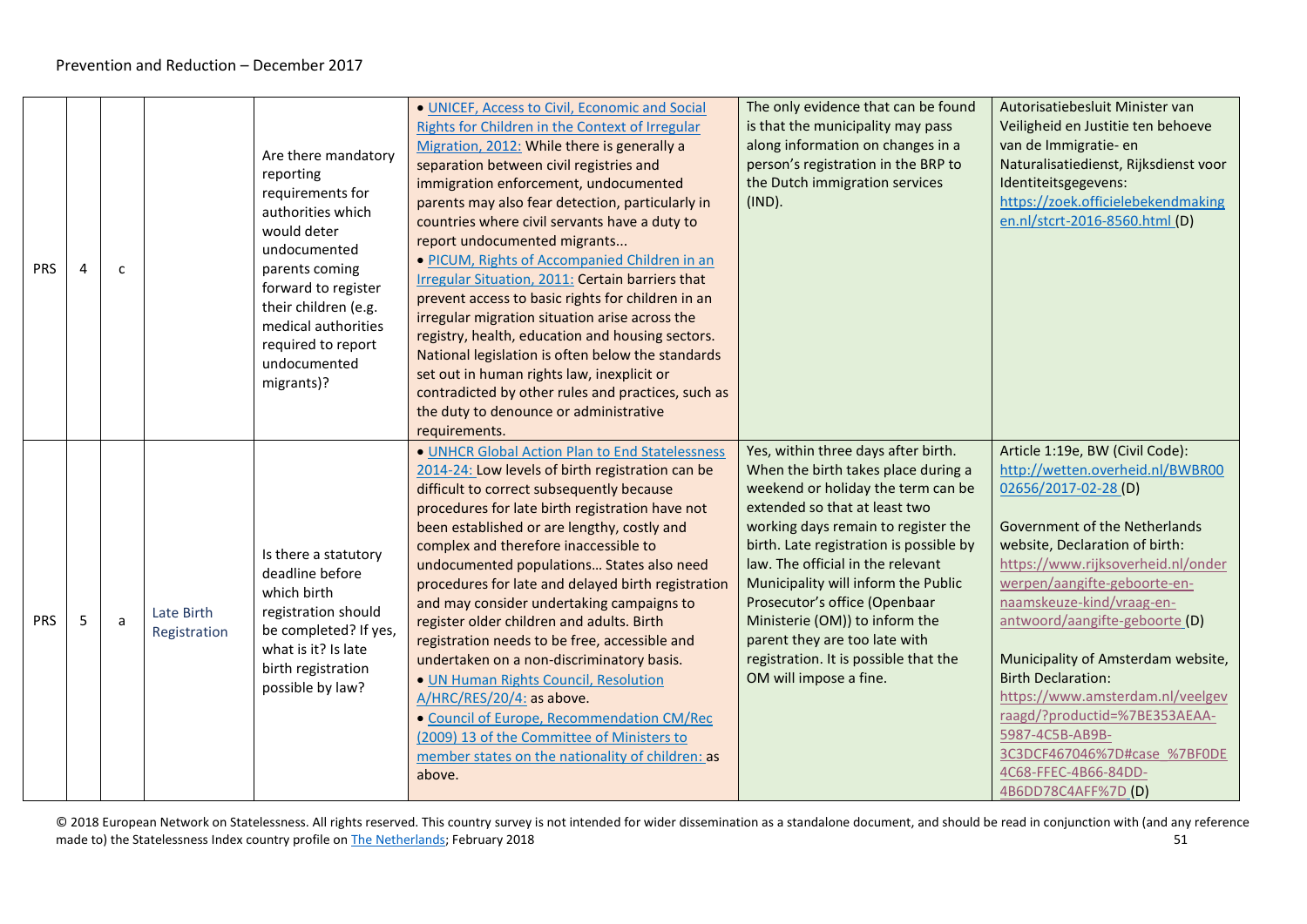<span id="page-50-0"></span>

| <b>PRS</b> | 4 | c |                            | Are there mandatory<br>reporting<br>requirements for<br>authorities which<br>would deter<br>undocumented<br>parents coming<br>forward to register<br>their children (e.g.<br>medical authorities<br>required to report<br>undocumented<br>migrants)? | . UNICEF, Access to Civil, Economic and Social<br>Rights for Children in the Context of Irregular<br>Migration, 2012: While there is generally a<br>separation between civil registries and<br>immigration enforcement, undocumented<br>parents may also fear detection, particularly in<br>countries where civil servants have a duty to<br>report undocumented migrants<br>· PICUM, Rights of Accompanied Children in an<br>Irregular Situation, 2011: Certain barriers that<br>prevent access to basic rights for children in an<br>irregular migration situation arise across the<br>registry, health, education and housing sectors.<br>National legislation is often below the standards<br>set out in human rights law, inexplicit or<br>contradicted by other rules and practices, such as<br>the duty to denounce or administrative<br>requirements. | The only evidence that can be found<br>is that the municipality may pass<br>along information on changes in a<br>person's registration in the BRP to<br>the Dutch immigration services<br>(IND).                                                                                                                                                                                                                                                                                       | Autorisatiebesluit Minister van<br>Veiligheid en Justitie ten behoeve<br>van de Immigratie- en<br>Naturalisatiedienst, Rijksdienst voor<br>Identiteitsgegevens:<br>https://zoek.officielebekendmaking<br>en.nl/stcrt-2016-8560.html (D)                                                                                                                                                                                                                                                                                                       |
|------------|---|---|----------------------------|------------------------------------------------------------------------------------------------------------------------------------------------------------------------------------------------------------------------------------------------------|---------------------------------------------------------------------------------------------------------------------------------------------------------------------------------------------------------------------------------------------------------------------------------------------------------------------------------------------------------------------------------------------------------------------------------------------------------------------------------------------------------------------------------------------------------------------------------------------------------------------------------------------------------------------------------------------------------------------------------------------------------------------------------------------------------------------------------------------------------------|----------------------------------------------------------------------------------------------------------------------------------------------------------------------------------------------------------------------------------------------------------------------------------------------------------------------------------------------------------------------------------------------------------------------------------------------------------------------------------------|-----------------------------------------------------------------------------------------------------------------------------------------------------------------------------------------------------------------------------------------------------------------------------------------------------------------------------------------------------------------------------------------------------------------------------------------------------------------------------------------------------------------------------------------------|
| <b>PRS</b> | 5 | a | Late Birth<br>Registration | Is there a statutory<br>deadline before<br>which birth<br>registration should<br>be completed? If yes,<br>what is it? Is late<br>birth registration<br>possible by law?                                                                              | . UNHCR Global Action Plan to End Statelessness<br>2014-24: Low levels of birth registration can be<br>difficult to correct subsequently because<br>procedures for late birth registration have not<br>been established or are lengthy, costly and<br>complex and therefore inaccessible to<br>undocumented populations States also need<br>procedures for late and delayed birth registration<br>and may consider undertaking campaigns to<br>register older children and adults. Birth<br>registration needs to be free, accessible and<br>undertaken on a non-discriminatory basis.<br>. UN Human Rights Council, Resolution<br>A/HRC/RES/20/4: as above.<br>· Council of Europe, Recommendation CM/Rec<br>(2009) 13 of the Committee of Ministers to<br>member states on the nationality of children: as<br>above.                                        | Yes, within three days after birth.<br>When the birth takes place during a<br>weekend or holiday the term can be<br>extended so that at least two<br>working days remain to register the<br>birth. Late registration is possible by<br>law. The official in the relevant<br>Municipality will inform the Public<br>Prosecutor's office (Openbaar<br>Ministerie (OM)) to inform the<br>parent they are too late with<br>registration. It is possible that the<br>OM will impose a fine. | Article 1:19e, BW (Civil Code):<br>http://wetten.overheid.nl/BWBR00<br>02656/2017-02-28 (D)<br>Government of the Netherlands<br>website, Declaration of birth:<br>https://www.rijksoverheid.nl/onder<br>werpen/aangifte-geboorte-en-<br>naamskeuze-kind/vraag-en-<br>antwoord/aangifte-geboorte (D)<br>Municipality of Amsterdam website,<br><b>Birth Declaration:</b><br>https://www.amsterdam.nl/veelgev<br>raagd/?productid=%7BE353AEAA-<br>5987-4C5B-AB9B-<br>3C3DCF467046%7D#case %7BF0DE<br>4C68-FFEC-4B66-84DD-<br>4B6DD78C4AFF%7D (D) |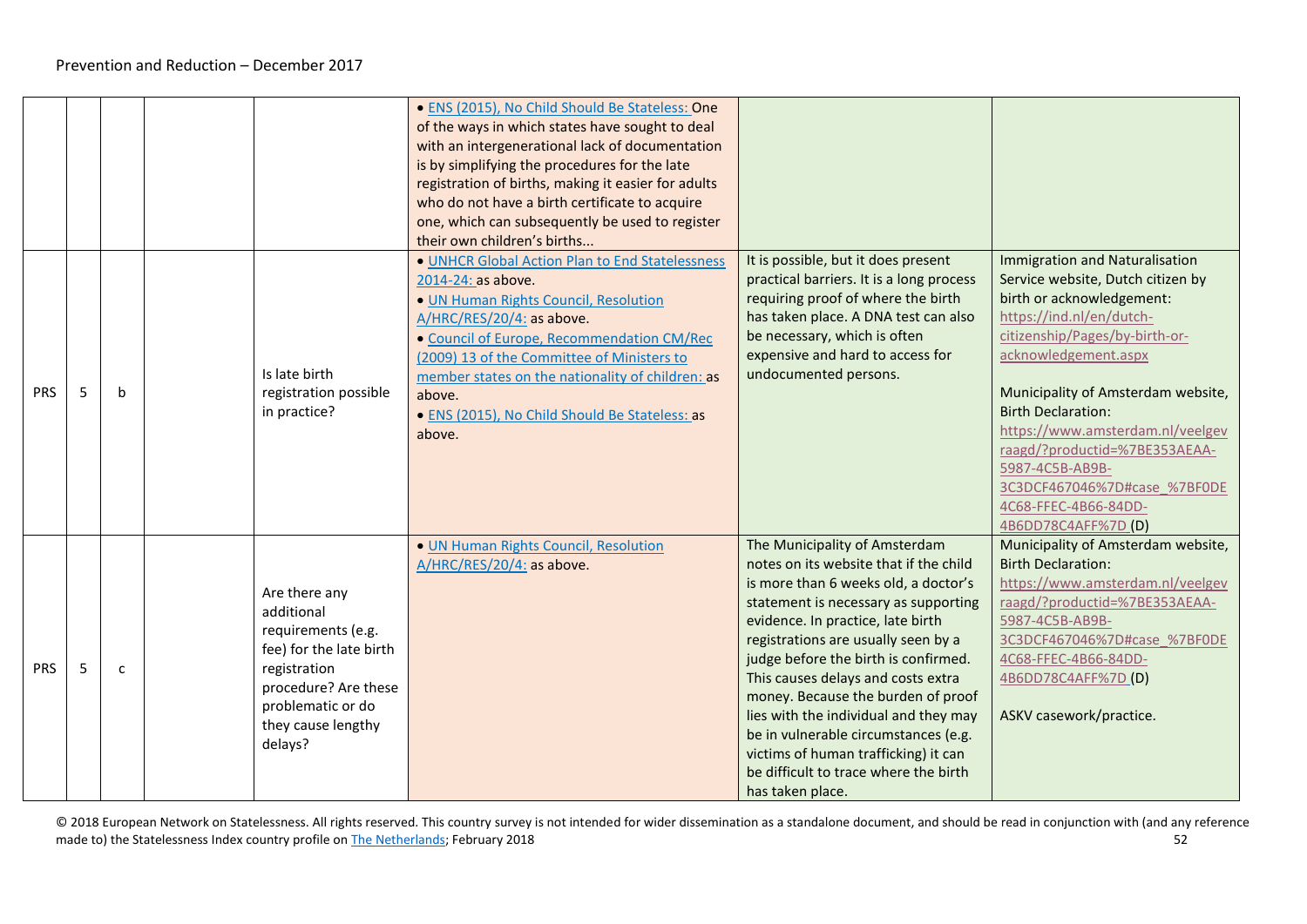|            |   |              |                                                                                                                                                                            | · ENS (2015), No Child Should Be Stateless: One<br>of the ways in which states have sought to deal<br>with an intergenerational lack of documentation<br>is by simplifying the procedures for the late<br>registration of births, making it easier for adults<br>who do not have a birth certificate to acquire<br>one, which can subsequently be used to register<br>their own children's births |                                                                                                                                                                                                                                                                                                                                                                                                                                                                                                                                               |                                                                                                                                                                                                                                                                                                                                                                                                                                         |
|------------|---|--------------|----------------------------------------------------------------------------------------------------------------------------------------------------------------------------|---------------------------------------------------------------------------------------------------------------------------------------------------------------------------------------------------------------------------------------------------------------------------------------------------------------------------------------------------------------------------------------------------|-----------------------------------------------------------------------------------------------------------------------------------------------------------------------------------------------------------------------------------------------------------------------------------------------------------------------------------------------------------------------------------------------------------------------------------------------------------------------------------------------------------------------------------------------|-----------------------------------------------------------------------------------------------------------------------------------------------------------------------------------------------------------------------------------------------------------------------------------------------------------------------------------------------------------------------------------------------------------------------------------------|
| <b>PRS</b> | 5 | h            | Is late birth<br>registration possible<br>in practice?                                                                                                                     | . UNHCR Global Action Plan to End Statelessness<br>2014-24: as above.<br>· UN Human Rights Council, Resolution<br>A/HRC/RES/20/4: as above.<br>· Council of Europe, Recommendation CM/Rec<br>(2009) 13 of the Committee of Ministers to<br>member states on the nationality of children: as<br>above.<br>• ENS (2015), No Child Should Be Stateless: as<br>above.                                 | It is possible, but it does present<br>practical barriers. It is a long process<br>requiring proof of where the birth<br>has taken place. A DNA test can also<br>be necessary, which is often<br>expensive and hard to access for<br>undocumented persons.                                                                                                                                                                                                                                                                                    | <b>Immigration and Naturalisation</b><br>Service website, Dutch citizen by<br>birth or acknowledgement:<br>https://ind.nl/en/dutch-<br>citizenship/Pages/by-birth-or-<br>acknowledgement.aspx<br>Municipality of Amsterdam website,<br><b>Birth Declaration:</b><br>https://www.amsterdam.nl/veelgev<br>raagd/?productid=%7BE353AEAA-<br>5987-4C5B-AB9B-<br>3C3DCF467046%7D#case %7BF0DE<br>4C68-FFEC-4B66-84DD-<br>4B6DD78C4AFF%7D (D) |
| <b>PRS</b> | 5 | $\mathsf{C}$ | Are there any<br>additional<br>requirements (e.g.<br>fee) for the late birth<br>registration<br>procedure? Are these<br>problematic or do<br>they cause lengthy<br>delays? | · UN Human Rights Council, Resolution<br>A/HRC/RES/20/4: as above.                                                                                                                                                                                                                                                                                                                                | The Municipality of Amsterdam<br>notes on its website that if the child<br>is more than 6 weeks old, a doctor's<br>statement is necessary as supporting<br>evidence. In practice, late birth<br>registrations are usually seen by a<br>judge before the birth is confirmed.<br>This causes delays and costs extra<br>money. Because the burden of proof<br>lies with the individual and they may<br>be in vulnerable circumstances (e.g.<br>victims of human trafficking) it can<br>be difficult to trace where the birth<br>has taken place. | Municipality of Amsterdam website,<br><b>Birth Declaration:</b><br>https://www.amsterdam.nl/veelgev<br>raagd/?productid=%7BE353AEAA-<br>5987-4C5B-AB9B-<br>3C3DCF467046%7D#case %7BF0DE<br>4C68-FFEC-4B66-84DD-<br>4B6DD78C4AFF%7D (D)<br>ASKV casework/practice.                                                                                                                                                                       |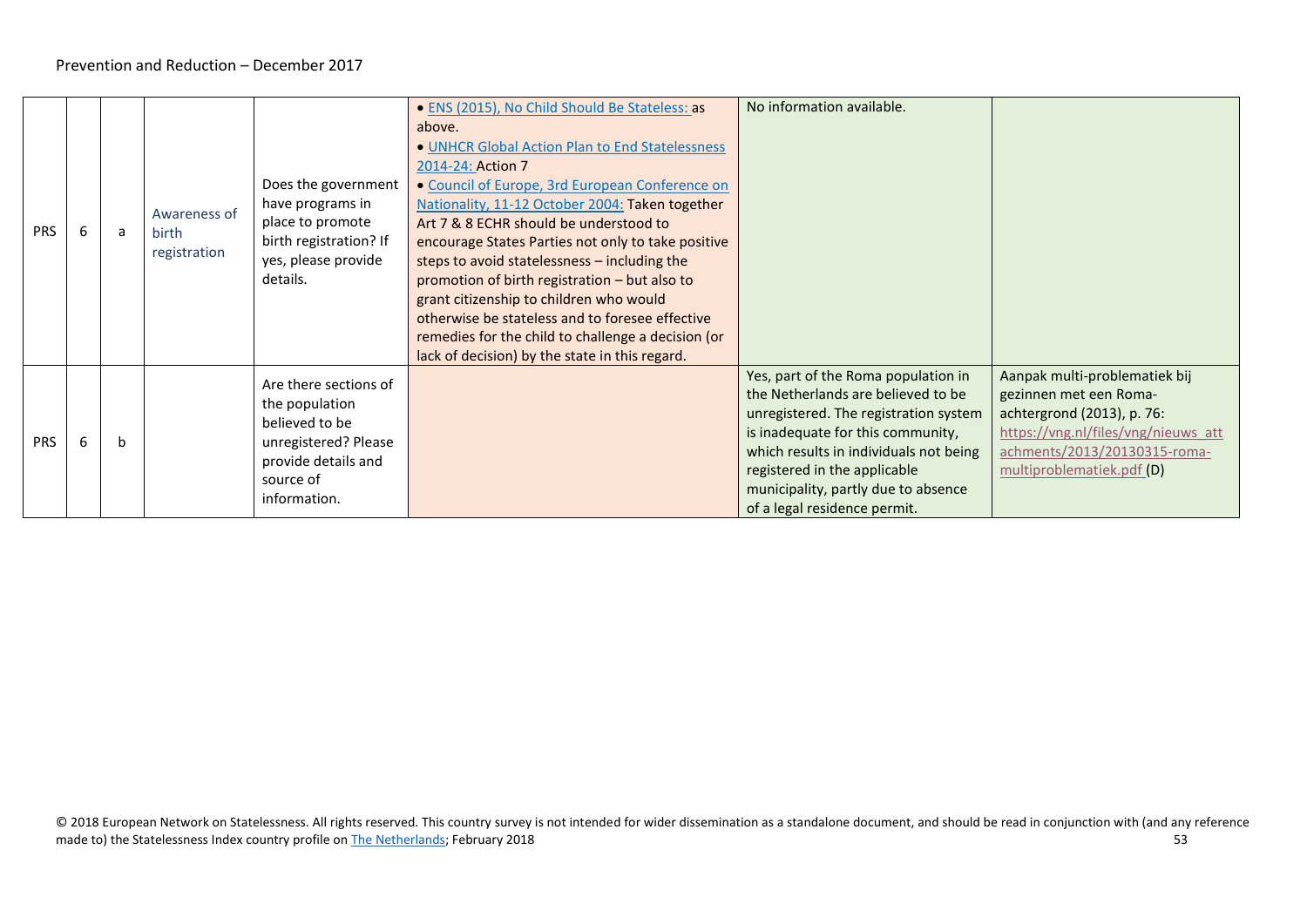<span id="page-52-0"></span>

| <b>PRS</b> | a | Awareness of<br>birth<br>registration | Does the government<br>have programs in<br>place to promote<br>birth registration? If<br>yes, please provide<br>details.              | • ENS (2015), No Child Should Be Stateless: as<br>above.<br>• UNHCR Global Action Plan to End Statelessness<br>2014-24: Action 7<br>• Council of Europe, 3rd European Conference on<br>Nationality, 11-12 October 2004: Taken together<br>Art 7 & 8 ECHR should be understood to<br>encourage States Parties not only to take positive<br>steps to avoid statelessness - including the<br>promotion of birth registration – but also to<br>grant citizenship to children who would<br>otherwise be stateless and to foresee effective<br>remedies for the child to challenge a decision (or<br>lack of decision) by the state in this regard. | No information available.                                                                                                                                                                                                                                                                                |                                                                                                                                                                                           |
|------------|---|---------------------------------------|---------------------------------------------------------------------------------------------------------------------------------------|-----------------------------------------------------------------------------------------------------------------------------------------------------------------------------------------------------------------------------------------------------------------------------------------------------------------------------------------------------------------------------------------------------------------------------------------------------------------------------------------------------------------------------------------------------------------------------------------------------------------------------------------------|----------------------------------------------------------------------------------------------------------------------------------------------------------------------------------------------------------------------------------------------------------------------------------------------------------|-------------------------------------------------------------------------------------------------------------------------------------------------------------------------------------------|
| <b>PRS</b> | b |                                       | Are there sections of<br>the population<br>believed to be<br>unregistered? Please<br>provide details and<br>source of<br>information. |                                                                                                                                                                                                                                                                                                                                                                                                                                                                                                                                                                                                                                               | Yes, part of the Roma population in<br>the Netherlands are believed to be<br>unregistered. The registration system<br>is inadequate for this community,<br>which results in individuals not being<br>registered in the applicable<br>municipality, partly due to absence<br>of a legal residence permit. | Aanpak multi-problematiek bij<br>gezinnen met een Roma-<br>achtergrond (2013), p. 76:<br>https://vng.nl/files/vng/nieuws att<br>achments/2013/20130315-roma-<br>multiproblematiek.pdf (D) |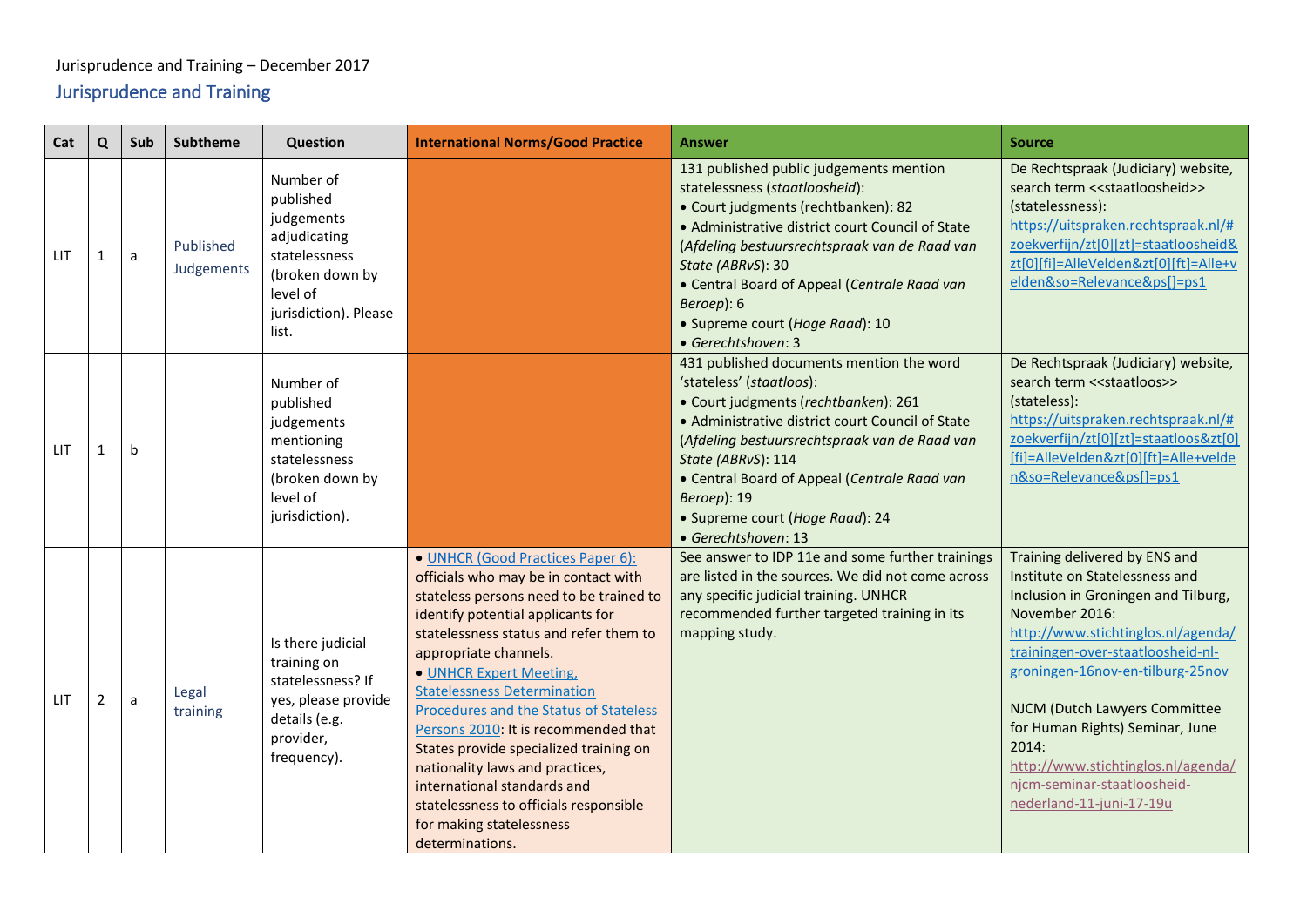# <span id="page-53-0"></span>Jurisprudence and Training – December 2017 Jurisprudence and Training

<span id="page-53-3"></span><span id="page-53-2"></span><span id="page-53-1"></span>

| Cat | $\mathbf Q$ | <b>Sub</b> | Subtheme                | <b>Question</b>                                                                                                                        | <b>International Norms/Good Practice</b>                                                                                                                                                                                                                                                                                                                                                                                                                                                                                                                                             | <b>Answer</b>                                                                                                                                                                                                                                                                                                                                                     | <b>Source</b>                                                                                                                                                                                                                                                                                                                                                                                                         |
|-----|-------------|------------|-------------------------|----------------------------------------------------------------------------------------------------------------------------------------|--------------------------------------------------------------------------------------------------------------------------------------------------------------------------------------------------------------------------------------------------------------------------------------------------------------------------------------------------------------------------------------------------------------------------------------------------------------------------------------------------------------------------------------------------------------------------------------|-------------------------------------------------------------------------------------------------------------------------------------------------------------------------------------------------------------------------------------------------------------------------------------------------------------------------------------------------------------------|-----------------------------------------------------------------------------------------------------------------------------------------------------------------------------------------------------------------------------------------------------------------------------------------------------------------------------------------------------------------------------------------------------------------------|
| LIT |             | a          | Published<br>Judgements | Number of<br>published<br>judgements<br>adjudicating<br>statelessness<br>(broken down by<br>level of<br>jurisdiction). Please<br>list. |                                                                                                                                                                                                                                                                                                                                                                                                                                                                                                                                                                                      | 131 published public judgements mention<br>statelessness (staatloosheid):<br>• Court judgments (rechtbanken): 82<br>• Administrative district court Council of State<br>(Afdeling bestuursrechtspraak van de Raad van<br>State (ABRvS): 30<br>• Central Board of Appeal (Centrale Raad van<br>Beroep): 6<br>· Supreme court (Hoge Raad): 10<br>• Gerechtshoven: 3 | De Rechtspraak (Judiciary) website,<br>search term << staatloosheid>><br>(statelessness):<br>https://uitspraken.rechtspraak.nl/#<br>zoekverfijn/zt[0][zt]=staatloosheid&<br>zt[0][fi]=AlleVelden&zt[0][ft]=Alle+v<br>elden&so=Relevance&ps[]=ps1                                                                                                                                                                      |
| LIT | -1          | b          |                         | Number of<br>published<br>judgements<br>mentioning<br>statelessness<br>(broken down by<br>level of<br>jurisdiction).                   |                                                                                                                                                                                                                                                                                                                                                                                                                                                                                                                                                                                      | 431 published documents mention the word<br>'stateless' (staatloos):<br>· Court judgments (rechtbanken): 261<br>• Administrative district court Council of State<br>(Afdeling bestuursrechtspraak van de Raad van<br>State (ABRvS): 114<br>• Central Board of Appeal (Centrale Raad van<br>Beroep): 19<br>• Supreme court (Hoge Raad): 24<br>• Gerechtshoven: 13  | De Rechtspraak (Judiciary) website,<br>search term < <staatloos>&gt;<br/>(stateless):<br/>https://uitspraken.rechtspraak.nl/#<br/>zoekverfijn/zt[0][zt]=staatloos&amp;zt[0]<br/>[fi]=AlleVelden&amp;zt[0][ft]=Alle+velde<br/>n&amp;so=Relevance&amp;ps[]=ps1</staatloos>                                                                                                                                              |
| LIT | 2           | a          | Legal<br>training       | Is there judicial<br>training on<br>statelessness? If<br>yes, please provide<br>details (e.g.<br>provider,<br>frequency).              | • UNHCR (Good Practices Paper 6):<br>officials who may be in contact with<br>stateless persons need to be trained to<br>identify potential applicants for<br>statelessness status and refer them to<br>appropriate channels.<br>• UNHCR Expert Meeting,<br><b>Statelessness Determination</b><br>Procedures and the Status of Stateless<br>Persons 2010: It is recommended that<br>States provide specialized training on<br>nationality laws and practices,<br>international standards and<br>statelessness to officials responsible<br>for making statelessness<br>determinations. | See answer to IDP 11e and some further trainings<br>are listed in the sources. We did not come across<br>any specific judicial training. UNHCR<br>recommended further targeted training in its<br>mapping study.                                                                                                                                                  | Training delivered by ENS and<br>Institute on Statelessness and<br>Inclusion in Groningen and Tilburg,<br>November 2016:<br>http://www.stichtinglos.nl/agenda/<br>trainingen-over-staatloosheid-nl-<br>groningen-16nov-en-tilburg-25nov<br>NJCM (Dutch Lawyers Committee<br>for Human Rights) Seminar, June<br>2014:<br>http://www.stichtinglos.nl/agenda/<br>njcm-seminar-staatloosheid-<br>nederland-11-juni-17-19u |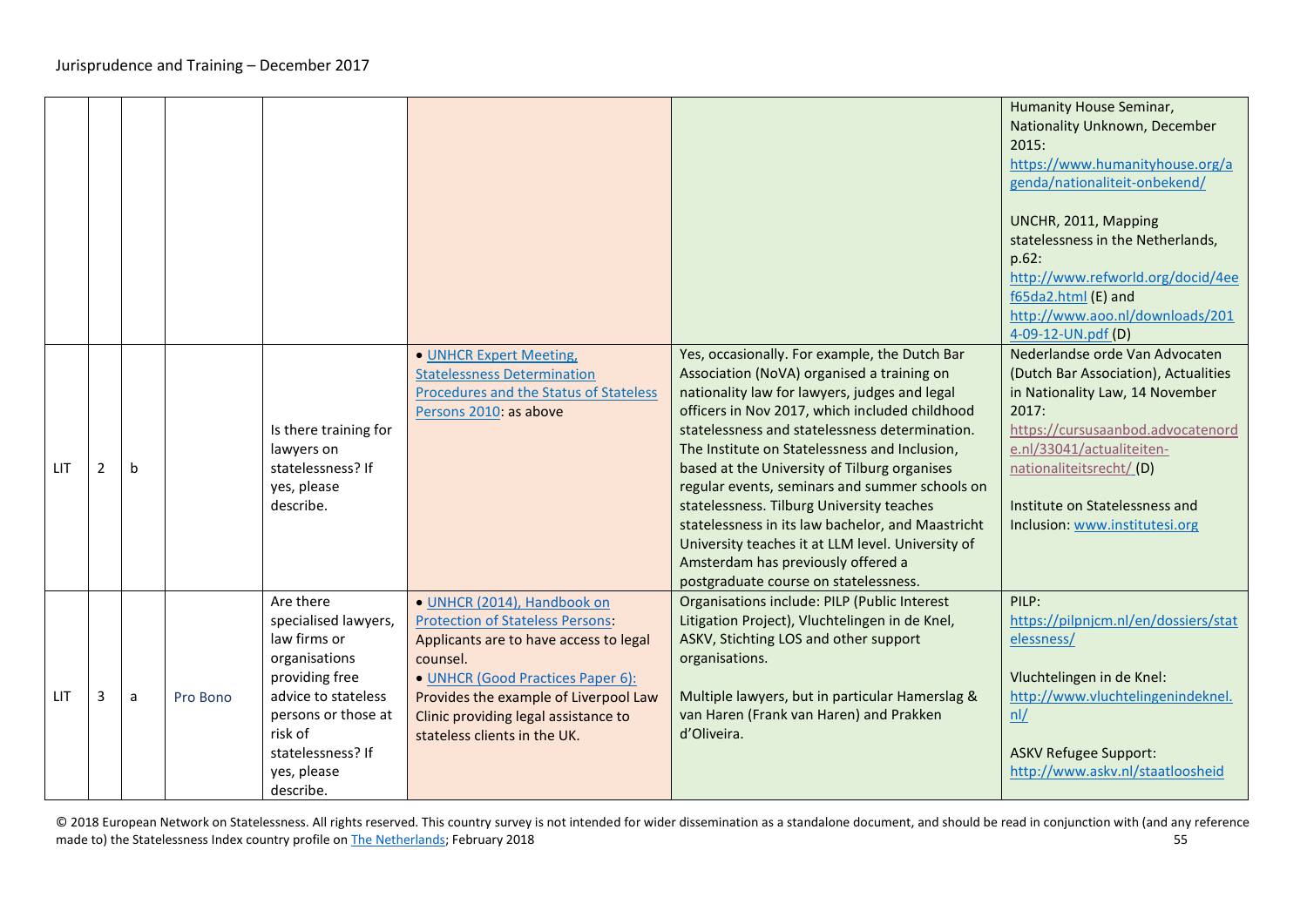<span id="page-54-0"></span>

|            |   |   |          |                                                                                                                                                                                                |                                                                                                                                                                                                                                                                                    |                                                                                                                                                                                                                                                                                                                                                                                                                                                                                                                                                                                                                                           | Humanity House Seminar,<br>Nationality Unknown, December<br>2015:<br>https://www.humanityhouse.org/a<br>genda/nationaliteit-onbekend/<br>UNCHR, 2011, Mapping<br>statelessness in the Netherlands,<br>p.62:<br>http://www.refworld.org/docid/4ee<br>f65da2.html (E) and<br>http://www.aoo.nl/downloads/201<br>4-09-12-UN.pdf (D) |
|------------|---|---|----------|------------------------------------------------------------------------------------------------------------------------------------------------------------------------------------------------|------------------------------------------------------------------------------------------------------------------------------------------------------------------------------------------------------------------------------------------------------------------------------------|-------------------------------------------------------------------------------------------------------------------------------------------------------------------------------------------------------------------------------------------------------------------------------------------------------------------------------------------------------------------------------------------------------------------------------------------------------------------------------------------------------------------------------------------------------------------------------------------------------------------------------------------|----------------------------------------------------------------------------------------------------------------------------------------------------------------------------------------------------------------------------------------------------------------------------------------------------------------------------------|
| <b>LIT</b> | 2 | b |          | Is there training for<br>lawyers on<br>statelessness? If<br>yes, please<br>describe.                                                                                                           | • UNHCR Expert Meeting,<br><b>Statelessness Determination</b><br>Procedures and the Status of Stateless<br>Persons 2010: as above                                                                                                                                                  | Yes, occasionally. For example, the Dutch Bar<br>Association (NoVA) organised a training on<br>nationality law for lawyers, judges and legal<br>officers in Nov 2017, which included childhood<br>statelessness and statelessness determination.<br>The Institute on Statelessness and Inclusion,<br>based at the University of Tilburg organises<br>regular events, seminars and summer schools on<br>statelessness. Tilburg University teaches<br>statelessness in its law bachelor, and Maastricht<br>University teaches it at LLM level. University of<br>Amsterdam has previously offered a<br>postgraduate course on statelessness. | Nederlandse orde Van Advocaten<br>(Dutch Bar Association), Actualities<br>in Nationality Law, 14 November<br>2017:<br>https://cursusaanbod.advocatenord<br>e.nl/33041/actualiteiten-<br>nationaliteitsrecht/(D)<br>Institute on Statelessness and<br>Inclusion: www.institutesi.org                                              |
| <b>LIT</b> | 3 | a | Pro Bono | Are there<br>specialised lawyers,<br>law firms or<br>organisations<br>providing free<br>advice to stateless<br>persons or those at<br>risk of<br>statelessness? If<br>yes, please<br>describe. | · UNHCR (2014), Handbook on<br><b>Protection of Stateless Persons:</b><br>Applicants are to have access to legal<br>counsel.<br>• UNHCR (Good Practices Paper 6):<br>Provides the example of Liverpool Law<br>Clinic providing legal assistance to<br>stateless clients in the UK. | Organisations include: PILP (Public Interest<br>Litigation Project), Vluchtelingen in de Knel,<br>ASKV, Stichting LOS and other support<br>organisations.<br>Multiple lawyers, but in particular Hamerslag &<br>van Haren (Frank van Haren) and Prakken<br>d'Oliveira.                                                                                                                                                                                                                                                                                                                                                                    | PILP:<br>https://pilpnjcm.nl/en/dossiers/stat<br>elessness/<br>Vluchtelingen in de Knel:<br>http://www.vluchtelingenindeknel.<br>nL<br><b>ASKV Refugee Support:</b><br>http://www.askv.nl/staatloosheid                                                                                                                          |